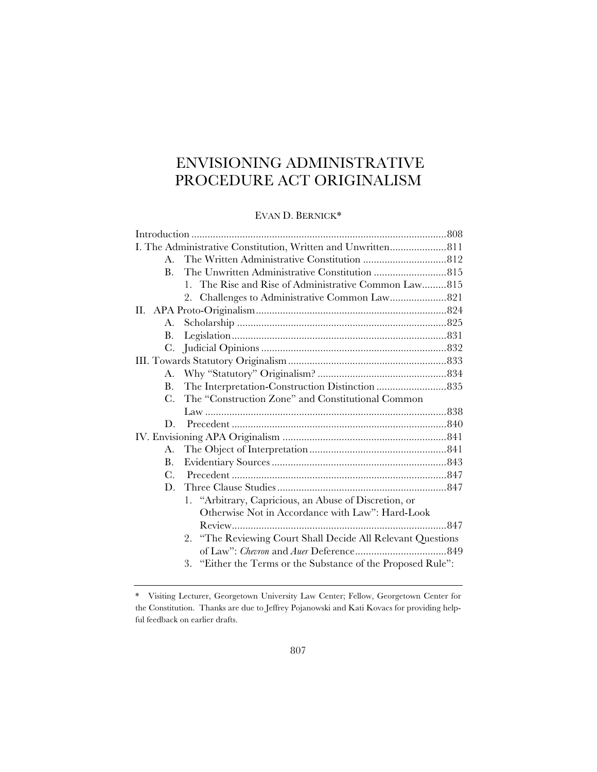# ENVISIONING ADMINISTRATIVE PROCEDURE ACT ORIGINALISM

# EVAN D. BERNICK\*

|  | $\mathbf{A}$ |                                                              |  |  |
|--|--------------|--------------------------------------------------------------|--|--|
|  | $B_{-}$      |                                                              |  |  |
|  |              | 1. The Rise and Rise of Administrative Common Law815         |  |  |
|  |              |                                                              |  |  |
|  |              |                                                              |  |  |
|  | A.           |                                                              |  |  |
|  | В.           |                                                              |  |  |
|  |              |                                                              |  |  |
|  |              |                                                              |  |  |
|  |              |                                                              |  |  |
|  | B.           | The Interpretation-Construction Distinction 835              |  |  |
|  | $C_{\cdot}$  | The "Construction Zone" and Constitutional Common            |  |  |
|  |              |                                                              |  |  |
|  | D.           |                                                              |  |  |
|  |              |                                                              |  |  |
|  | А.           |                                                              |  |  |
|  | B.           |                                                              |  |  |
|  | $C_{\cdot}$  |                                                              |  |  |
|  |              |                                                              |  |  |
|  |              | 1. "Arbitrary, Capricious, an Abuse of Discretion, or        |  |  |
|  |              | Otherwise Not in Accordance with Law": Hard-Look             |  |  |
|  |              |                                                              |  |  |
|  |              | 2. "The Reviewing Court Shall Decide All Relevant Questions  |  |  |
|  |              |                                                              |  |  |
|  |              | 3. "Either the Terms or the Substance of the Proposed Rule": |  |  |
|  |              |                                                              |  |  |

<sup>\*</sup> Visiting Lecturer, Georgetown University Law Center; Fellow, Georgetown Center for the Constitution. Thanks are due to Jeffrey Pojanowski and Kati Kovacs for providing helpful feedback on earlier drafts.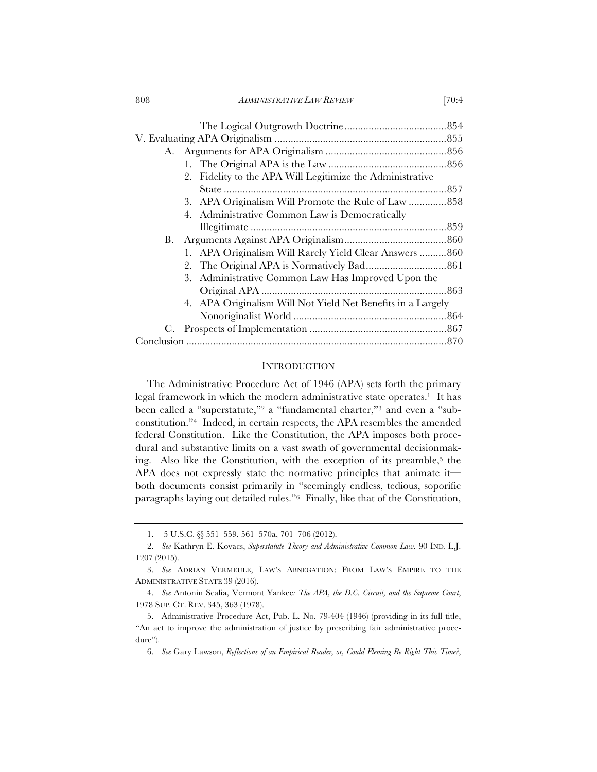808 *ADMINISTRATIVE LAW REVIEW* [70:4

|    | 2. Fidelity to the APA Will Legitimize the Administrative   |  |  |  |
|----|-------------------------------------------------------------|--|--|--|
|    |                                                             |  |  |  |
|    | 3. APA Originalism Will Promote the Rule of Law  858        |  |  |  |
|    | 4. Administrative Common Law is Democratically              |  |  |  |
|    |                                                             |  |  |  |
| В. |                                                             |  |  |  |
|    | 1. APA Originalism Will Rarely Yield Clear Answers  860     |  |  |  |
|    |                                                             |  |  |  |
|    | 3. Administrative Common Law Has Improved Upon the          |  |  |  |
|    |                                                             |  |  |  |
|    | 4. APA Originalism Will Not Yield Net Benefits in a Largely |  |  |  |
|    |                                                             |  |  |  |
|    |                                                             |  |  |  |
|    |                                                             |  |  |  |

## **INTRODUCTION**

The Administrative Procedure Act of 1946 (APA) sets forth the primary legal framework in which the modern administrative state operates.<sup>1</sup> It has been called a "superstatute,"2 a "fundamental charter,"3 and even a "subconstitution."4 Indeed, in certain respects, the APA resembles the amended federal Constitution. Like the Constitution, the APA imposes both procedural and substantive limits on a vast swath of governmental decisionmaking. Also like the Constitution, with the exception of its preamble,<sup>5</sup> the APA does not expressly state the normative principles that animate it both documents consist primarily in "seemingly endless, tedious, soporific paragraphs laying out detailed rules."6 Finally, like that of the Constitution,

<sup>1. 5</sup> U.S.C. §§ 551–559, 561–570a, 701–706 (2012).

<sup>2.</sup> *See* Kathryn E. Kovacs, *Superstatute Theory and Administrative Common Law*, 90 IND. L.J. 1207 (2015).

<sup>3.</sup> *See* ADRIAN VERMEULE, LAW'S ABNEGATION: FROM LAW'S EMPIRE TO THE ADMINISTRATIVE STATE 39 (2016).

<sup>4.</sup> *See* Antonin Scalia, Vermont Yankee*: The APA, the D.C. Circuit, and the Supreme Court*, 1978 SUP. CT. REV. 345, 363 (1978).

<sup>5.</sup> Administrative Procedure Act, Pub. L. No. 79-404 (1946) (providing in its full title, "An act to improve the administration of justice by prescribing fair administrative procedure").

<sup>6.</sup> *See* Gary Lawson, *Reflections of an Empirical Reader, or, Could Fleming Be Right This Time?*,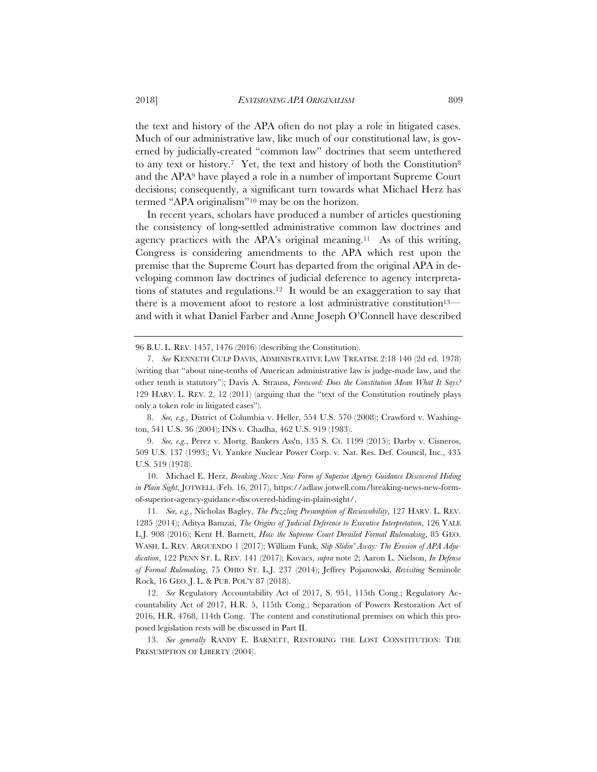the text and history of the APA often do not play a role in litigated cases. Much of our administrative law, like much of our constitutional law, is governed by judicially-created "common law" doctrines that seem untethered to any text or history.<sup>7</sup> Yet, the text and history of both the Constitution<sup>8</sup> and the APA9 have played a role in a number of important Supreme Court decisions; consequently, a significant turn towards what Michael Herz has termed "APA originalism"10 may be on the horizon.

In recent years, scholars have produced a number of articles questioning the consistency of long-settled administrative common law doctrines and agency practices with the APA's original meaning.11 As of this writing, Congress is considering amendments to the APA which rest upon the premise that the Supreme Court has departed from the original APA in developing common law doctrines of judicial deference to agency interpretations of statutes and regulations.12 It would be an exaggeration to say that there is a movement afoot to restore a lost administrative constitution<sup>13—</sup> and with it what Daniel Farber and Anne Joseph O'Connell have described

96 B.U. L. REV. 1457, 1476 (2016) (describing the Constitution).

8. *See, e.g.*, District of Columbia v. Heller, 554 U.S. 570 (2008); Crawford v. Washington, 541 U.S. 36 (2004); INS v. Chadha, 462 U.S. 919 (1983).

9. *See, e.g.*, Perez v. Mortg. Bankers Ass'n, 135 S. Ct. 1199 (2015); Darby v. Cisneros, 509 U.S. 137 (1993); Vt. Yankee Nuclear Power Corp. v. Nat. Res. Def. Council, Inc., 435 U.S. 519 (1978).

10. Michael E. Herz, *Breaking News: New Form of Superior Agency Guidance Discovered Hiding in Plain Sight*, JOTWELL (Feb. 16, 2017), https://adlaw.jotwell.com/breaking-news-new-formof-superior-agency-guidance-discovered-hiding-in-plain-sight/.

11. *See, e.g.*, Nicholas Bagley, *The Puzzling Presumption of Reviewability*, 127 HARV. L. REV. 1285 (2014); Aditya Bamzai, *The Origins of Judicial Deference to Executive Interpretation*, 126 YALE L.J. 908 (2016); Kent H. Barnett, *How the Supreme Court Derailed Formal Rulemaking*, 85 GEO. WASH. L. REV. ARGUENDO 1 (2017); William Funk, *Slip Slidin' Away: The Erosion of APA Adjudication*, 122 PENN ST. L. REV. 141 (2017); Kovacs, *supra* note 2; Aaron L. Nielson, *In Defense of Formal Rulemaking*, 75 OHIO ST. L.J. 237 (2014); Jeffrey Pojanowski, *Revisiting* Seminole Rock, 16 GEO. J. L. & PUB. POL'Y 87 (2018).

12. *See* Regulatory Accountability Act of 2017, S. 951, 115th Cong.; Regulatory Accountability Act of 2017, H.R. 5, 115th Cong.; Separation of Powers Restoration Act of 2016, H.R. 4768, 114th Cong. The content and constitutional premises on which this proposed legislation rests will be discussed in Part II.

13. *See generally* RANDY E. BARNETT, RESTORING THE LOST CONSTITUTION: THE PRESUMPTION OF LIBERTY (2004).

<sup>7.</sup> *See* KENNETH CULP DAVIS, ADMINISTRATIVE LAW TREATISE 2:18 140 (2d ed. 1978) (writing that "about nine-tenths of American administrative law is judge-made law, and the other tenth is statutory"); Davis A. Strauss, *Foreword: Does the Constitution Mean What It Says?*  129 HARV. L. REV. 2, 12 (2011) (arguing that the "text of the Constitution routinely plays only a token role in litigated cases").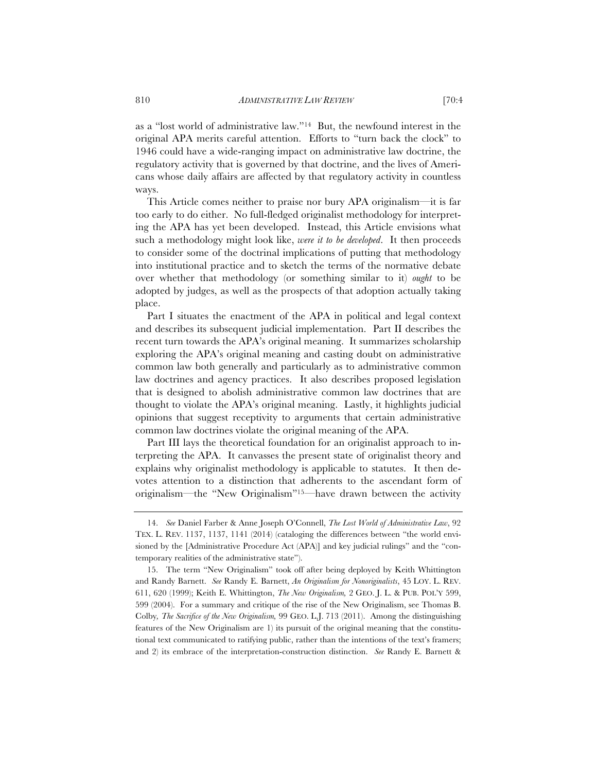as a "lost world of administrative law."14 But, the newfound interest in the original APA merits careful attention. Efforts to "turn back the clock" to 1946 could have a wide-ranging impact on administrative law doctrine, the regulatory activity that is governed by that doctrine, and the lives of Americans whose daily affairs are affected by that regulatory activity in countless ways.

This Article comes neither to praise nor bury APA originalism—it is far too early to do either. No full-fledged originalist methodology for interpreting the APA has yet been developed. Instead, this Article envisions what such a methodology might look like, *were it to be developed*. It then proceeds to consider some of the doctrinal implications of putting that methodology into institutional practice and to sketch the terms of the normative debate over whether that methodology (or something similar to it) *ought* to be adopted by judges, as well as the prospects of that adoption actually taking place.

Part I situates the enactment of the APA in political and legal context and describes its subsequent judicial implementation. Part II describes the recent turn towards the APA's original meaning. It summarizes scholarship exploring the APA's original meaning and casting doubt on administrative common law both generally and particularly as to administrative common law doctrines and agency practices. It also describes proposed legislation that is designed to abolish administrative common law doctrines that are thought to violate the APA's original meaning. Lastly, it highlights judicial opinions that suggest receptivity to arguments that certain administrative common law doctrines violate the original meaning of the APA.

Part III lays the theoretical foundation for an originalist approach to interpreting the APA. It canvasses the present state of originalist theory and explains why originalist methodology is applicable to statutes. It then devotes attention to a distinction that adherents to the ascendant form of originalism—the "New Originalism"15—have drawn between the activity

<sup>14.</sup> *See* Daniel Farber & Anne Joseph O'Connell, *The Lost World of Administrative Law*, 92 TEX. L. REV. 1137, 1137, 1141 (2014) (cataloging the differences between "the world envisioned by the [Administrative Procedure Act (APA)] and key judicial rulings" and the "contemporary realities of the administrative state").

<sup>15.</sup> The term "New Originalism" took off after being deployed by Keith Whittington and Randy Barnett. *See* Randy E. Barnett, *An Originalism for Nonoriginalists*, 45 LOY. L. REV. 611, 620 (1999); Keith E. Whittington, *The New Originalism,* 2GEO. J. L. & PUB. POL'Y 599, 599 (2004). For a summary and critique of the rise of the New Originalism, see Thomas B. Colby*, The Sacrifice of the New Originalism,* 99 GEO. L.J. 713 (2011). Among the distinguishing features of the New Originalism are 1) its pursuit of the original meaning that the constitutional text communicated to ratifying public, rather than the intentions of the text's framers; and 2) its embrace of the interpretation-construction distinction. *See* Randy E. Barnett &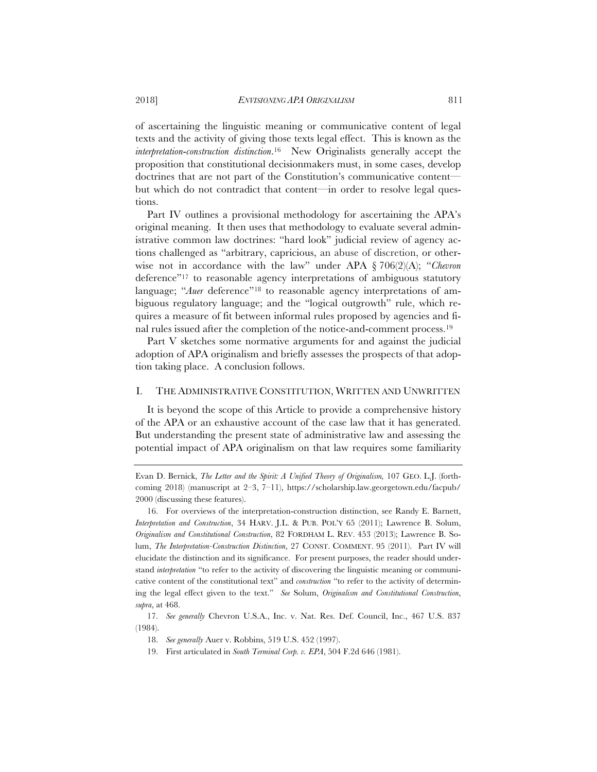of ascertaining the linguistic meaning or communicative content of legal texts and the activity of giving those texts legal effect. This is known as the *interpretation*-*construction distinction*.16 New Originalists generally accept the proposition that constitutional decisionmakers must, in some cases, develop doctrines that are not part of the Constitution's communicative content but which do not contradict that content—in order to resolve legal questions.

Part IV outlines a provisional methodology for ascertaining the APA's original meaning. It then uses that methodology to evaluate several administrative common law doctrines: "hard look" judicial review of agency actions challenged as "arbitrary, capricious, an abuse of discretion, or otherwise not in accordance with the law" under APA § 706(2)(A); "*Chevron* deference"17 to reasonable agency interpretations of ambiguous statutory language; "*Auer* deference"18 to reasonable agency interpretations of ambiguous regulatory language; and the "logical outgrowth" rule, which requires a measure of fit between informal rules proposed by agencies and final rules issued after the completion of the notice-and-comment process.19

Part V sketches some normative arguments for and against the judicial adoption of APA originalism and briefly assesses the prospects of that adoption taking place. A conclusion follows.

## I. THE ADMINISTRATIVE CONSTITUTION, WRITTEN AND UNWRITTEN

It is beyond the scope of this Article to provide a comprehensive history of the APA or an exhaustive account of the case law that it has generated. But understanding the present state of administrative law and assessing the potential impact of APA originalism on that law requires some familiarity

19. First articulated in *South Terminal Corp. v. EPA*, 504 F.2d 646 (1981).

Evan D. Bernick, *The Letter and the Spirit: A Unified Theory of Originalism,* 107 GEO. L.J. (forthcoming 2018) (manuscript at 2–3, 7–11), https://scholarship.law.georgetown.edu/facpub/ 2000 (discussing these features).

<sup>16.</sup> For overviews of the interpretation-construction distinction, see Randy E. Barnett, *Interpretation and Construction*, 34 HARV. J.L. & PUB. POL'Y 65 (2011); Lawrence B. Solum, *Originalism and Constitutional Construction*, 82 FORDHAM L. REV. 453 (2013); Lawrence B. Solum, *The Interpretation-Construction Distinction*, 27 CONST. COMMENT. 95 (2011). Part IV will elucidate the distinction and its significance. For present purposes, the reader should understand *interpretation* "to refer to the activity of discovering the linguistic meaning or communicative content of the constitutional text" and *construction* "to refer to the activity of determining the legal effect given to the text." *See* Solum, *Originalism and Constitutional Construction*, *supra*, at 468.

<sup>17.</sup> *See generally* Chevron U.S.A., Inc. v. Nat. Res. Def. Council, Inc., 467 U.S. 837 (1984).

<sup>18.</sup> *See generally* Auer v. Robbins, 519 U.S. 452 (1997).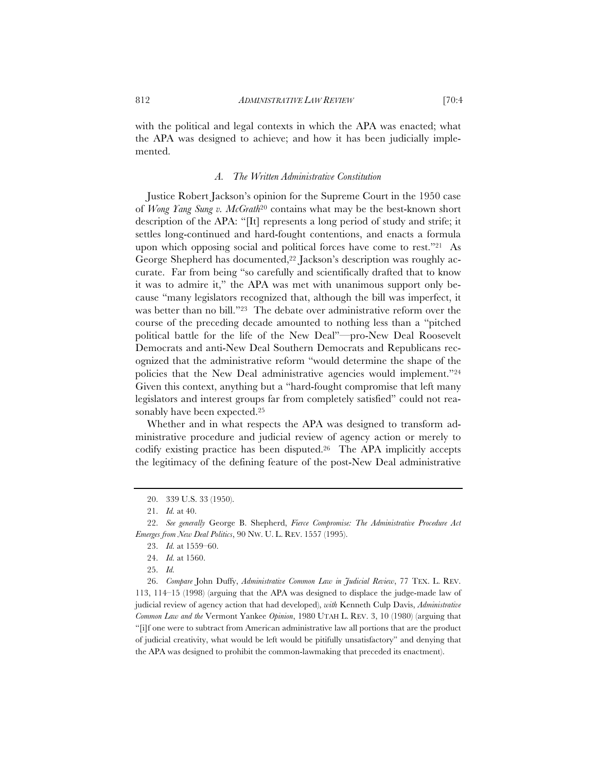with the political and legal contexts in which the APA was enacted; what the APA was designed to achieve; and how it has been judicially implemented.

## *A. The Written Administrative Constitution*

Justice Robert Jackson's opinion for the Supreme Court in the 1950 case of *Wong Yang Sung v. McGrath*<sup>20</sup> contains what may be the best-known short description of the APA: "[It] represents a long period of study and strife; it settles long-continued and hard-fought contentions, and enacts a formula upon which opposing social and political forces have come to rest."21 As George Shepherd has documented,<sup>22</sup> Jackson's description was roughly accurate. Far from being "so carefully and scientifically drafted that to know it was to admire it," the APA was met with unanimous support only because "many legislators recognized that, although the bill was imperfect, it was better than no bill."23 The debate over administrative reform over the course of the preceding decade amounted to nothing less than a "pitched political battle for the life of the New Deal"—pro-New Deal Roosevelt Democrats and anti-New Deal Southern Democrats and Republicans recognized that the administrative reform "would determine the shape of the policies that the New Deal administrative agencies would implement."24 Given this context, anything but a "hard-fought compromise that left many legislators and interest groups far from completely satisfied" could not reasonably have been expected.25

Whether and in what respects the APA was designed to transform administrative procedure and judicial review of agency action or merely to codify existing practice has been disputed.26 The APA implicitly accepts the legitimacy of the defining feature of the post-New Deal administrative

26. *Compare* John Duffy, *Administrative Common Law in Judicial Review*, 77 TEX. L. REV. 113, 114–15 (1998) (arguing that the APA was designed to displace the judge-made law of judicial review of agency action that had developed), *with* Kenneth Culp Davis, *Administrative Common Law and the* Vermont Yankee *Opinion*, 1980 UTAH L. REV. 3, 10 (1980) (arguing that "[i]f one were to subtract from American administrative law all portions that are the product of judicial creativity, what would be left would be pitifully unsatisfactory" and denying that the APA was designed to prohibit the common-lawmaking that preceded its enactment).

<sup>20. 339</sup> U.S. 33 (1950).

<sup>21.</sup> *Id.* at 40.

<sup>22.</sup> *See generally* George B. Shepherd, *Fierce Compromise: The Administrative Procedure Act Emerges from New Deal Politics*, 90 NW. U. L. REV. 1557 (1995).

<sup>23.</sup> *Id.* at 1559–60.

<sup>24.</sup> *Id.* at 1560.

<sup>25.</sup> *Id.*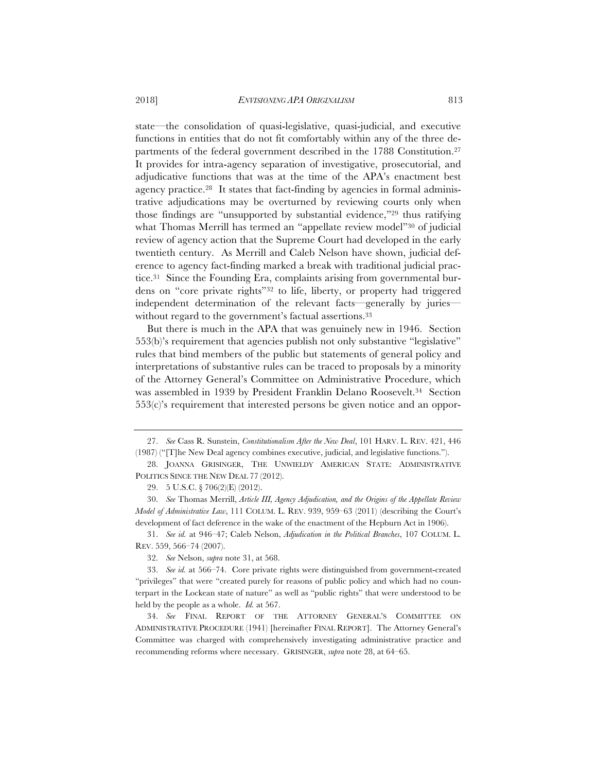state—the consolidation of quasi-legislative, quasi-judicial, and executive functions in entities that do not fit comfortably within any of the three departments of the federal government described in the 1788 Constitution.27 It provides for intra-agency separation of investigative, prosecutorial, and adjudicative functions that was at the time of the APA's enactment best agency practice.28 It states that fact-finding by agencies in formal administrative adjudications may be overturned by reviewing courts only when those findings are "unsupported by substantial evidence,"29 thus ratifying what Thomas Merrill has termed an "appellate review model"<sup>30</sup> of judicial review of agency action that the Supreme Court had developed in the early twentieth century. As Merrill and Caleb Nelson have shown, judicial deference to agency fact-finding marked a break with traditional judicial practice.31 Since the Founding Era, complaints arising from governmental burdens on "core private rights"32 to life, liberty, or property had triggered independent determination of the relevant facts—generally by juries without regard to the government's factual assertions.<sup>33</sup>

But there is much in the APA that was genuinely new in 1946. Section 553(b)'s requirement that agencies publish not only substantive "legislative" rules that bind members of the public but statements of general policy and interpretations of substantive rules can be traced to proposals by a minority of the Attorney General's Committee on Administrative Procedure, which was assembled in 1939 by President Franklin Delano Roosevelt.34 Section  $553(c)$ 's requirement that interested persons be given notice and an oppor-

<sup>27.</sup> *See* Cass R. Sunstein, *Constitutionalism After the New Deal*, 101 HARV. L. REV. 421, 446 (1987) ("[T]he New Deal agency combines executive, judicial, and legislative functions.").

<sup>28.</sup> JOANNA GRISINGER, THE UNWIELDY AMERICAN STATE: ADMINISTRATIVE POLITICS SINCE THE NEW DEAL 77 (2012).

<sup>29. 5</sup> U.S.C. § 706(2)(E) (2012).

<sup>30.</sup> *See* Thomas Merrill, *Article III, Agency Adjudication, and the Origins of the Appellate Review Model of Administrative Law*, 111 COLUM. L. REV. 939, 959–63 (2011) (describing the Court's development of fact deference in the wake of the enactment of the Hepburn Act in 1906).

<sup>31.</sup> *See id.* at 946–47; Caleb Nelson, *Adjudication in the Political Branches*, 107 COLUM. L. REV. 559, 566–74 (2007).

<sup>32.</sup> *See* Nelson, *supra* note 31, at 568.

<sup>33.</sup> *See id.* at 566–74. Core private rights were distinguished from government-created "privileges" that were "created purely for reasons of public policy and which had no counterpart in the Lockean state of nature" as well as "public rights" that were understood to be held by the people as a whole. *Id.* at 567.

<sup>34.</sup> *See* FINAL REPORT OF THE ATTORNEY GENERAL'S COMMITTEE ON ADMINISTRATIVE PROCEDURE (1941) [hereinafter FINAL REPORT]. The Attorney General's Committee was charged with comprehensively investigating administrative practice and recommending reforms where necessary. GRISINGER, *supra* note 28, at 64–65.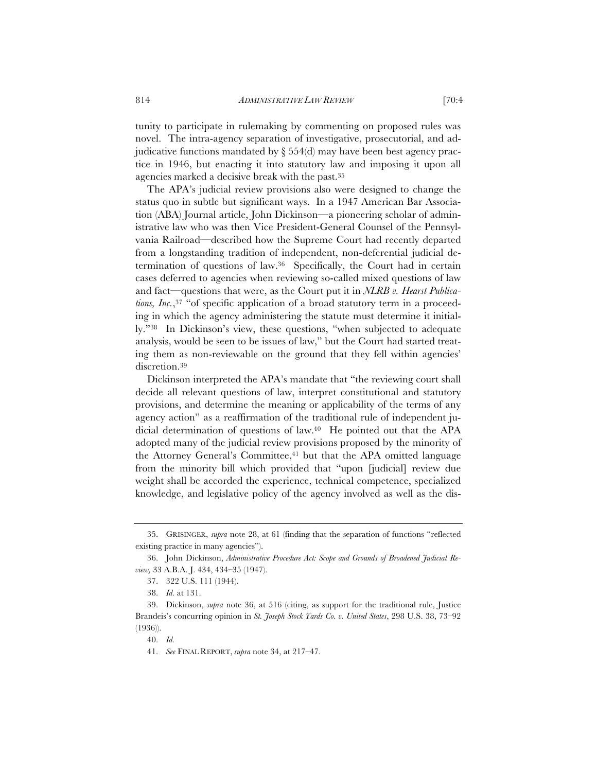tunity to participate in rulemaking by commenting on proposed rules was novel. The intra-agency separation of investigative, prosecutorial, and adjudicative functions mandated by  $\S 554$ (d) may have been best agency practice in 1946, but enacting it into statutory law and imposing it upon all agencies marked a decisive break with the past.35

The APA's judicial review provisions also were designed to change the status quo in subtle but significant ways. In a 1947 American Bar Association (ABA) Journal article, John Dickinson—a pioneering scholar of administrative law who was then Vice President-General Counsel of the Pennsylvania Railroad—described how the Supreme Court had recently departed from a longstanding tradition of independent, non-deferential judicial determination of questions of law.36 Specifically, the Court had in certain cases deferred to agencies when reviewing so-called mixed questions of law and fact—questions that were, as the Court put it in *NLRB v. Hearst Publications, Inc.*,<sup>37</sup> "of specific application of a broad statutory term in a proceeding in which the agency administering the statute must determine it initially."38 In Dickinson's view, these questions, "when subjected to adequate analysis, would be seen to be issues of law," but the Court had started treating them as non-reviewable on the ground that they fell within agencies' discretion.39

Dickinson interpreted the APA's mandate that "the reviewing court shall decide all relevant questions of law, interpret constitutional and statutory provisions, and determine the meaning or applicability of the terms of any agency action" as a reaffirmation of the traditional rule of independent judicial determination of questions of law.40 He pointed out that the APA adopted many of the judicial review provisions proposed by the minority of the Attorney General's Committee,<sup>41</sup> but that the APA omitted language from the minority bill which provided that "upon [judicial] review due weight shall be accorded the experience, technical competence, specialized knowledge, and legislative policy of the agency involved as well as the dis-

<sup>35.</sup> GRISINGER, *supra* note 28, at 61 (finding that the separation of functions "reflected existing practice in many agencies").

<sup>36.</sup> John Dickinson, *Administrative Procedure Act: Scope and Grounds of Broadened Judicial Review,* 33 A.B.A. J. 434, 434–35 (1947).

<sup>37. 322</sup> U.S. 111 (1944).

<sup>38.</sup> *Id.* at 131.

<sup>39.</sup> Dickinson, *supra* note 36, at 516 (citing, as support for the traditional rule, Justice Brandeis's concurring opinion in *St. Joseph Stock Yards Co. v. United States*, 298 U.S. 38, 73–92 (1936)).

<sup>40.</sup> *Id.*

<sup>41.</sup> *See* FINAL REPORT, *supra* note 34, at 217–47.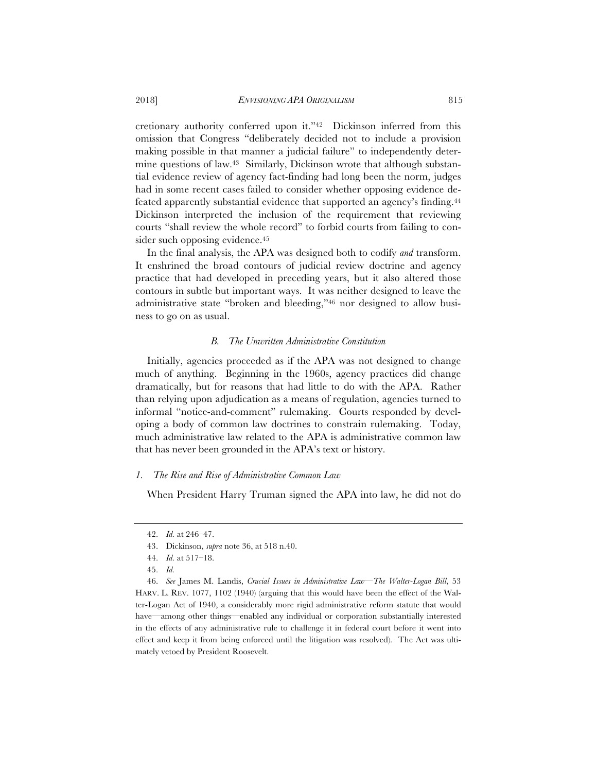cretionary authority conferred upon it."42 Dickinson inferred from this omission that Congress "deliberately decided not to include a provision making possible in that manner a judicial failure" to independently determine questions of law.43 Similarly, Dickinson wrote that although substantial evidence review of agency fact-finding had long been the norm, judges had in some recent cases failed to consider whether opposing evidence defeated apparently substantial evidence that supported an agency's finding.<sup>44</sup> Dickinson interpreted the inclusion of the requirement that reviewing courts "shall review the whole record" to forbid courts from failing to consider such opposing evidence.<sup>45</sup>

In the final analysis, the APA was designed both to codify *and* transform. It enshrined the broad contours of judicial review doctrine and agency practice that had developed in preceding years, but it also altered those contours in subtle but important ways. It was neither designed to leave the administrative state "broken and bleeding,"46 nor designed to allow business to go on as usual.

## *B. The Unwritten Administrative Constitution*

Initially, agencies proceeded as if the APA was not designed to change much of anything. Beginning in the 1960s, agency practices did change dramatically, but for reasons that had little to do with the APA. Rather than relying upon adjudication as a means of regulation, agencies turned to informal "notice-and-comment" rulemaking. Courts responded by developing a body of common law doctrines to constrain rulemaking. Today, much administrative law related to the APA is administrative common law that has never been grounded in the APA's text or history.

## *1. The Rise and Rise of Administrative Common Law*

When President Harry Truman signed the APA into law, he did not do

<sup>42.</sup> *Id.* at 246–47.

<sup>43.</sup> Dickinson, *supra* note 36, at 518 n.40.

<sup>44.</sup> *Id.* at 517–18.

<sup>45.</sup> *Id.*

<sup>46.</sup> *See* James M. Landis, *Crucial Issues in Administrative Law—The Walter-Logan Bill*, 53 HARV. L. REV. 1077, 1102 (1940) (arguing that this would have been the effect of the Walter-Logan Act of 1940, a considerably more rigid administrative reform statute that would have—among other things—enabled any individual or corporation substantially interested in the effects of any administrative rule to challenge it in federal court before it went into effect and keep it from being enforced until the litigation was resolved). The Act was ultimately vetoed by President Roosevelt.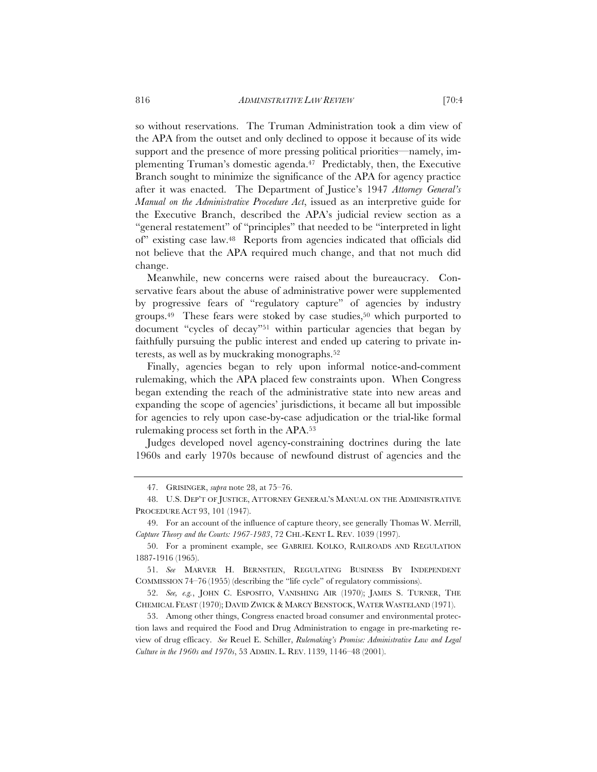so without reservations. The Truman Administration took a dim view of the APA from the outset and only declined to oppose it because of its wide support and the presence of more pressing political priorities—namely, implementing Truman's domestic agenda.47 Predictably, then, the Executive Branch sought to minimize the significance of the APA for agency practice after it was enacted. The Department of Justice's 1947 *Attorney General's Manual on the Administrative Procedure Act*, issued as an interpretive guide for the Executive Branch, described the APA's judicial review section as a "general restatement" of "principles" that needed to be "interpreted in light of" existing case law.48 Reports from agencies indicated that officials did not believe that the APA required much change, and that not much did change.

Meanwhile, new concerns were raised about the bureaucracy. Conservative fears about the abuse of administrative power were supplemented by progressive fears of "regulatory capture" of agencies by industry groups.49 These fears were stoked by case studies,50 which purported to document "cycles of decay"51 within particular agencies that began by faithfully pursuing the public interest and ended up catering to private interests, as well as by muckraking monographs.52

Finally, agencies began to rely upon informal notice-and-comment rulemaking, which the APA placed few constraints upon. When Congress began extending the reach of the administrative state into new areas and expanding the scope of agencies' jurisdictions, it became all but impossible for agencies to rely upon case-by-case adjudication or the trial-like formal rulemaking process set forth in the APA.53

Judges developed novel agency-constraining doctrines during the late 1960s and early 1970s because of newfound distrust of agencies and the

<sup>47.</sup> GRISINGER, *supra* note 28, at 75–76.

<sup>48.</sup> U.S. DEP'T OF JUSTICE, ATTORNEY GENERAL'S MANUAL ON THE ADMINISTRATIVE PROCEDURE ACT 93, 101 (1947).

<sup>49.</sup> For an account of the influence of capture theory, see generally Thomas W. Merrill, *Capture Theory and the Courts: 1967-1983*, 72 CHI.-KENT L. REV. 1039 (1997).

<sup>50.</sup> For a prominent example, see GABRIEL KOLKO, RAILROADS AND REGULATION 1887-1916 (1965).

<sup>51.</sup> *See* MARVER H. BERNSTEIN, REGULATING BUSINESS BY INDEPENDENT COMMISSION 74–76 (1955) (describing the "life cycle" of regulatory commissions).

<sup>52.</sup> *See, e.g.*, JOHN C. ESPOSITO, VANISHING AIR (1970); JAMES S. TURNER, THE CHEMICAL FEAST (1970); DAVID ZWICK & MARCY BENSTOCK, WATER WASTELAND (1971).

<sup>53.</sup> Among other things, Congress enacted broad consumer and environmental protection laws and required the Food and Drug Administration to engage in pre-marketing review of drug efficacy. *See* Reuel E. Schiller, *Rulemaking's Promise: Administrative Law and Legal Culture in the 1960s and 1970s*, 53 ADMIN. L. REV. 1139, 1146–48 (2001).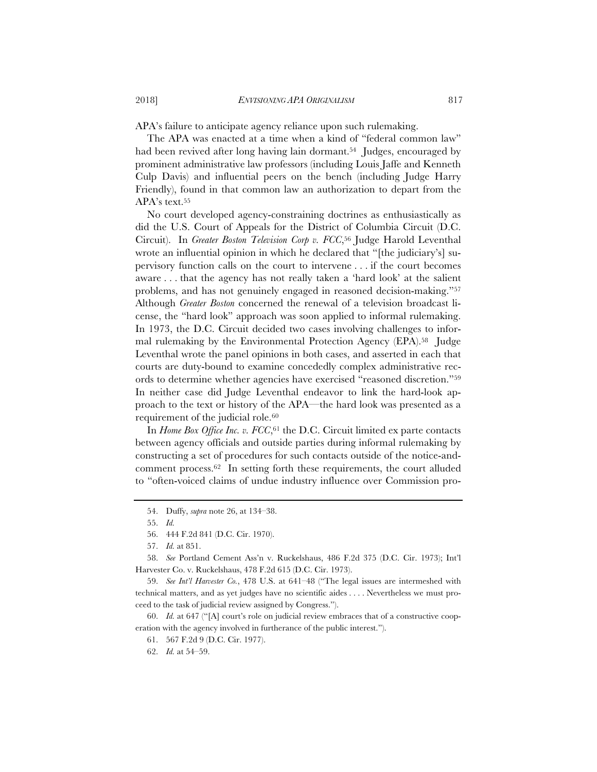APA's failure to anticipate agency reliance upon such rulemaking.

The APA was enacted at a time when a kind of "federal common law" had been revived after long having lain dormant.<sup>54</sup> Judges, encouraged by prominent administrative law professors (including Louis Jaffe and Kenneth Culp Davis) and influential peers on the bench (including Judge Harry Friendly), found in that common law an authorization to depart from the APA's text.<sup>55</sup>

No court developed agency-constraining doctrines as enthusiastically as did the U.S. Court of Appeals for the District of Columbia Circuit (D.C. Circuit). In *Greater Boston Television Corp v. FCC*,56 Judge Harold Leventhal wrote an influential opinion in which he declared that "[the judiciary's] supervisory function calls on the court to intervene . . . if the court becomes aware . . . that the agency has not really taken a 'hard look' at the salient problems, and has not genuinely engaged in reasoned decision-making."57 Although *Greater Boston* concerned the renewal of a television broadcast license, the "hard look" approach was soon applied to informal rulemaking. In 1973, the D.C. Circuit decided two cases involving challenges to informal rulemaking by the Environmental Protection Agency (EPA).58 Judge Leventhal wrote the panel opinions in both cases, and asserted in each that courts are duty-bound to examine concededly complex administrative records to determine whether agencies have exercised "reasoned discretion."59 In neither case did Judge Leventhal endeavor to link the hard-look approach to the text or history of the APA—the hard look was presented as a requirement of the judicial role.<sup>60</sup>

In *Home Box Office Inc. v. FCC*,<sup>61</sup> the D.C. Circuit limited ex parte contacts between agency officials and outside parties during informal rulemaking by constructing a set of procedures for such contacts outside of the notice-andcomment process.62 In setting forth these requirements, the court alluded to "often-voiced claims of undue industry influence over Commission pro-

<sup>54.</sup> Duffy, *supra* note 26, at 134–38.

<sup>55.</sup> *Id.*

<sup>56. 444</sup> F.2d 841 (D.C. Cir. 1970).

<sup>57.</sup> *Id.* at 851.

<sup>58.</sup> *See* Portland Cement Ass'n v. Ruckelshaus, 486 F.2d 375 (D.C. Cir. 1973); Int'l Harvester Co. v. Ruckelshaus, 478 F.2d 615 (D.C. Cir. 1973).

<sup>59.</sup> *See Int'l Harvester Co.*, 478 U.S. at 641–48 ("The legal issues are intermeshed with technical matters, and as yet judges have no scientific aides . . . . Nevertheless we must proceed to the task of judicial review assigned by Congress.").

<sup>60.</sup> *Id.* at 647 ("[A] court's role on judicial review embraces that of a constructive cooperation with the agency involved in furtherance of the public interest.").

<sup>61. 567</sup> F.2d 9 (D.C. Cir. 1977).

<sup>62.</sup> *Id.* at 54–59.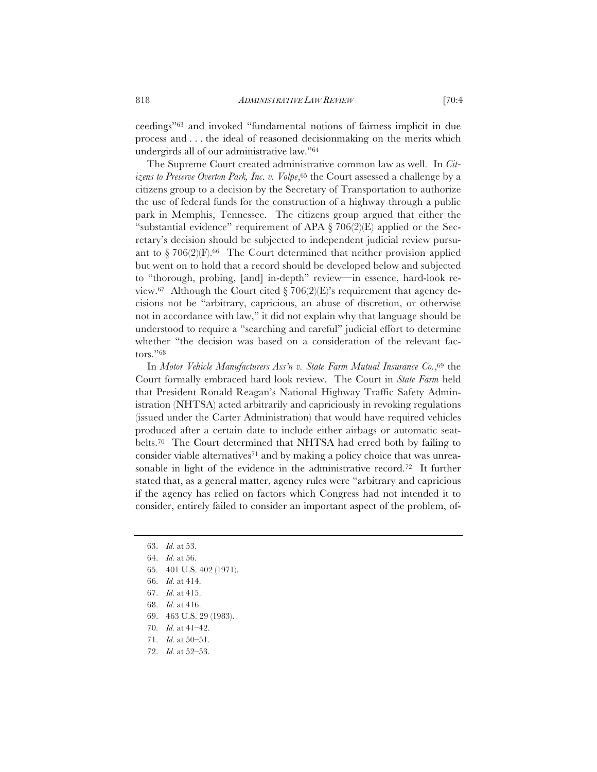ceedings"63 and invoked "fundamental notions of fairness implicit in due process and . . . the ideal of reasoned decisionmaking on the merits which undergirds all of our administrative law."64

The Supreme Court created administrative common law as well. In *Citizens to Preserve Overton Park, Inc. v. Volpe*,<sup>65</sup> the Court assessed a challenge by a citizens group to a decision by the Secretary of Transportation to authorize the use of federal funds for the construction of a highway through a public park in Memphis, Tennessee. The citizens group argued that either the "substantial evidence" requirement of APA  $\S 706(2)(E)$  applied or the Secretary's decision should be subjected to independent judicial review pursuant to  $\S 706(2)(F).<sup>66</sup>$  The Court determined that neither provision applied but went on to hold that a record should be developed below and subjected to "thorough, probing, [and] in-depth" review—in essence, hard-look review.<sup>67</sup> Although the Court cited  $\S 706(2)(E)$ 's requirement that agency decisions not be "arbitrary, capricious, an abuse of discretion, or otherwise not in accordance with law," it did not explain why that language should be understood to require a "searching and careful" judicial effort to determine whether "the decision was based on a consideration of the relevant factors."68

In *Motor Vehicle Manufacturers Ass'n v. State Farm Mutual Insurance Co.*,69 the Court formally embraced hard look review. The Court in *State Farm* held that President Ronald Reagan's National Highway Traffic Safety Administration (NHTSA) acted arbitrarily and capriciously in revoking regulations (issued under the Carter Administration) that would have required vehicles produced after a certain date to include either airbags or automatic seatbelts.70 The Court determined that NHTSA had erred both by failing to consider viable alternatives<sup>71</sup> and by making a policy choice that was unreasonable in light of the evidence in the administrative record.72 It further stated that, as a general matter, agency rules were "arbitrary and capricious if the agency has relied on factors which Congress had not intended it to consider, entirely failed to consider an important aspect of the problem, of-

- 63. *Id.* at 53.
- 64. *Id.* at 56.
- 65. 401 U.S. 402 (1971).
- 66. *Id.* at 414.
- 67. *Id.* at 415.
- 68. *Id.* at 416.
- 69. 463 U.S. 29 (1983).
- 70. *Id.* at 41–42.
- 71. *Id.* at 50–51.
- 72. *Id.* at 52–53.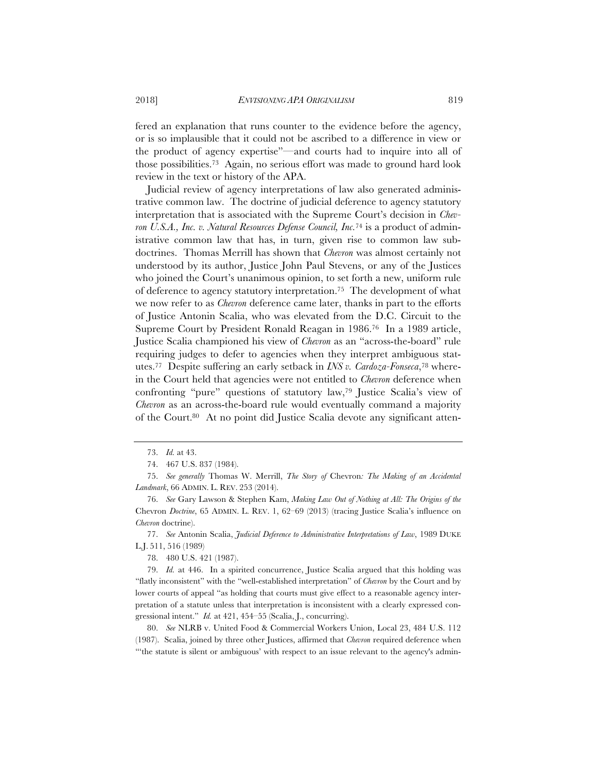fered an explanation that runs counter to the evidence before the agency, or is so implausible that it could not be ascribed to a difference in view or the product of agency expertise"—and courts had to inquire into all of those possibilities.73 Again, no serious effort was made to ground hard look review in the text or history of the APA.

Judicial review of agency interpretations of law also generated administrative common law. The doctrine of judicial deference to agency statutory interpretation that is associated with the Supreme Court's decision in *Chevron U.S.A., Inc. v. Natural Resources Defense Council, Inc.*74 is a product of administrative common law that has, in turn, given rise to common law subdoctrines. Thomas Merrill has shown that *Chevron* was almost certainly not understood by its author, Justice John Paul Stevens, or any of the Justices who joined the Court's unanimous opinion, to set forth a new, uniform rule of deference to agency statutory interpretation.75 The development of what we now refer to as *Chevron* deference came later, thanks in part to the efforts of Justice Antonin Scalia, who was elevated from the D.C. Circuit to the Supreme Court by President Ronald Reagan in 1986.76 In a 1989 article, Justice Scalia championed his view of *Chevron* as an "across-the-board" rule requiring judges to defer to agencies when they interpret ambiguous statutes.77 Despite suffering an early setback in *INS v. Cardoza-Fonseca*,78 wherein the Court held that agencies were not entitled to *Chevron* deference when confronting "pure" questions of statutory law,79 Justice Scalia's view of *Chevron* as an across-the-board rule would eventually command a majority of the Court.80 At no point did Justice Scalia devote any significant atten-

<sup>73.</sup> *Id.* at 43.

<sup>74. 467</sup> U.S. 837 (1984).

<sup>75.</sup> *See generally* Thomas W. Merrill, *The Story of* Chevron*: The Making of an Accidental Landmark*, 66 ADMIN. L. REV. 253 (2014).

<sup>76.</sup> *See* Gary Lawson & Stephen Kam, *Making Law Out of Nothing at All: The Origins of the* Chevron *Doctrine*, 65 ADMIN. L. REV. 1, 62–69 (2013) (tracing Justice Scalia's influence on *Chevron* doctrine).

<sup>77.</sup> *See* Antonin Scalia, *Judicial Deference to Administrative Interpretations of Law*, 1989 DUKE L.J. 511, 516 (1989)

<sup>78. 480</sup> U.S. 421 (1987).

<sup>79.</sup> *Id.* at 446. In a spirited concurrence, Justice Scalia argued that this holding was "flatly inconsistent" with the "well-established interpretation" of *Chevron* by the Court and by lower courts of appeal "as holding that courts must give effect to a reasonable agency interpretation of a statute unless that interpretation is inconsistent with a clearly expressed congressional intent." *Id.* at 421, 454–55 (Scalia, J., concurring).

<sup>80.</sup> *See* NLRB v. United Food & Commercial Workers Union, Local 23, 484 U.S. 112 (1987). Scalia, joined by three other Justices, affirmed that *Chevron* required deference when "'the statute is silent or ambiguous' with respect to an issue relevant to the agency's admin-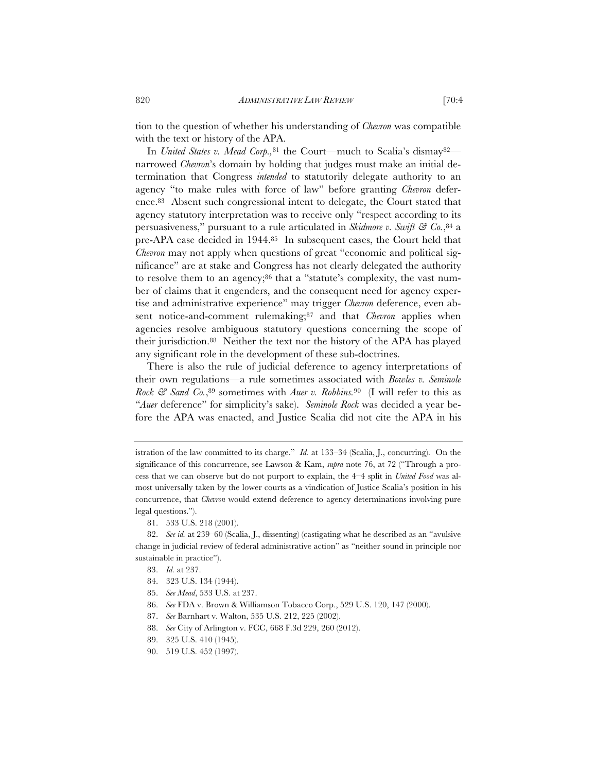tion to the question of whether his understanding of *Chevron* was compatible with the text or history of the APA.

In *United States v. Mead Corp.,*<sup>81</sup> the Court—much to Scalia's dismay82 narrowed *Chevron*'s domain by holding that judges must make an initial determination that Congress *intended* to statutorily delegate authority to an agency "to make rules with force of law" before granting *Chevron* deference.83 Absent such congressional intent to delegate, the Court stated that agency statutory interpretation was to receive only "respect according to its persuasiveness," pursuant to a rule articulated in *Skidmore v. Swift & Co.*,84 a pre-APA case decided in 1944.85 In subsequent cases, the Court held that *Chevron* may not apply when questions of great "economic and political significance" are at stake and Congress has not clearly delegated the authority to resolve them to an agency;<sup>86</sup> that a "statute's complexity, the vast number of claims that it engenders, and the consequent need for agency expertise and administrative experience" may trigger *Chevron* deference, even absent notice-and-comment rulemaking;87 and that *Chevron* applies when agencies resolve ambiguous statutory questions concerning the scope of their jurisdiction.88 Neither the text nor the history of the APA has played any significant role in the development of these sub-doctrines.

There is also the rule of judicial deference to agency interpretations of their own regulations—a rule sometimes associated with *Bowles v. Seminole Rock & Sand Co.*,89 sometimes with *Auer v. Robbins.*<sup>90</sup> (I will refer to this as "*Auer* deference" for simplicity's sake). *Seminole Rock* was decided a year before the APA was enacted, and Justice Scalia did not cite the APA in his

81. 533 U.S. 218 (2001).

82. *See id.* at 239–60 (Scalia, J., dissenting) (castigating what he described as an "avulsive change in judicial review of federal administrative action" as "neither sound in principle nor sustainable in practice").

- 83. *Id.* at 237.
- 84. 323 U.S. 134 (1944).
- 85. *See Mead*, 533 U.S. at 237.
- 86. *See* FDA v. Brown & Williamson Tobacco Corp., 529 U.S. 120, 147 (2000).
- 87. *See* Barnhart v. Walton, 535 U.S. 212, 225 (2002).
- 88. *See* City of Arlington v. FCC, 668 F.3d 229, 260 (2012).
- 89. 325 U.S. 410 (1945).
- 90. 519 U.S. 452 (1997).

istration of the law committed to its charge." *Id.* at 133–34 (Scalia, J., concurring). On the significance of this concurrence, see Lawson & Kam, *supra* note 76, at 72 ("Through a process that we can observe but do not purport to explain, the 4–4 split in *United Food* was almost universally taken by the lower courts as a vindication of Justice Scalia's position in his concurrence, that *Chevron* would extend deference to agency determinations involving pure legal questions.").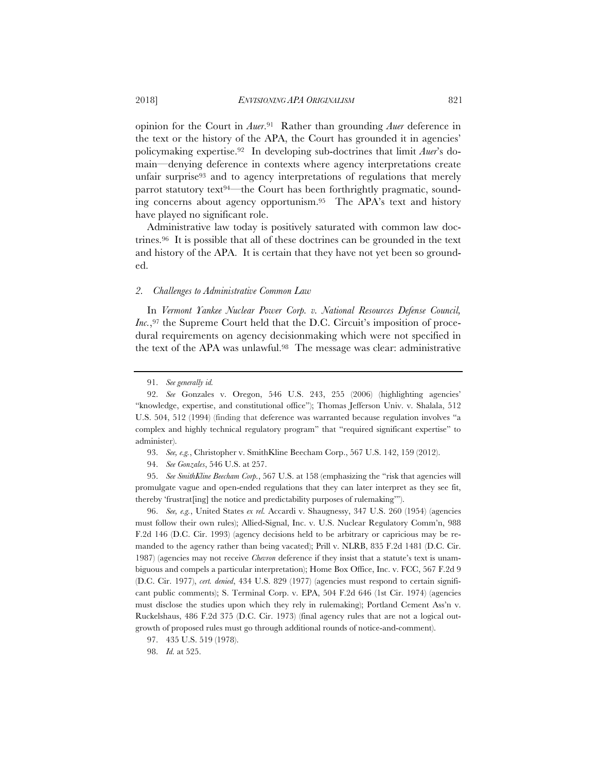opinion for the Court in *Auer*.91 Rather than grounding *Auer* deference in the text or the history of the APA, the Court has grounded it in agencies' policymaking expertise.92 In developing sub-doctrines that limit *Auer*'s domain—denying deference in contexts where agency interpretations create unfair surprise<sup>93</sup> and to agency interpretations of regulations that merely parrot statutory text94—the Court has been forthrightly pragmatic, sounding concerns about agency opportunism.95 The APA's text and history have played no significant role.

Administrative law today is positively saturated with common law doctrines.96 It is possible that all of these doctrines can be grounded in the text and history of the APA. It is certain that they have not yet been so grounded.

## *2. Challenges to Administrative Common Law*

In *Vermont Yankee Nuclear Power Corp. v. National Resources Defense Council, Inc.*,<sup>97</sup> the Supreme Court held that the D.C. Circuit's imposition of procedural requirements on agency decisionmaking which were not specified in the text of the APA was unlawful.98 The message was clear: administrative

95. *See SmithKline Beecham Corp.*, 567 U.S. at 158 (emphasizing the "risk that agencies will promulgate vague and open-ended regulations that they can later interpret as they see fit, thereby 'frustrat[ing] the notice and predictability purposes of rulemaking'").

96. *See, e.g.*, United States *ex rel.* Accardi v. Shaugnessy, 347 U.S. 260 (1954) (agencies must follow their own rules); Allied-Signal, Inc. v. U.S. Nuclear Regulatory Comm'n, 988 F.2d 146 (D.C. Cir. 1993) (agency decisions held to be arbitrary or capricious may be remanded to the agency rather than being vacated); Prill v. NLRB, 835 F.2d 1481 (D.C. Cir. 1987) (agencies may not receive *Chevron* deference if they insist that a statute's text is unambiguous and compels a particular interpretation); Home Box Office, Inc. v. FCC, 567 F.2d 9 (D.C. Cir. 1977), *cert. denied*, 434 U.S. 829 (1977) (agencies must respond to certain significant public comments); S. Terminal Corp. v. EPA, 504 F.2d 646 (1st Cir. 1974) (agencies must disclose the studies upon which they rely in rulemaking); Portland Cement Ass'n v. Ruckelshaus, 486 F.2d 375 (D.C. Cir. 1973) (final agency rules that are not a logical outgrowth of proposed rules must go through additional rounds of notice-and-comment).

<sup>91.</sup> *See generally id.*

<sup>92.</sup> *See* Gonzales v. Oregon, 546 U.S. 243, 255 (2006) (highlighting agencies' "knowledge, expertise, and constitutional office"); Thomas Jefferson Univ. v. Shalala, 512 U.S. 504, 512 (1994) (finding that deference was warranted because regulation involves "a complex and highly technical regulatory program" that "required significant expertise" to administer).

<sup>93.</sup> *See, e.g.*, Christopher v. SmithKline Beecham Corp., 567 U.S. 142, 159 (2012).

<sup>94.</sup> *See Gonzales*, 546 U.S. at 257.

<sup>97. 435</sup> U.S. 519 (1978).

<sup>98.</sup> *Id.* at 525.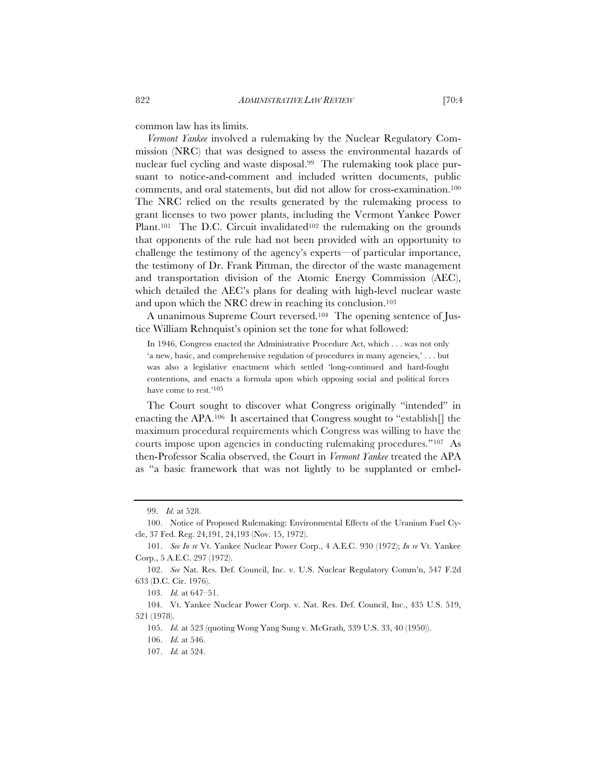common law has its limits.

*Vermont Yankee* involved a rulemaking by the Nuclear Regulatory Commission (NRC) that was designed to assess the environmental hazards of nuclear fuel cycling and waste disposal.99 The rulemaking took place pursuant to notice-and-comment and included written documents, public comments, and oral statements, but did not allow for cross-examination.100 The NRC relied on the results generated by the rulemaking process to grant licenses to two power plants, including the Vermont Yankee Power Plant.<sup>101</sup> The D.C. Circuit invalidated<sup>102</sup> the rulemaking on the grounds that opponents of the rule had not been provided with an opportunity to challenge the testimony of the agency's experts—of particular importance, the testimony of Dr. Frank Pittman, the director of the waste management and transportation division of the Atomic Energy Commission (AEC), which detailed the AEC's plans for dealing with high-level nuclear waste and upon which the NRC drew in reaching its conclusion.103

A unanimous Supreme Court reversed.104 The opening sentence of Justice William Rehnquist's opinion set the tone for what followed:

In 1946, Congress enacted the Administrative Procedure Act, which . . . was not only 'a new, basic, and comprehensive regulation of procedures in many agencies,' . . . but was also a legislative enactment which settled 'long-continued and hard-fought contentions, and enacts a formula upon which opposing social and political forces have come to rest.'<sup>105</sup>

The Court sought to discover what Congress originally "intended" in enacting the APA.106 It ascertained that Congress sought to "establish[] the maximum procedural requirements which Congress was willing to have the courts impose upon agencies in conducting rulemaking procedures."107 As then-Professor Scalia observed, the Court in *Vermont Yankee* treated the APA as "a basic framework that was not lightly to be supplanted or embel-

105. *Id.* at 523 (quoting Wong Yang Sung v. McGrath*,* 339 U.S. 33, 40 (1950)).

<sup>99.</sup> *Id.* at 528.

<sup>100.</sup> Notice of Proposed Rulemaking: Environmental Effects of the Uranium Fuel Cycle, 37 Fed. Reg. 24,191, 24,193 (Nov. 15, 1972).

<sup>101.</sup> *See In re* Vt. Yankee Nuclear Power Corp., 4 A.E.C. 930 (1972); *In re* Vt. Yankee Corp., 5 A.E.C. 297 (1972).

<sup>102.</sup> *See* Nat. Res. Def. Council, Inc. v. U.S. Nuclear Regulatory Comm'n, 547 F.2d 633 (D.C. Cir. 1976).

<sup>103.</sup> *Id.* at 647–51.

<sup>104.</sup> Vt. Yankee Nuclear Power Corp. v. Nat. Res. Def. Council, Inc., 435 U.S. 519, 521 (1978).

<sup>106.</sup> *Id.* at 546.

<sup>107.</sup> *Id.* at 524.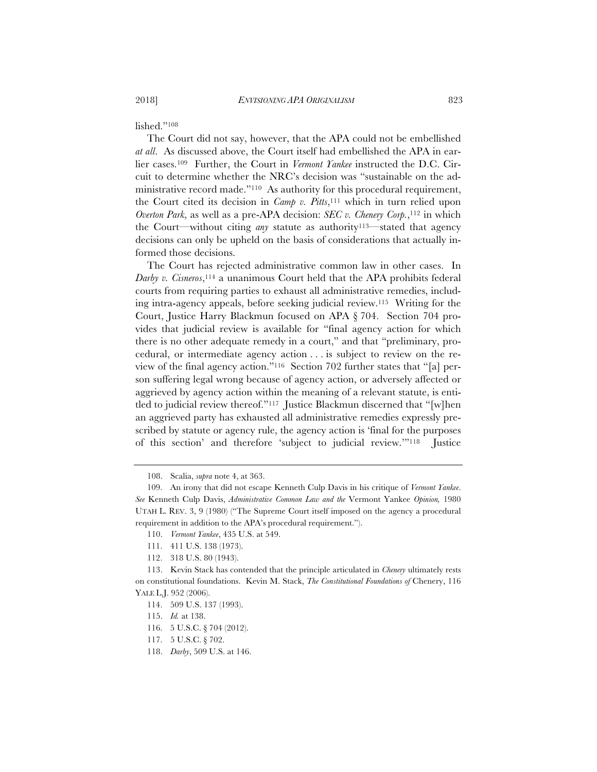lished."108

The Court did not say, however, that the APA could not be embellished *at all*. As discussed above, the Court itself had embellished the APA in earlier cases.109 Further, the Court in *Vermont Yankee* instructed the D.C. Circuit to determine whether the NRC's decision was "sustainable on the administrative record made."110 As authority for this procedural requirement, the Court cited its decision in *Camp v. Pitts*,111 which in turn relied upon *Overton Park*, as well as a pre-APA decision: *SEC v. Chenery Corp.*,<sup>112</sup> in which the Court—without citing *any* statute as authority113—stated that agency decisions can only be upheld on the basis of considerations that actually informed those decisions.

The Court has rejected administrative common law in other cases. In *Darby v. Cisneros*,114 a unanimous Court held that the APA prohibits federal courts from requiring parties to exhaust all administrative remedies, including intra-agency appeals, before seeking judicial review.115 Writing for the Court, Justice Harry Blackmun focused on APA § 704. Section 704 provides that judicial review is available for "final agency action for which there is no other adequate remedy in a court," and that "preliminary, procedural, or intermediate agency action . . . is subject to review on the review of the final agency action."116 Section 702 further states that "[a] person suffering legal wrong because of agency action, or adversely affected or aggrieved by agency action within the meaning of a relevant statute, is entitled to judicial review thereof."117 Justice Blackmun discerned that "[w]hen an aggrieved party has exhausted all administrative remedies expressly prescribed by statute or agency rule, the agency action is 'final for the purposes of this section' and therefore 'subject to judicial review.'"118 Justice

<sup>108.</sup> Scalia, *supra* note 4, at 363.

<sup>109.</sup> An irony that did not escape Kenneth Culp Davis in his critique of *Vermont Yankee*. *See* Kenneth Culp Davis, *Administrative Common Law and the* Vermont Yankee *Opinion,* 1980 UTAH L. REV. 3, 9 (1980) ("The Supreme Court itself imposed on the agency a procedural requirement in addition to the APA's procedural requirement.").

<sup>110.</sup> *Vermont Yankee*, 435 U.S. at 549.

<sup>111. 411</sup> U.S. 138 (1973).

<sup>112. 318</sup> U.S. 80 (1943).

<sup>113.</sup> Kevin Stack has contended that the principle articulated in *Chenery* ultimately rests on constitutional foundations. Kevin M. Stack, *The Constitutional Foundations of* Chenery, 116 YALE L.J. 952 (2006).

<sup>114. 509</sup> U.S. 137 (1993).

<sup>115.</sup> *Id.* at 138.

<sup>116. 5</sup> U.S.C. § 704 (2012).

<sup>117. 5</sup> U.S.C. § 702.

<sup>118.</sup> *Darby*, 509 U.S. at 146.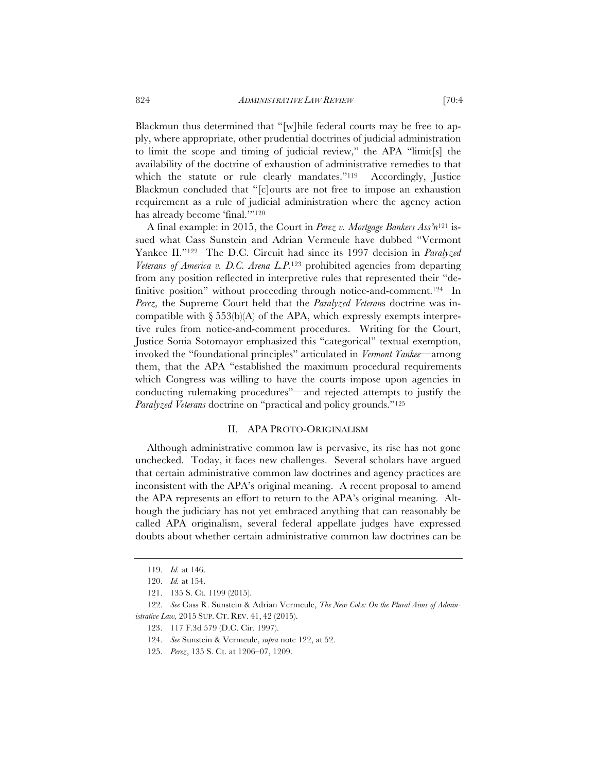Blackmun thus determined that "[w]hile federal courts may be free to apply, where appropriate, other prudential doctrines of judicial administration to limit the scope and timing of judicial review," the APA "limit[s] the availability of the doctrine of exhaustion of administrative remedies to that which the statute or rule clearly mandates."<sup>119</sup> Accordingly, Justice Blackmun concluded that "[c]ourts are not free to impose an exhaustion requirement as a rule of judicial administration where the agency action has already become 'final.'"120

A final example: in 2015, the Court in *Perez v. Mortgage Bankers Ass'n*121 issued what Cass Sunstein and Adrian Vermeule have dubbed "Vermont Yankee II."122 The D.C. Circuit had since its 1997 decision in *Paralyzed Veterans of America v. D.C. Arena L.P.*123 prohibited agencies from departing from any position reflected in interpretive rules that represented their "definitive position" without proceeding through notice-and-comment.124 In *Perez,* the Supreme Court held that the *Paralyzed Veteran*s doctrine was incompatible with  $\S 53(6)(A)$  of the APA, which expressly exempts interpretive rules from notice-and-comment procedures. Writing for the Court, Justice Sonia Sotomayor emphasized this "categorical" textual exemption, invoked the "foundational principles" articulated in *Vermont Yankee*—among them, that the APA "established the maximum procedural requirements which Congress was willing to have the courts impose upon agencies in conducting rulemaking procedures"—and rejected attempts to justify the *Paralyzed Veterans* doctrine on "practical and policy grounds."125

## II. APA PROTO-ORIGINALISM

Although administrative common law is pervasive, its rise has not gone unchecked. Today, it faces new challenges. Several scholars have argued that certain administrative common law doctrines and agency practices are inconsistent with the APA's original meaning. A recent proposal to amend the APA represents an effort to return to the APA's original meaning. Although the judiciary has not yet embraced anything that can reasonably be called APA originalism, several federal appellate judges have expressed doubts about whether certain administrative common law doctrines can be

<sup>119.</sup> *Id.* at 146.

<sup>120.</sup> *Id.* at 154.

<sup>121. 135</sup> S. Ct. 1199 (2015).

<sup>122.</sup> *See* Cass R. Sunstein & Adrian Vermeule, *The New Coke: On the Plural Aims of Administrative Law,* 2015 SUP. CT. REV. 41, 42 (2015).

<sup>123. 117</sup> F.3d 579 (D.C. Cir. 1997).

<sup>124.</sup> *See* Sunstein & Vermeule, *supra* note 122, at 52.

<sup>125.</sup> *Perez*, 135 S. Ct. at 1206–07, 1209.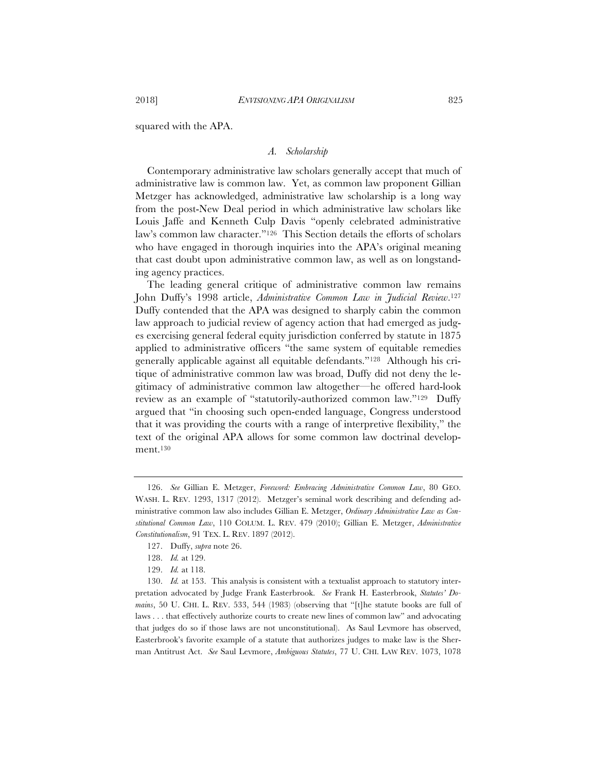squared with the APA.

## *A. Scholarship*

Contemporary administrative law scholars generally accept that much of administrative law is common law. Yet, as common law proponent Gillian Metzger has acknowledged, administrative law scholarship is a long way from the post-New Deal period in which administrative law scholars like Louis Jaffe and Kenneth Culp Davis "openly celebrated administrative law's common law character."126 This Section details the efforts of scholars who have engaged in thorough inquiries into the APA's original meaning that cast doubt upon administrative common law, as well as on longstanding agency practices.

The leading general critique of administrative common law remains John Duffy's 1998 article, *Administrative Common Law in Judicial Review*.127 Duffy contended that the APA was designed to sharply cabin the common law approach to judicial review of agency action that had emerged as judges exercising general federal equity jurisdiction conferred by statute in 1875 applied to administrative officers "the same system of equitable remedies generally applicable against all equitable defendants."128 Although his critique of administrative common law was broad, Duffy did not deny the legitimacy of administrative common law altogether—he offered hard-look review as an example of "statutorily-authorized common law."129 Duffy argued that "in choosing such open-ended language, Congress understood that it was providing the courts with a range of interpretive flexibility," the text of the original APA allows for some common law doctrinal development.130

<sup>126.</sup> *See* Gillian E. Metzger, *Foreword: Embracing Administrative Common Law*, 80 GEO. WASH. L. REV. 1293, 1317 (2012). Metzger's seminal work describing and defending administrative common law also includes Gillian E. Metzger, *Ordinary Administrative Law as Constitutional Common Law*, 110 COLUM. L. REV. 479 (2010); Gillian E. Metzger, *Administrative Constitutionalism*, 91 TEX. L. REV. 1897 (2012).

<sup>127.</sup> Duffy, *supra* note 26.

<sup>128.</sup> *Id.* at 129.

<sup>129.</sup> *Id.* at 118.

<sup>130.</sup> *Id.* at 153. This analysis is consistent with a textualist approach to statutory interpretation advocated by Judge Frank Easterbrook. *See* Frank H. Easterbrook, *Statutes' Do*mains, 50 U. CHI. L. REV. 533, 544 (1983) (observing that "[t]he statute books are full of laws . . . that effectively authorize courts to create new lines of common law" and advocating that judges do so if those laws are not unconstitutional). As Saul Levmore has observed, Easterbrook's favorite example of a statute that authorizes judges to make law is the Sherman Antitrust Act. *See* Saul Levmore, *Ambiguous Statutes*, 77 U. CHI. LAW REV. 1073, 1078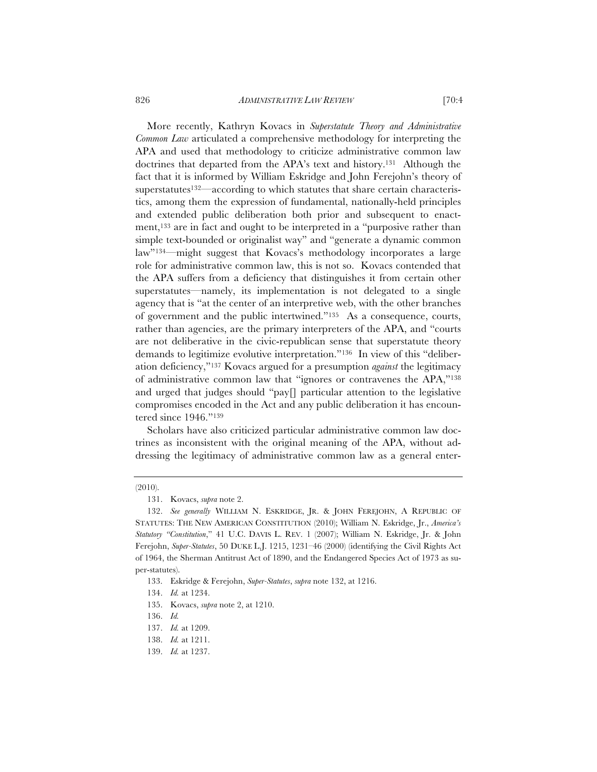826 *ADMINISTRATIVE LAW REVIEW* [70:4

More recently, Kathryn Kovacs in *Superstatute Theory and Administrative Common Law* articulated a comprehensive methodology for interpreting the APA and used that methodology to criticize administrative common law doctrines that departed from the APA's text and history.131 Although the fact that it is informed by William Eskridge and John Ferejohn's theory of superstatutes<sup>132—</sup>according to which statutes that share certain characteristics, among them the expression of fundamental, nationally-held principles and extended public deliberation both prior and subsequent to enactment,133 are in fact and ought to be interpreted in a "purposive rather than simple text-bounded or originalist way" and "generate a dynamic common law"134—might suggest that Kovacs's methodology incorporates a large role for administrative common law, this is not so. Kovacs contended that the APA suffers from a deficiency that distinguishes it from certain other superstatutes—namely, its implementation is not delegated to a single agency that is "at the center of an interpretive web, with the other branches of government and the public intertwined."135 As a consequence, courts, rather than agencies, are the primary interpreters of the APA, and "courts are not deliberative in the civic-republican sense that superstatute theory demands to legitimize evolutive interpretation."136 In view of this "deliberation deficiency,"137 Kovacs argued for a presumption *against* the legitimacy of administrative common law that "ignores or contravenes the APA,"138 and urged that judges should "pay[] particular attention to the legislative compromises encoded in the Act and any public deliberation it has encountered since 1946."139

Scholars have also criticized particular administrative common law doctrines as inconsistent with the original meaning of the APA, without addressing the legitimacy of administrative common law as a general enter-

<sup>(2010).</sup>

<sup>131.</sup> Kovacs, *supra* note 2.

<sup>132.</sup> See generally WILLIAM N. ESKRIDGE, JR. & JOHN FEREJOHN, A REPUBLIC OF STATUTES: THE NEW AMERICAN CONSTITUTION (2010); William N. Eskridge, Jr., *America's Statutory "Constitution*," 41 U.C. DAVIS L. REV. 1 (2007); William N. Eskridge, Jr. & John Ferejohn, *Super-Statutes*, 50 DUKE L.J. 1215, 1231–46 (2000) (identifying the Civil Rights Act of 1964, the Sherman Antitrust Act of 1890, and the Endangered Species Act of 1973 as super-statutes).

<sup>133.</sup> Eskridge & Ferejohn, *Super-Statutes*, *supra* note 132, at 1216.

<sup>134.</sup> *Id.* at 1234.

<sup>135.</sup> Kovacs, *supra* note 2, at 1210.

<sup>136.</sup> *Id.*

<sup>137.</sup> *Id.* at 1209.

<sup>138.</sup> *Id.* at 1211.

<sup>139.</sup> *Id.* at 1237.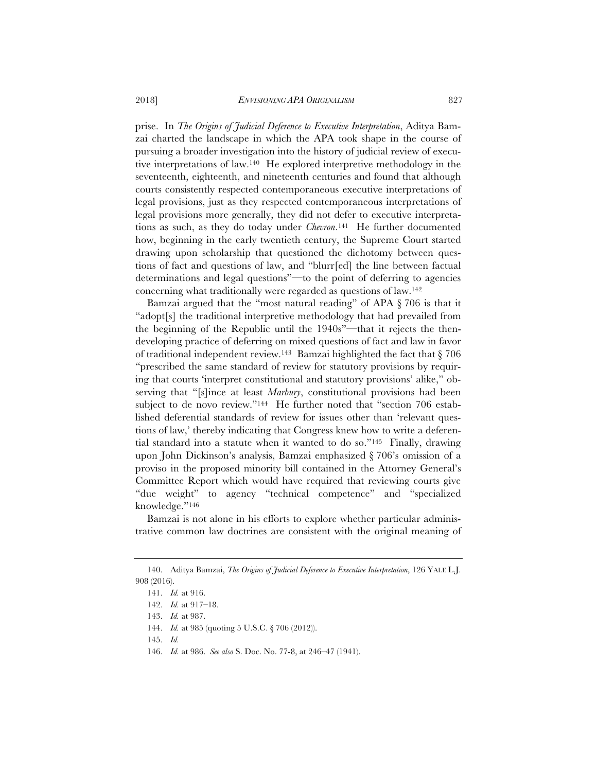prise. In *The Origins of Judicial Deference to Executive Interpretation*, Aditya Bamzai charted the landscape in which the APA took shape in the course of pursuing a broader investigation into the history of judicial review of executive interpretations of law.140 He explored interpretive methodology in the seventeenth, eighteenth, and nineteenth centuries and found that although courts consistently respected contemporaneous executive interpretations of legal provisions, just as they respected contemporaneous interpretations of legal provisions more generally, they did not defer to executive interpretations as such, as they do today under *Chevron*.141 He further documented how, beginning in the early twentieth century, the Supreme Court started drawing upon scholarship that questioned the dichotomy between questions of fact and questions of law, and "blurr[ed] the line between factual determinations and legal questions"—to the point of deferring to agencies concerning what traditionally were regarded as questions of law.142

Bamzai argued that the "most natural reading" of APA § 706 is that it "adopt[s] the traditional interpretive methodology that had prevailed from the beginning of the Republic until the 1940s"—that it rejects the thendeveloping practice of deferring on mixed questions of fact and law in favor of traditional independent review.143 Bamzai highlighted the fact that § 706 "prescribed the same standard of review for statutory provisions by requiring that courts 'interpret constitutional and statutory provisions' alike," observing that "[s]ince at least *Marbury*, constitutional provisions had been subject to de novo review."<sup>144</sup> He further noted that "section 706 established deferential standards of review for issues other than 'relevant questions of law,' thereby indicating that Congress knew how to write a deferential standard into a statute when it wanted to do so."145 Finally, drawing upon John Dickinson's analysis, Bamzai emphasized § 706's omission of a proviso in the proposed minority bill contained in the Attorney General's Committee Report which would have required that reviewing courts give "due weight" to agency "technical competence" and "specialized knowledge."146

Bamzai is not alone in his efforts to explore whether particular administrative common law doctrines are consistent with the original meaning of

146. *Id.* at 986. *See also* S. Doc. No. 77-8, at 246–47 (1941).

<sup>140.</sup> Aditya Bamzai, *The Origins of Judicial Deference to Executive Interpretation*, 126 YALE L.J. 908 (2016).

<sup>141.</sup> *Id.* at 916.

<sup>142.</sup> *Id.* at 917–18.

<sup>143.</sup> *Id.* at 987.

<sup>144.</sup> *Id.* at 985 (quoting 5 U.S.C. § 706 (2012)).

<sup>145.</sup> *Id.*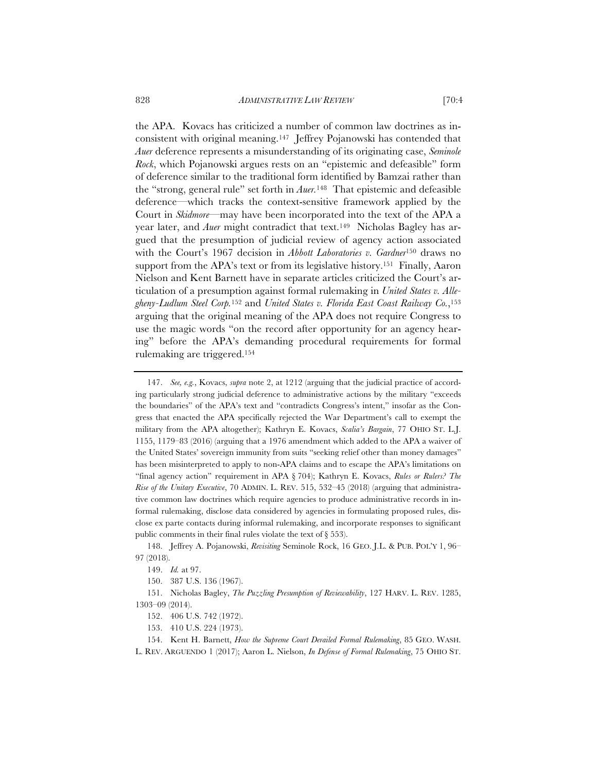the APA. Kovacs has criticized a number of common law doctrines as inconsistent with original meaning.147 Jeffrey Pojanowski has contended that *Auer* deference represents a misunderstanding of its originating case, *Seminole Rock*, which Pojanowski argues rests on an "epistemic and defeasible" form of deference similar to the traditional form identified by Bamzai rather than the "strong, general rule" set forth in *Auer.*148 That epistemic and defeasible deference—which tracks the context-sensitive framework applied by the Court in *Skidmore*—may have been incorporated into the text of the APA a year later, and *Auer* might contradict that text.149 Nicholas Bagley has argued that the presumption of judicial review of agency action associated with the Court's 1967 decision in *Abbott Laboratories v. Gardner*150 draws no support from the APA's text or from its legislative history.<sup>151</sup> Finally, Aaron Nielson and Kent Barnett have in separate articles criticized the Court's articulation of a presumption against formal rulemaking in *United States v. Allegheny-Ludlum Steel Corp.*152 and *United States v. Florida East Coast Railway Co.*,153 arguing that the original meaning of the APA does not require Congress to use the magic words "on the record after opportunity for an agency hearing" before the APA's demanding procedural requirements for formal rulemaking are triggered.154

<sup>147.</sup> *See, e.g.*, Kovacs, *supra* note 2, at 1212 (arguing that the judicial practice of according particularly strong judicial deference to administrative actions by the military "exceeds the boundaries" of the APA's text and "contradicts Congress's intent," insofar as the Congress that enacted the APA specifically rejected the War Department's call to exempt the military from the APA altogether); Kathryn E. Kovacs, *Scalia's Bargain*, 77 OHIO ST. L.J. 1155, 1179–83 (2016) (arguing that a 1976 amendment which added to the APA a waiver of the United States' sovereign immunity from suits "seeking relief other than money damages" has been misinterpreted to apply to non-APA claims and to escape the APA's limitations on "final agency action" requirement in APA § 704); Kathryn E. Kovacs, *Rules or Rulers? The Rise of the Unitary Executive*, 70 ADMIN. L. REV. 515, 532–45 (2018) (arguing that administrative common law doctrines which require agencies to produce administrative records in informal rulemaking, disclose data considered by agencies in formulating proposed rules, disclose ex parte contacts during informal rulemaking, and incorporate responses to significant public comments in their final rules violate the text of § 553).

<sup>148.</sup> Jeffrey A. Pojanowski, *Revisiting* Seminole Rock, 16 GEO. J.L. & PUB. POL'Y 1, 96– 97 (2018).

<sup>149.</sup> *Id.* at 97.

<sup>150. 387</sup> U.S. 136 (1967).

<sup>151.</sup> Nicholas Bagley, *The Puzzling Presumption of Reviewability*, 127 HARV. L. REV. 1285, 1303–09 (2014).

<sup>152. 406</sup> U.S. 742 (1972).

<sup>153. 410</sup> U.S. 224 (1973).

<sup>154.</sup> Kent H. Barnett, *How the Supreme Court Derailed Formal Rulemaking*, 85 GEO. WASH.

L. REV. ARGUENDO 1 (2017); Aaron L. Nielson, *In Defense of Formal Rulemaking*, 75 OHIO ST.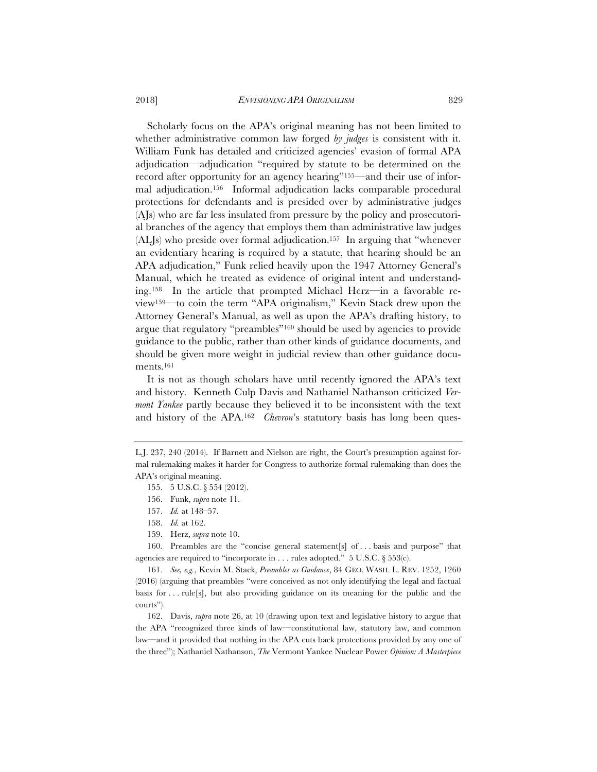Scholarly focus on the APA's original meaning has not been limited to whether administrative common law forged *by judges* is consistent with it. William Funk has detailed and criticized agencies' evasion of formal APA adjudication—adjudication "required by statute to be determined on the record after opportunity for an agency hearing"<sup>155</sup>—and their use of informal adjudication.156 Informal adjudication lacks comparable procedural protections for defendants and is presided over by administrative judges (AJs) who are far less insulated from pressure by the policy and prosecutorial branches of the agency that employs them than administrative law judges (ALJs) who preside over formal adjudication.157 In arguing that "whenever an evidentiary hearing is required by a statute, that hearing should be an APA adjudication," Funk relied heavily upon the 1947 Attorney General's Manual, which he treated as evidence of original intent and understanding.158 In the article that prompted Michael Herz—in a favorable review159—to coin the term "APA originalism," Kevin Stack drew upon the Attorney General's Manual, as well as upon the APA's drafting history, to argue that regulatory "preambles"160 should be used by agencies to provide guidance to the public, rather than other kinds of guidance documents, and should be given more weight in judicial review than other guidance documents.161

It is not as though scholars have until recently ignored the APA's text and history. Kenneth Culp Davis and Nathaniel Nathanson criticized *Vermont Yankee* partly because they believed it to be inconsistent with the text and history of the APA.162 *Chevron*'s statutory basis has long been ques-

160. Preambles are the "concise general statement[s] of . . . basis and purpose" that agencies are required to "incorporate in . . . rules adopted."  $5 \text{ U.S.C.}$   $\S 553(c)$ .

161. *See, e.g.*, Kevin M. Stack, *Preambles as Guidance*, 84 GEO. WASH. L. REV. 1252, 1260 (2016) (arguing that preambles "were conceived as not only identifying the legal and factual basis for . . . rule[s], but also providing guidance on its meaning for the public and the courts").

162. Davis, *supra* note 26, at 10 (drawing upon text and legislative history to argue that the APA "recognized three kinds of law—constitutional law, statutory law, and common law—and it provided that nothing in the APA cuts back protections provided by any one of the three"); Nathaniel Nathanson, *The* Vermont Yankee Nuclear Power *Opinion: A Masterpiece* 

L.J. 237, 240 (2014). If Barnett and Nielson are right, the Court's presumption against formal rulemaking makes it harder for Congress to authorize formal rulemaking than does the APA's original meaning.

<sup>155. 5</sup> U.S.C. § 554 (2012).

<sup>156.</sup> Funk, *supra* note 11.

<sup>157.</sup> *Id.* at 148–57.

<sup>158.</sup> *Id.* at 162.

<sup>159.</sup> Herz, *supra* note 10.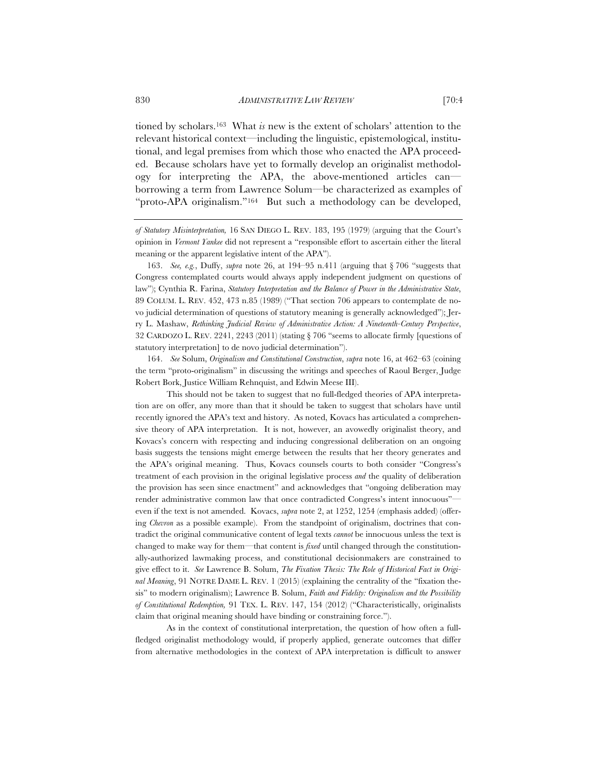tioned by scholars.163 What *is* new is the extent of scholars' attention to the relevant historical context—including the linguistic, epistemological, institutional, and legal premises from which those who enacted the APA proceeded. Because scholars have yet to formally develop an originalist methodology for interpreting the APA, the above-mentioned articles can borrowing a term from Lawrence Solum—be characterized as examples of "proto-APA originalism."164 But such a methodology can be developed,

163. *See, e.g.*, Duffy, *supra* note 26, at 194–95 n.411 (arguing that § 706 "suggests that Congress contemplated courts would always apply independent judgment on questions of law"); Cynthia R. Farina, *Statutory Interpretation and the Balance of Power in the Administrative State*, 89 COLUM. L. REV. 452, 473 n.85 (1989) ("That section 706 appears to contemplate de novo judicial determination of questions of statutory meaning is generally acknowledged"); Jerry L. Mashaw, *Rethinking Judicial Review of Administrative Action: A Nineteenth-Century Perspective*, 32 CARDOZO L. REV. 2241, 2243 (2011) (stating § 706 "seems to allocate firmly [questions of statutory interpretation] to de novo judicial determination").

164. *See* Solum, *Originalism and Constitutional Construction*, *supra* note 16, at 462–63 (coining the term "proto-originalism" in discussing the writings and speeches of Raoul Berger, Judge Robert Bork, Justice William Rehnquist, and Edwin Meese III).

 This should not be taken to suggest that no full-fledged theories of APA interpretation are on offer, any more than that it should be taken to suggest that scholars have until recently ignored the APA's text and history. As noted, Kovacs has articulated a comprehensive theory of APA interpretation. It is not, however, an avowedly originalist theory, and Kovacs's concern with respecting and inducing congressional deliberation on an ongoing basis suggests the tensions might emerge between the results that her theory generates and the APA's original meaning. Thus, Kovacs counsels courts to both consider "Congress's treatment of each provision in the original legislative process *and* the quality of deliberation the provision has seen since enactment" and acknowledges that "ongoing deliberation may render administrative common law that once contradicted Congress's intent innocuous" even if the text is not amended. Kovacs, *supra* note 2, at 1252, 1254 (emphasis added) (offering *Chevron* as a possible example). From the standpoint of originalism, doctrines that contradict the original communicative content of legal texts *cannot* be innocuous unless the text is changed to make way for them—that content is *fixed* until changed through the constitutionally-authorized lawmaking process, and constitutional decisionmakers are constrained to give effect to it. *See* Lawrence B. Solum, *The Fixation Thesis: The Role of Historical Fact in Original Meaning*, 91 NOTRE DAME L. REV. 1 (2015) (explaining the centrality of the "fixation thesis" to modern originalism); Lawrence B. Solum, *Faith and Fidelity: Originalism and the Possibility of Constitutional Redemption,* 91 TEX. L. REV. 147, 154 (2012) ("Characteristically, originalists claim that original meaning should have binding or constraining force.").

 As in the context of constitutional interpretation, the question of how often a fullfledged originalist methodology would, if properly applied, generate outcomes that differ from alternative methodologies in the context of APA interpretation is difficult to answer

*of Statutory Misinterpretation,* 16 SAN DIEGO L. REV. 183, 195 (1979) (arguing that the Court's opinion in *Vermont Yankee* did not represent a "responsible effort to ascertain either the literal meaning or the apparent legislative intent of the APA").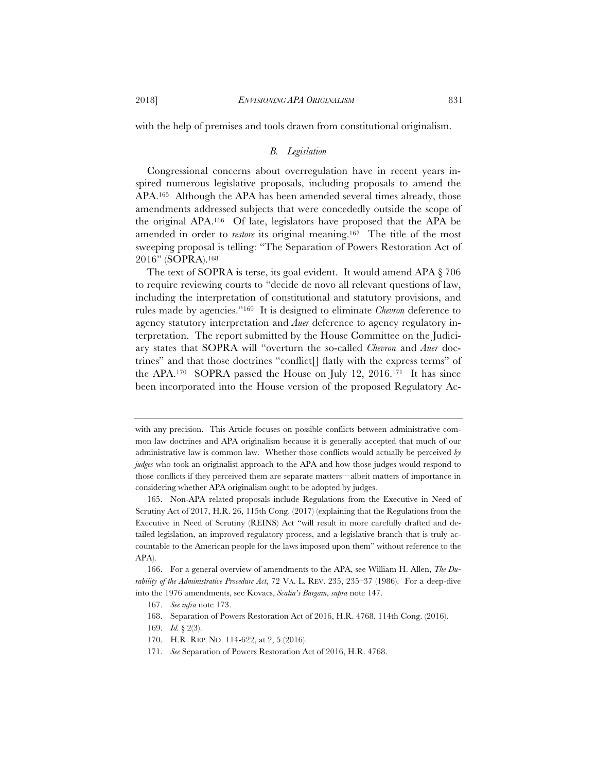with the help of premises and tools drawn from constitutional originalism.

## *B. Legislation*

Congressional concerns about overregulation have in recent years inspired numerous legislative proposals, including proposals to amend the APA.165 Although the APA has been amended several times already, those amendments addressed subjects that were concededly outside the scope of the original APA.166 Of late, legislators have proposed that the APA be amended in order to *restore* its original meaning.167 The title of the most sweeping proposal is telling: "The Separation of Powers Restoration Act of 2016" (SOPRA).168

The text of SOPRA is terse, its goal evident. It would amend APA § 706 to require reviewing courts to "decide de novo all relevant questions of law, including the interpretation of constitutional and statutory provisions, and rules made by agencies."169 It is designed to eliminate *Chevron* deference to agency statutory interpretation and *Auer* deference to agency regulatory interpretation. The report submitted by the House Committee on the Judiciary states that SOPRA will "overturn the so-called *Chevron* and *Auer* doctrines" and that those doctrines "conflict[] flatly with the express terms" of the APA.170 SOPRA passed the House on July 12, 2016.171 It has since been incorporated into the House version of the proposed Regulatory Ac-

171. *See* Separation of Powers Restoration Act of 2016, H.R. 4768.

with any precision. This Article focuses on possible conflicts between administrative common law doctrines and APA originalism because it is generally accepted that much of our administrative law is common law. Whether those conflicts would actually be perceived *by judges* who took an originalist approach to the APA and how those judges would respond to those conflicts if they perceived them are separate matters—albeit matters of importance in considering whether APA originalism ought to be adopted by judges.

<sup>165.</sup> Non-APA related proposals include Regulations from the Executive in Need of Scrutiny Act of 2017, H.R. 26, 115th Cong. (2017) (explaining that the Regulations from the Executive in Need of Scrutiny (REINS) Act "will result in more carefully drafted and detailed legislation, an improved regulatory process, and a legislative branch that is truly accountable to the American people for the laws imposed upon them" without reference to the APA).

<sup>166.</sup> For a general overview of amendments to the APA, see William H. Allen, *The Durability of the Administrative Procedure Act*, 72 VA. L. REV. 235, 235–37 (1986). For a deep-dive into the 1976 amendments, see Kovacs, *Scalia's Bargain*, *supra* note 147.

<sup>167.</sup> *See infra* note 173.

<sup>168.</sup> Separation of Powers Restoration Act of 2016, H.R. 4768, 114th Cong. (2016).

<sup>169.</sup> *Id.* § 2(3).

<sup>170.</sup> H.R. REP. NO. 114-622, at 2, 5 (2016).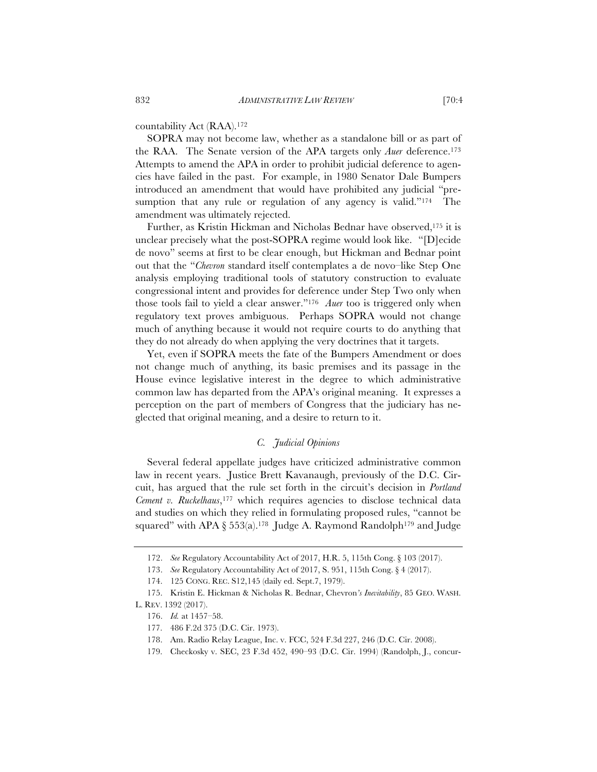countability Act (RAA).172

SOPRA may not become law, whether as a standalone bill or as part of the RAA. The Senate version of the APA targets only *Auer* deference.173 Attempts to amend the APA in order to prohibit judicial deference to agencies have failed in the past. For example, in 1980 Senator Dale Bumpers introduced an amendment that would have prohibited any judicial "presumption that any rule or regulation of any agency is valid."<sup>174</sup> The amendment was ultimately rejected.

Further, as Kristin Hickman and Nicholas Bednar have observed,175 it is unclear precisely what the post-SOPRA regime would look like. "[D]ecide de novo" seems at first to be clear enough, but Hickman and Bednar point out that the "*Chevron* standard itself contemplates a de novo–like Step One analysis employing traditional tools of statutory construction to evaluate congressional intent and provides for deference under Step Two only when those tools fail to yield a clear answer."176 *Auer* too is triggered only when regulatory text proves ambiguous. Perhaps SOPRA would not change much of anything because it would not require courts to do anything that they do not already do when applying the very doctrines that it targets.

Yet, even if SOPRA meets the fate of the Bumpers Amendment or does not change much of anything, its basic premises and its passage in the House evince legislative interest in the degree to which administrative common law has departed from the APA's original meaning. It expresses a perception on the part of members of Congress that the judiciary has neglected that original meaning, and a desire to return to it.

## *C. Judicial Opinions*

Several federal appellate judges have criticized administrative common law in recent years. Justice Brett Kavanaugh, previously of the D.C. Circuit, has argued that the rule set forth in the circuit's decision in *Portland Cement v. Ruckelhaus*,<sup>177</sup> which requires agencies to disclose technical data and studies on which they relied in formulating proposed rules, "cannot be squared" with APA § 553(a).<sup>178</sup> Judge A. Raymond Randolph<sup>179</sup> and Judge

<sup>172.</sup> *See* Regulatory Accountability Act of 2017, H.R. 5, 115th Cong. § 103 (2017).

<sup>173.</sup> *See* Regulatory Accountability Act of 2017, S. 951, 115th Cong. § 4 (2017).

<sup>174. 125</sup> CONG. REC. S12,145 (daily ed. Sept.7, 1979).

<sup>175.</sup> Kristin E. Hickman & Nicholas R. Bednar, Chevron*'s Inevitability*, 85 GEO. WASH. L. REV. 1392 (2017).

<sup>176.</sup> *Id.* at 1457–58.

<sup>177. 486</sup> F.2d 375 (D.C. Cir. 1973).

<sup>178.</sup> Am. Radio Relay League, Inc. v. FCC, 524 F.3d 227, 246 (D.C. Cir. 2008).

<sup>179.</sup> Checkosky v. SEC, 23 F.3d 452, 490–93 (D.C. Cir. 1994) (Randolph, J., concur-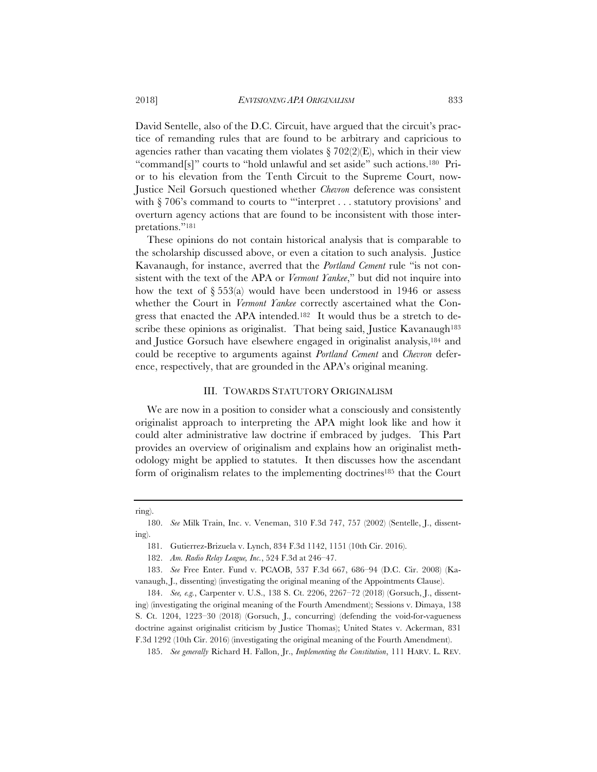David Sentelle, also of the D.C. Circuit, have argued that the circuit's practice of remanding rules that are found to be arbitrary and capricious to agencies rather than vacating them violates  $\S 702(2)$ (E), which in their view "command[s]" courts to "hold unlawful and set aside" such actions.180 Prior to his elevation from the Tenth Circuit to the Supreme Court, now-Justice Neil Gorsuch questioned whether *Chevron* deference was consistent with § 706's command to courts to "'interpret . . . statutory provisions' and overturn agency actions that are found to be inconsistent with those interpretations."181

These opinions do not contain historical analysis that is comparable to the scholarship discussed above, or even a citation to such analysis. Justice Kavanaugh, for instance, averred that the *Portland Cement* rule "is not consistent with the text of the APA or *Vermont Yankee*," but did not inquire into how the text of  $\S 553(a)$  would have been understood in 1946 or assess whether the Court in *Vermont Yankee* correctly ascertained what the Congress that enacted the APA intended.182 It would thus be a stretch to describe these opinions as originalist. That being said, Justice Kavanaugh<sup>183</sup> and Justice Gorsuch have elsewhere engaged in originalist analysis,184 and could be receptive to arguments against *Portland Cement* and *Chevron* deference, respectively, that are grounded in the APA's original meaning.

#### III. TOWARDS STATUTORY ORIGINALISM

We are now in a position to consider what a consciously and consistently originalist approach to interpreting the APA might look like and how it could alter administrative law doctrine if embraced by judges. This Part provides an overview of originalism and explains how an originalist methodology might be applied to statutes. It then discusses how the ascendant form of originalism relates to the implementing doctrines<sup>185</sup> that the Court

ring).

<sup>180.</sup> *See* Milk Train, Inc. v. Veneman, 310 F.3d 747, 757 (2002) (Sentelle, J., dissenting).

<sup>181.</sup> Gutierrez-Brizuela v. Lynch, 834 F.3d 1142, 1151 (10th Cir. 2016).

<sup>182.</sup> *Am. Radio Relay League, Inc.*, 524 F.3d at 246–47.

<sup>183.</sup> *See* Free Enter. Fund v. PCAOB, 537 F.3d 667, 686–94 (D.C. Cir. 2008) (Kavanaugh, J., dissenting) (investigating the original meaning of the Appointments Clause).

<sup>184.</sup> *See, e.g.*, Carpenter v. U.S., 138 S. Ct. 2206, 2267–72 (2018) (Gorsuch, J., dissenting) (investigating the original meaning of the Fourth Amendment); Sessions v. Dimaya, 138 S. Ct. 1204, 1223–30 (2018) (Gorsuch, J., concurring) (defending the void-for-vagueness doctrine against originalist criticism by Justice Thomas); United States v. Ackerman, 831 F.3d 1292 (10th Cir. 2016) (investigating the original meaning of the Fourth Amendment).

<sup>185.</sup> *See generally* Richard H. Fallon, Jr., *Implementing the Constitution*, 111 HARV. L. REV.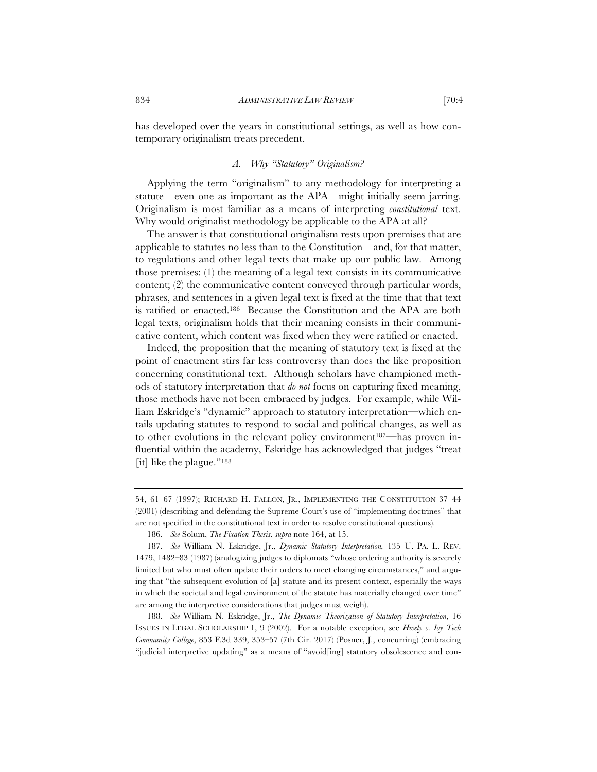has developed over the years in constitutional settings, as well as how contemporary originalism treats precedent.

# *A. Why "Statutory" Originalism?*

Applying the term "originalism" to any methodology for interpreting a statute—even one as important as the APA—might initially seem jarring. Originalism is most familiar as a means of interpreting *constitutional* text. Why would originalist methodology be applicable to the APA at all?

The answer is that constitutional originalism rests upon premises that are applicable to statutes no less than to the Constitution—and, for that matter, to regulations and other legal texts that make up our public law. Among those premises: (1) the meaning of a legal text consists in its communicative content; (2) the communicative content conveyed through particular words, phrases, and sentences in a given legal text is fixed at the time that that text is ratified or enacted.186 Because the Constitution and the APA are both legal texts, originalism holds that their meaning consists in their communicative content, which content was fixed when they were ratified or enacted.

Indeed, the proposition that the meaning of statutory text is fixed at the point of enactment stirs far less controversy than does the like proposition concerning constitutional text. Although scholars have championed methods of statutory interpretation that *do not* focus on capturing fixed meaning, those methods have not been embraced by judges. For example, while William Eskridge's "dynamic" approach to statutory interpretation—which entails updating statutes to respond to social and political changes, as well as to other evolutions in the relevant policy environment<sup>187—</sup>has proven influential within the academy, Eskridge has acknowledged that judges "treat [it] like the plague."188

<sup>54, 61–67 (1997);</sup> RICHARD H. FALLON, JR., IMPLEMENTING THE CONSTITUTION 37–44 (2001) (describing and defending the Supreme Court's use of "implementing doctrines" that are not specified in the constitutional text in order to resolve constitutional questions).

<sup>186.</sup> *See* Solum, *The Fixation Thesis*, *supra* note 164, at 15.

<sup>187.</sup> *See* William N. Eskridge, Jr., *Dynamic Statutory Interpretation,* 135 U. PA. L. REV. 1479, 1482–83 (1987) (analogizing judges to diplomats "whose ordering authority is severely limited but who must often update their orders to meet changing circumstances," and arguing that "the subsequent evolution of [a] statute and its present context, especially the ways in which the societal and legal environment of the statute has materially changed over time" are among the interpretive considerations that judges must weigh).

<sup>188.</sup> *See* William N. Eskridge, Jr., *The Dynamic Theorization of Statutory Interpretation*, 16 ISSUES IN LEGAL SCHOLARSHIP 1, 9 (2002). For a notable exception, see *Hively v. Ivy Tech Community College*, 853 F.3d 339, 353–57 (7th Cir. 2017) (Posner, J., concurring) (embracing "judicial interpretive updating" as a means of "avoid[ing] statutory obsolescence and con-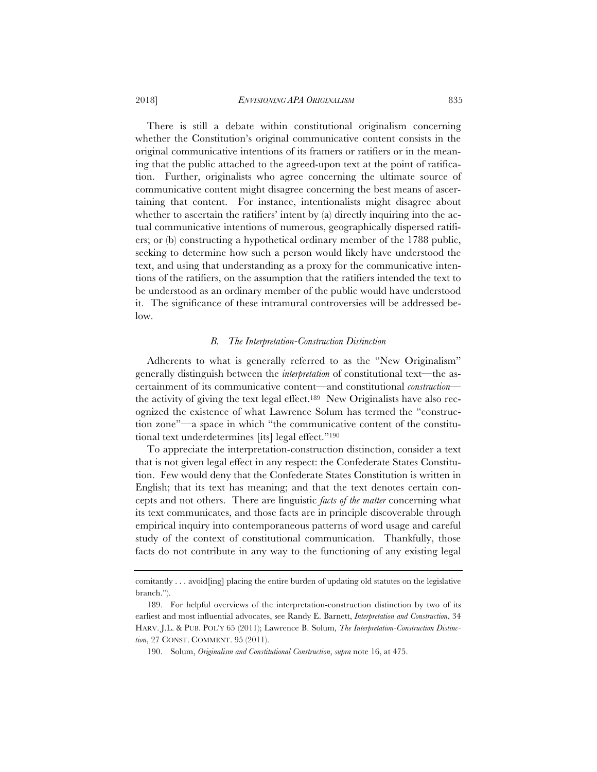2018] *ENVISIONING APA ORIGINALISM* 835

There is still a debate within constitutional originalism concerning whether the Constitution's original communicative content consists in the original communicative intentions of its framers or ratifiers or in the meaning that the public attached to the agreed-upon text at the point of ratification. Further, originalists who agree concerning the ultimate source of communicative content might disagree concerning the best means of ascertaining that content. For instance, intentionalists might disagree about whether to ascertain the ratifiers' intent by (a) directly inquiring into the actual communicative intentions of numerous, geographically dispersed ratifiers; or (b) constructing a hypothetical ordinary member of the 1788 public, seeking to determine how such a person would likely have understood the text, and using that understanding as a proxy for the communicative intentions of the ratifiers, on the assumption that the ratifiers intended the text to be understood as an ordinary member of the public would have understood it. The significance of these intramural controversies will be addressed below.

## *B. The Interpretation-Construction Distinction*

Adherents to what is generally referred to as the "New Originalism" generally distinguish between the *interpretation* of constitutional text—the ascertainment of its communicative content—and constitutional *construction* the activity of giving the text legal effect.189 New Originalists have also recognized the existence of what Lawrence Solum has termed the "construction zone"—a space in which "the communicative content of the constitutional text underdetermines [its] legal effect."190

To appreciate the interpretation-construction distinction, consider a text that is not given legal effect in any respect: the Confederate States Constitution. Few would deny that the Confederate States Constitution is written in English; that its text has meaning; and that the text denotes certain concepts and not others. There are linguistic *facts of the matter* concerning what its text communicates, and those facts are in principle discoverable through empirical inquiry into contemporaneous patterns of word usage and careful study of the context of constitutional communication. Thankfully, those facts do not contribute in any way to the functioning of any existing legal

comitantly . . . avoid[ing] placing the entire burden of updating old statutes on the legislative branch.").

<sup>189.</sup> For helpful overviews of the interpretation-construction distinction by two of its earliest and most influential advocates, see Randy E. Barnett, *Interpretation and Construction*, 34 HARV. J.L. & PUB. POL'Y 65 (2011); Lawrence B. Solum, *The Interpretation-Construction Distinction*, 27 CONST. COMMENT. 95 (2011).

<sup>190.</sup> Solum, *Originalism and Constitutional Construction*, *supra* note 16, at 475.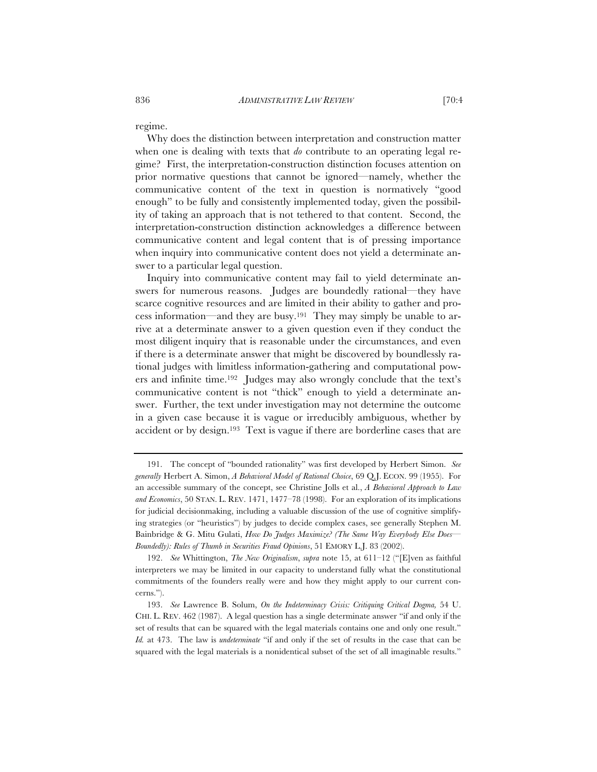regime.

Why does the distinction between interpretation and construction matter when one is dealing with texts that *do* contribute to an operating legal regime? First, the interpretation-construction distinction focuses attention on prior normative questions that cannot be ignored—namely, whether the communicative content of the text in question is normatively "good enough" to be fully and consistently implemented today, given the possibility of taking an approach that is not tethered to that content. Second, the interpretation-construction distinction acknowledges a difference between communicative content and legal content that is of pressing importance when inquiry into communicative content does not yield a determinate answer to a particular legal question.

Inquiry into communicative content may fail to yield determinate answers for numerous reasons. Judges are boundedly rational—they have scarce cognitive resources and are limited in their ability to gather and process information—and they are busy.191 They may simply be unable to arrive at a determinate answer to a given question even if they conduct the most diligent inquiry that is reasonable under the circumstances, and even if there is a determinate answer that might be discovered by boundlessly rational judges with limitless information-gathering and computational powers and infinite time.192 Judges may also wrongly conclude that the text's communicative content is not "thick" enough to yield a determinate answer. Further, the text under investigation may not determine the outcome in a given case because it is vague or irreducibly ambiguous, whether by accident or by design.193 Text is vague if there are borderline cases that are

<sup>191.</sup> The concept of "bounded rationality" was first developed by Herbert Simon. *See generally* Herbert A. Simon, *A Behavioral Model of Rational Choice*, 69 Q.J. ECON. 99 (1955). For an accessible summary of the concept, see Christine Jolls et al., *A Behavioral Approach to Law and Economics*, 50 STAN. L. REV. 1471, 1477–78 (1998). For an exploration of its implications for judicial decisionmaking, including a valuable discussion of the use of cognitive simplifying strategies (or "heuristics") by judges to decide complex cases, see generally Stephen M. Bainbridge & G. Mitu Gulati, *How Do Judges Maximize? (The Same Way Everybody Else Does— Boundedly): Rules of Thumb in Securities Fraud Opinions*, 51 EMORY L.J. 83 (2002).

<sup>192.</sup> *See* Whittington, *The New Originalism*, *supra* note 15, at 611–12 ("[E]ven as faithful interpreters we may be limited in our capacity to understand fully what the constitutional commitments of the founders really were and how they might apply to our current concerns.").

<sup>193.</sup> *See* Lawrence B. Solum, *On the Indeterminacy Crisis: Critiquing Critical Dogma,* 54 U. CHI. L. REV. 462 (1987). A legal question has a single determinate answer "if and only if the set of results that can be squared with the legal materials contains one and only one result." *Id.* at 473. The law is *undeterminate* "if and only if the set of results in the case that can be squared with the legal materials is a nonidentical subset of the set of all imaginable results."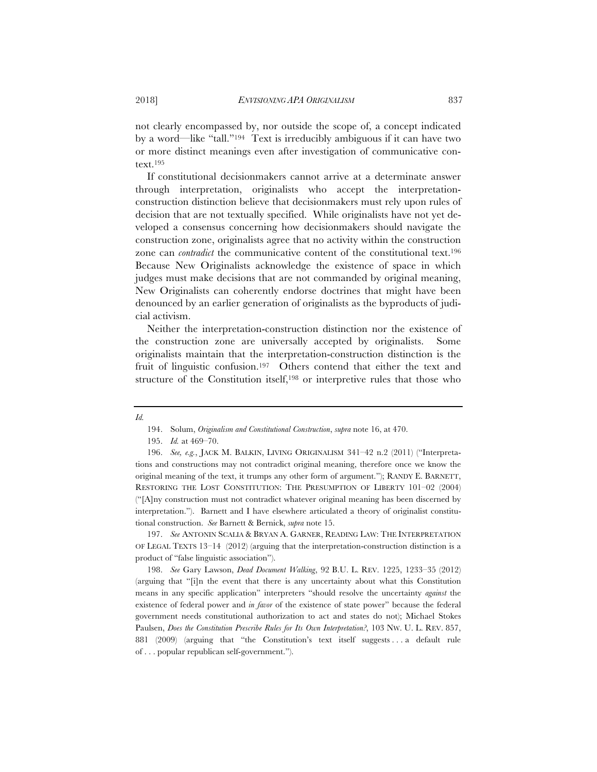not clearly encompassed by, nor outside the scope of, a concept indicated by a word—like "tall."194 Text is irreducibly ambiguous if it can have two or more distinct meanings even after investigation of communicative context.195

If constitutional decisionmakers cannot arrive at a determinate answer through interpretation, originalists who accept the interpretationconstruction distinction believe that decisionmakers must rely upon rules of decision that are not textually specified. While originalists have not yet developed a consensus concerning how decisionmakers should navigate the construction zone, originalists agree that no activity within the construction zone can *contradict* the communicative content of the constitutional text.<sup>196</sup> Because New Originalists acknowledge the existence of space in which judges must make decisions that are not commanded by original meaning, New Originalists can coherently endorse doctrines that might have been denounced by an earlier generation of originalists as the byproducts of judicial activism.

Neither the interpretation-construction distinction nor the existence of the construction zone are universally accepted by originalists. Some originalists maintain that the interpretation-construction distinction is the fruit of linguistic confusion.197 Others contend that either the text and structure of the Constitution itself,198 or interpretive rules that those who

197. *See* ANTONIN SCALIA & BRYAN A. GARNER, READING LAW: THE INTERPRETATION OF LEGAL TEXTS 13–14 (2012) (arguing that the interpretation-construction distinction is a product of "false linguistic association").

198. *See* Gary Lawson, *Dead Document Walking*, 92 B.U. L. REV. 1225, 1233–35 (2012) (arguing that "[i]n the event that there is any uncertainty about what this Constitution means in any specific application" interpreters "should resolve the uncertainty *against* the existence of federal power and *in favor* of the existence of state power" because the federal government needs constitutional authorization to act and states do not); Michael Stokes Paulsen, *Does the Constitution Prescribe Rules for Its Own Interpretation?*, 103 NW. U. L. REV. 857, 881 (2009) (arguing that "the Constitution's text itself suggests . . . a default rule of . . . popular republican self-government.").

*Id.*

<sup>194.</sup> Solum, *Originalism and Constitutional Construction*, *supra* note 16, at 470.

<sup>195.</sup> *Id.* at 469–70.

<sup>196.</sup> *See, e.g.*, JACK M. BALKIN, LIVING ORIGINALISM 341–42 n.2 (2011) ("Interpretations and constructions may not contradict original meaning, therefore once we know the original meaning of the text, it trumps any other form of argument."); RANDY E. BARNETT, RESTORING THE LOST CONSTITUTION: THE PRESUMPTION OF LIBERTY 101–02 (2004) ("[A]ny construction must not contradict whatever original meaning has been discerned by interpretation."). Barnett and I have elsewhere articulated a theory of originalist constitutional construction. *See* Barnett & Bernick, *supra* note 15.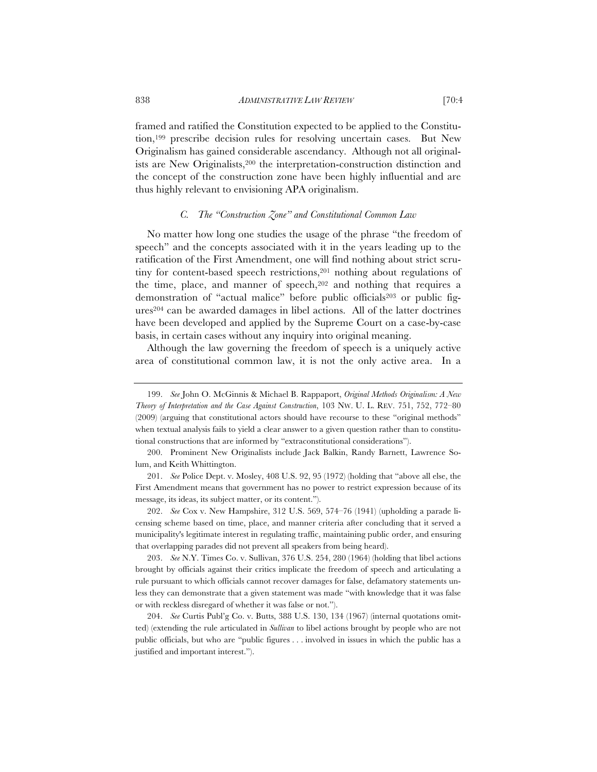framed and ratified the Constitution expected to be applied to the Constitution,199 prescribe decision rules for resolving uncertain cases. But New Originalism has gained considerable ascendancy. Although not all originalists are New Originalists,200 the interpretation-construction distinction and the concept of the construction zone have been highly influential and are thus highly relevant to envisioning APA originalism.

# *C. The "Construction Zone" and Constitutional Common Law*

No matter how long one studies the usage of the phrase "the freedom of speech" and the concepts associated with it in the years leading up to the ratification of the First Amendment, one will find nothing about strict scrutiny for content-based speech restrictions,<sup>201</sup> nothing about regulations of the time, place, and manner of speech,202 and nothing that requires a demonstration of "actual malice" before public officials<sup>203</sup> or public figures204 can be awarded damages in libel actions. All of the latter doctrines have been developed and applied by the Supreme Court on a case-by-case basis, in certain cases without any inquiry into original meaning.

Although the law governing the freedom of speech is a uniquely active area of constitutional common law, it is not the only active area. In a

201. *See* Police Dept. v. Mosley, 408 U.S. 92, 95 (1972) (holding that "above all else, the First Amendment means that government has no power to restrict expression because of its message, its ideas, its subject matter, or its content.").

202. *See* Cox v. New Hampshire, 312 U.S. 569, 574–76 (1941) (upholding a parade licensing scheme based on time, place, and manner criteria after concluding that it served a municipality's legitimate interest in regulating traffic, maintaining public order, and ensuring that overlapping parades did not prevent all speakers from being heard).

203. *See* N.Y. Times Co. v. Sullivan, 376 U.S. 254, 280 (1964) (holding that libel actions brought by officials against their critics implicate the freedom of speech and articulating a rule pursuant to which officials cannot recover damages for false, defamatory statements unless they can demonstrate that a given statement was made "with knowledge that it was false or with reckless disregard of whether it was false or not.").

204. *See* Curtis Publ'g Co. v. Butts, 388 U.S. 130, 134 (1967) (internal quotations omitted) (extending the rule articulated in *Sullivan* to libel actions brought by people who are not public officials, but who are "public figures . . . involved in issues in which the public has a justified and important interest.").

<sup>199.</sup> *See* John O. McGinnis & Michael B. Rappaport, *Original Methods Originalism: A New Theory of Interpretation and the Case Against Construction*, 103 NW. U. L. REV. 751, 752, 772–80 (2009) (arguing that constitutional actors should have recourse to these "original methods" when textual analysis fails to yield a clear answer to a given question rather than to constitutional constructions that are informed by "extraconstitutional considerations").

<sup>200.</sup> Prominent New Originalists include Jack Balkin, Randy Barnett, Lawrence Solum, and Keith Whittington.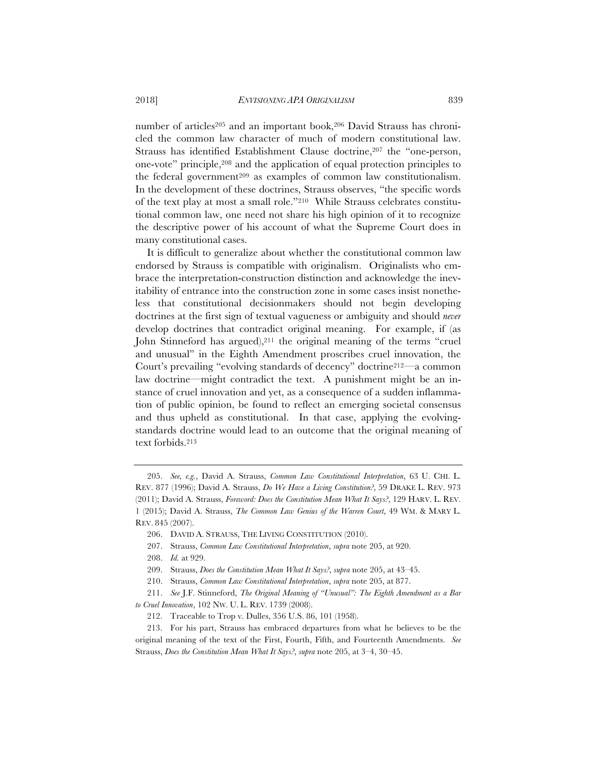number of articles<sup>205</sup> and an important book,<sup>206</sup> David Strauss has chronicled the common law character of much of modern constitutional law. Strauss has identified Establishment Clause doctrine,207 the "one-person, one-vote" principle,208 and the application of equal protection principles to the federal government<sup>209</sup> as examples of common law constitutionalism. In the development of these doctrines, Strauss observes, "the specific words of the text play at most a small role."210 While Strauss celebrates constitutional common law, one need not share his high opinion of it to recognize the descriptive power of his account of what the Supreme Court does in many constitutional cases.

It is difficult to generalize about whether the constitutional common law endorsed by Strauss is compatible with originalism. Originalists who embrace the interpretation-construction distinction and acknowledge the inevitability of entrance into the construction zone in some cases insist nonetheless that constitutional decisionmakers should not begin developing doctrines at the first sign of textual vagueness or ambiguity and should *never* develop doctrines that contradict original meaning. For example, if (as John Stinneford has argued),<sup>211</sup> the original meaning of the terms "cruel and unusual" in the Eighth Amendment proscribes cruel innovation, the Court's prevailing "evolving standards of decency" doctrine212—a common law doctrine—might contradict the text. A punishment might be an instance of cruel innovation and yet, as a consequence of a sudden inflammation of public opinion, be found to reflect an emerging societal consensus and thus upheld as constitutional. In that case, applying the evolvingstandards doctrine would lead to an outcome that the original meaning of text forbids.213

<sup>205.</sup> *See, e.g.*, David A. Strauss, *Common Law Constitutional Interpretation*, 63 U. CHI. L. REV. 877 (1996); David A. Strauss, *Do We Have a Living Constitution?*, 59 DRAKE L. REV. 973 (2011); David A. Strauss, *Foreword: Does the Constitution Mean What It Says?*, 129 HARV. L. REV. 1 (2015); David A. Strauss, *The Common Law Genius of the Warren Court*, 49 WM.&MARY L. REV. 845 (2007).

<sup>206.</sup> DAVID A. STRAUSS, THE LIVING CONSTITUTION (2010).

<sup>207.</sup> Strauss, *Common Law Constitutional Interpretation*, *supra* note 205, at 920.

<sup>208.</sup> *Id.* at 929.

<sup>209.</sup> Strauss, *Does the Constitution Mean What It Says?*, *supra* note 205, at 43–45.

<sup>210.</sup> Strauss, *Common Law Constitutional Interpretation*, *supra* note 205, at 877.

<sup>211.</sup> *See* J.F. Stinneford, *The Original Meaning of "Unusual": The Eighth Amendment as a Bar to Cruel Innovation*, 102 NW. U. L. REV. 1739 (2008).

<sup>212.</sup> Traceable to Trop v. Dulles, 356 U.S. 86, 101 (1958).

<sup>213.</sup> For his part, Strauss has embraced departures from what he believes to be the original meaning of the text of the First, Fourth, Fifth, and Fourteenth Amendments. *See* Strauss, *Does the Constitution Mean What It Says?*, *supra* note 205, at 3–4, 30–45.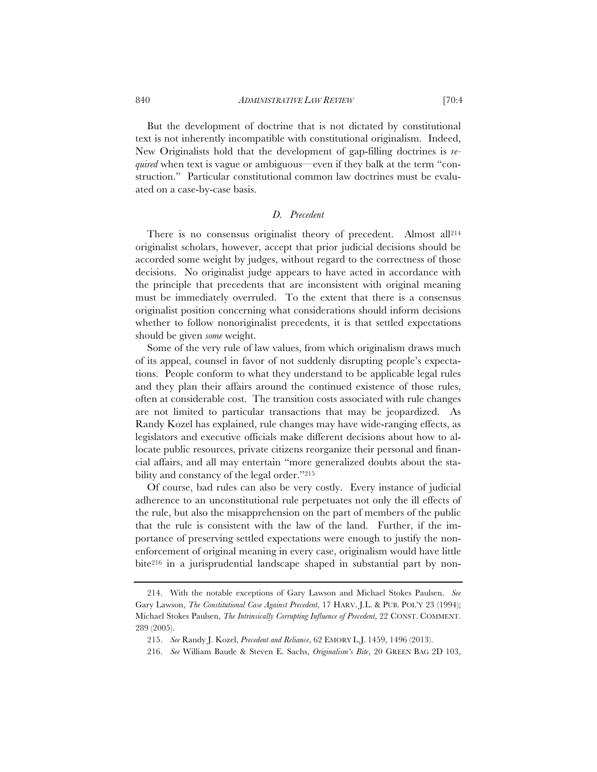But the development of doctrine that is not dictated by constitutional text is not inherently incompatible with constitutional originalism. Indeed, New Originalists hold that the development of gap-filling doctrines is *required* when text is vague or ambiguous—even if they balk at the term "construction." Particular constitutional common law doctrines must be evaluated on a case-by-case basis.

## *D. Precedent*

There is no consensus originalist theory of precedent. Almost all<sup>214</sup> originalist scholars, however, accept that prior judicial decisions should be accorded some weight by judges, without regard to the correctness of those decisions. No originalist judge appears to have acted in accordance with the principle that precedents that are inconsistent with original meaning must be immediately overruled. To the extent that there is a consensus originalist position concerning what considerations should inform decisions whether to follow nonoriginalist precedents, it is that settled expectations should be given *some* weight.

Some of the very rule of law values, from which originalism draws much of its appeal, counsel in favor of not suddenly disrupting people's expectations. People conform to what they understand to be applicable legal rules and they plan their affairs around the continued existence of those rules, often at considerable cost. The transition costs associated with rule changes are not limited to particular transactions that may be jeopardized. As Randy Kozel has explained, rule changes may have wide-ranging effects, as legislators and executive officials make different decisions about how to allocate public resources, private citizens reorganize their personal and financial affairs, and all may entertain "more generalized doubts about the stability and constancy of the legal order."215

Of course, bad rules can also be very costly. Every instance of judicial adherence to an unconstitutional rule perpetuates not only the ill effects of the rule, but also the misapprehension on the part of members of the public that the rule is consistent with the law of the land. Further, if the importance of preserving settled expectations were enough to justify the nonenforcement of original meaning in every case, originalism would have little bite216 in a jurisprudential landscape shaped in substantial part by non-

<sup>214.</sup> With the notable exceptions of Gary Lawson and Michael Stokes Paulsen. *See* Gary Lawson, *The Constitutional Case Against Precedent*, 17 HARV. J.L. & PUB. POL'Y 23 (1994); Michael Stokes Paulsen, *The Intrinsically Corrupting Influence of Precedent*, 22 CONST. COMMENT. 289 (2005).

<sup>215.</sup> *See* Randy J. Kozel, *Precedent and Reliance*, 62 EMORY L.J. 1459, 1496 (2013).

<sup>216.</sup> *See* William Baude & Steven E. Sachs, *Originalism's Bite*, 20 GREEN BAG 2D 103,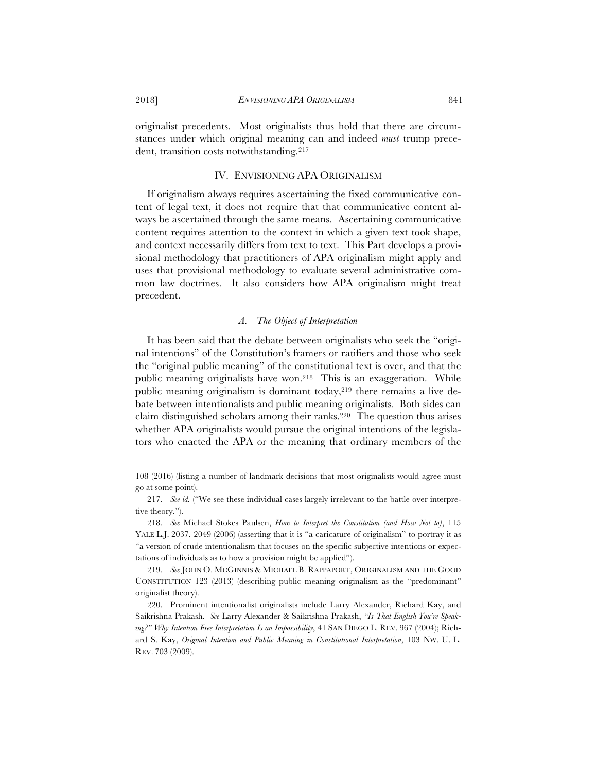originalist precedents. Most originalists thus hold that there are circumstances under which original meaning can and indeed *must* trump precedent, transition costs notwithstanding.<sup>217</sup>

## IV. ENVISIONING APA ORIGINALISM

If originalism always requires ascertaining the fixed communicative content of legal text, it does not require that that communicative content always be ascertained through the same means. Ascertaining communicative content requires attention to the context in which a given text took shape, and context necessarily differs from text to text. This Part develops a provisional methodology that practitioners of APA originalism might apply and uses that provisional methodology to evaluate several administrative common law doctrines. It also considers how APA originalism might treat precedent.

## *A. The Object of Interpretation*

It has been said that the debate between originalists who seek the "original intentions" of the Constitution's framers or ratifiers and those who seek the "original public meaning" of the constitutional text is over, and that the public meaning originalists have won.218 This is an exaggeration. While public meaning originalism is dominant today,<sup>219</sup> there remains a live debate between intentionalists and public meaning originalists. Both sides can claim distinguished scholars among their ranks.220 The question thus arises whether APA originalists would pursue the original intentions of the legislators who enacted the APA or the meaning that ordinary members of the

<sup>108 (2016) (</sup>listing a number of landmark decisions that most originalists would agree must go at some point).

<sup>217.</sup> *See id.* ("We see these individual cases largely irrelevant to the battle over interpretive theory.").

<sup>218.</sup> *See* Michael Stokes Paulsen, *How to Interpret the Constitution (and How Not to)*, 115 YALE L.J. 2037, 2049 (2006) (asserting that it is "a caricature of originalism" to portray it as "a version of crude intentionalism that focuses on the specific subjective intentions or expectations of individuals as to how a provision might be applied").

<sup>219.</sup> *See* JOHN O. MCGINNIS & MICHAEL B. RAPPAPORT, ORIGINALISM AND THE GOOD CONSTITUTION 123 (2013) (describing public meaning originalism as the "predominant" originalist theory).

<sup>220.</sup> Prominent intentionalist originalists include Larry Alexander, Richard Kay, and Saikrishna Prakash. *See* Larry Alexander & Saikrishna Prakash, *"Is That English You're Speaking?" Why Intention Free Interpretation Is an Impossibility*, 41 SAN DIEGO L. REV. 967 (2004); Richard S. Kay, *Original Intention and Public Meaning in Constitutional Interpretation*, 103 NW. U. L. REV. 703 (2009).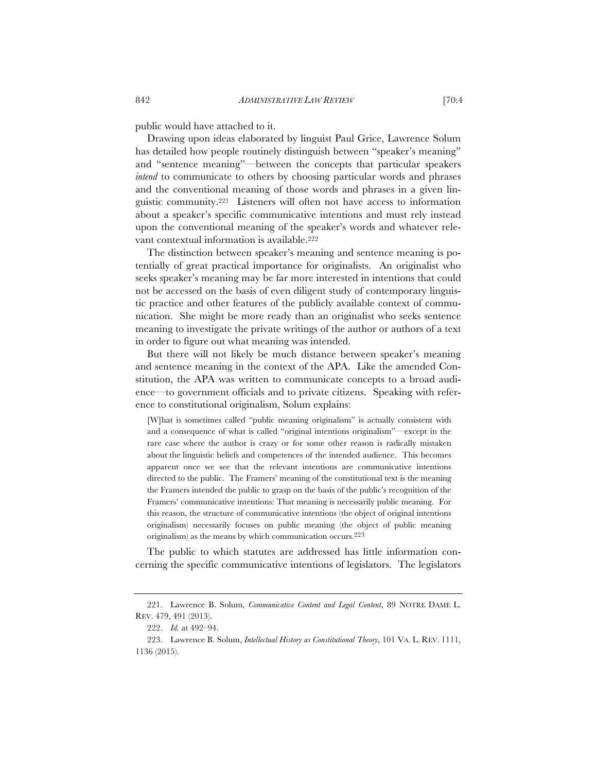public would have attached to it.

Drawing upon ideas elaborated by linguist Paul Grice, Lawrence Solum has detailed how people routinely distinguish between "speaker's meaning" and "sentence meaning"—between the concepts that particular speakers *intend* to communicate to others by choosing particular words and phrases and the conventional meaning of those words and phrases in a given linguistic community.221 Listeners will often not have access to information about a speaker's specific communicative intentions and must rely instead upon the conventional meaning of the speaker's words and whatever relevant contextual information is available.222

The distinction between speaker's meaning and sentence meaning is potentially of great practical importance for originalists. An originalist who seeks speaker's meaning may be far more interested in intentions that could not be accessed on the basis of even diligent study of contemporary linguistic practice and other features of the publicly available context of communication. She might be more ready than an originalist who seeks sentence meaning to investigate the private writings of the author or authors of a text in order to figure out what meaning was intended.

But there will not likely be much distance between speaker's meaning and sentence meaning in the context of the APA. Like the amended Constitution, the APA was written to communicate concepts to a broad audience—to government officials and to private citizens. Speaking with reference to constitutional originalism, Solum explains:

[W]hat is sometimes called "public meaning originalism" is actually consistent with and a consequence of what is called "original intentions originalism"—except in the rare case where the author is crazy or for some other reason is radically mistaken about the linguistic beliefs and competences of the intended audience. This becomes apparent once we see that the relevant intentions are communicative intentions directed to the public. The Framers' meaning of the constitutional text is the meaning the Framers intended the public to grasp on the basis of the public's recognition of the Framers' communicative intentions: That meaning is necessarily public meaning. For this reason, the structure of communicative intentions (the object of original intentions originalism) necessarily focuses on public meaning (the object of public meaning originalism) as the means by which communication occurs.223

The public to which statutes are addressed has little information concerning the specific communicative intentions of legislators. The legislators

<sup>221.</sup> Lawrence B. Solum, *Communicative Content and Legal Content*, 89 NOTRE DAME L. REV. 479, 491 (2013).

<sup>222.</sup> *Id.* at 492–94.

<sup>223.</sup> Lawrence B. Solum, *Intellectual History as Constitutional Theory*, 101 VA. L. REV. 1111, 1136 (2015).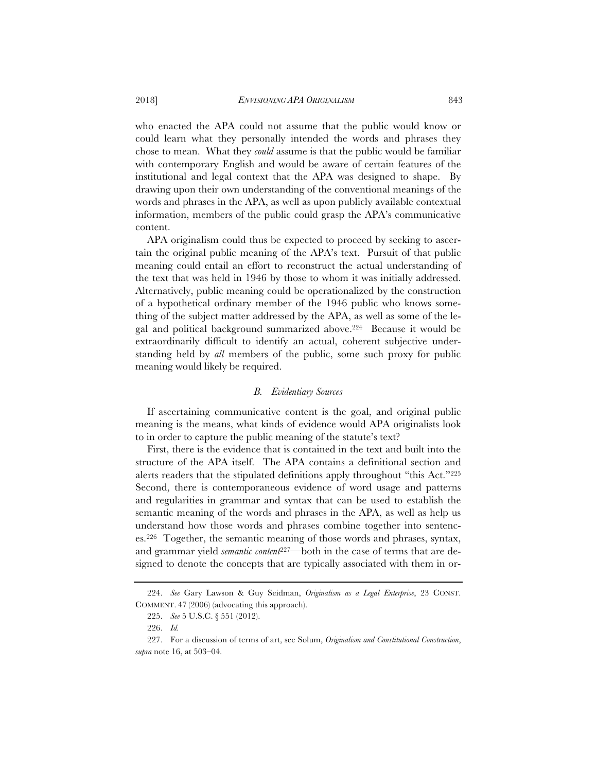who enacted the APA could not assume that the public would know or could learn what they personally intended the words and phrases they chose to mean. What they *could* assume is that the public would be familiar with contemporary English and would be aware of certain features of the institutional and legal context that the APA was designed to shape. By drawing upon their own understanding of the conventional meanings of the words and phrases in the APA, as well as upon publicly available contextual information, members of the public could grasp the APA's communicative content.

APA originalism could thus be expected to proceed by seeking to ascertain the original public meaning of the APA's text. Pursuit of that public meaning could entail an effort to reconstruct the actual understanding of the text that was held in 1946 by those to whom it was initially addressed. Alternatively, public meaning could be operationalized by the construction of a hypothetical ordinary member of the 1946 public who knows something of the subject matter addressed by the APA, as well as some of the legal and political background summarized above.224 Because it would be extraordinarily difficult to identify an actual, coherent subjective understanding held by *all* members of the public, some such proxy for public meaning would likely be required.

## *B. Evidentiary Sources*

If ascertaining communicative content is the goal, and original public meaning is the means, what kinds of evidence would APA originalists look to in order to capture the public meaning of the statute's text?

First, there is the evidence that is contained in the text and built into the structure of the APA itself. The APA contains a definitional section and alerts readers that the stipulated definitions apply throughout "this Act."225 Second, there is contemporaneous evidence of word usage and patterns and regularities in grammar and syntax that can be used to establish the semantic meaning of the words and phrases in the APA, as well as help us understand how those words and phrases combine together into sentences.226 Together, the semantic meaning of those words and phrases, syntax, and grammar yield *semantic content*<sup>227</sup>—both in the case of terms that are designed to denote the concepts that are typically associated with them in or-

<sup>224.</sup> *See* Gary Lawson & Guy Seidman, *Originalism as a Legal Enterprise*, 23 CONST. COMMENT. 47 (2006) (advocating this approach).

<sup>225.</sup> *See* 5 U.S.C. § 551 (2012).

<sup>226.</sup> *Id.*

<sup>227.</sup> For a discussion of terms of art, see Solum, *Originalism and Constitutional Construction*, *supra* note 16, at 503–04.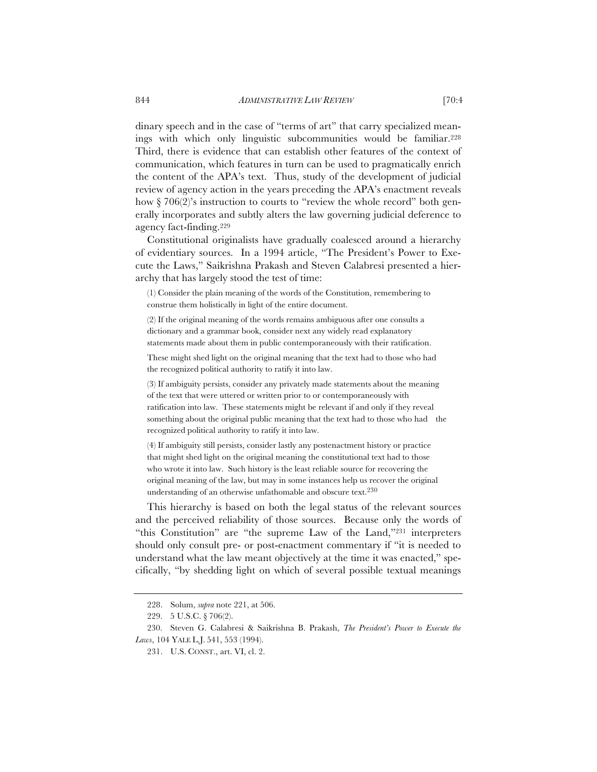dinary speech and in the case of "terms of art" that carry specialized meanings with which only linguistic subcommunities would be familiar.228 Third, there is evidence that can establish other features of the context of communication, which features in turn can be used to pragmatically enrich the content of the APA's text. Thus, study of the development of judicial review of agency action in the years preceding the APA's enactment reveals how § 706(2)'s instruction to courts to "review the whole record" both generally incorporates and subtly alters the law governing judicial deference to agency fact-finding.229

Constitutional originalists have gradually coalesced around a hierarchy of evidentiary sources. In a 1994 article, "The President's Power to Execute the Laws," Saikrishna Prakash and Steven Calabresi presented a hierarchy that has largely stood the test of time:

(1) Consider the plain meaning of the words of the Constitution, remembering to construe them holistically in light of the entire document.

(2) If the original meaning of the words remains ambiguous after one consults a dictionary and a grammar book, consider next any widely read explanatory statements made about them in public contemporaneously with their ratification.

These might shed light on the original meaning that the text had to those who had the recognized political authority to ratify it into law.

(3) If ambiguity persists, consider any privately made statements about the meaning of the text that were uttered or written prior to or contemporaneously with ratification into law. These statements might be relevant if and only if they reveal something about the original public meaning that the text had to those who had the recognized political authority to ratify it into law.

(4) If ambiguity still persists, consider lastly any postenactment history or practice that might shed light on the original meaning the constitutional text had to those who wrote it into law. Such history is the least reliable source for recovering the original meaning of the law, but may in some instances help us recover the original understanding of an otherwise unfathomable and obscure text.230

This hierarchy is based on both the legal status of the relevant sources and the perceived reliability of those sources. Because only the words of "this Constitution" are "the supreme Law of the Land,"231 interpreters should only consult pre- or post-enactment commentary if "it is needed to understand what the law meant objectively at the time it was enacted," specifically, "by shedding light on which of several possible textual meanings

<sup>228.</sup> Solum, *supra* note 221, at 506.

<sup>229. 5</sup> U.S.C. § 706(2).

<sup>230.</sup> Steven G. Calabresi & Saikrishna B. Prakash, *The President's Power to Execute the Laws*, 104 YALE L.J. 541, 553 (1994).

<sup>231.</sup> U.S. CONST., art. VI, cl. 2.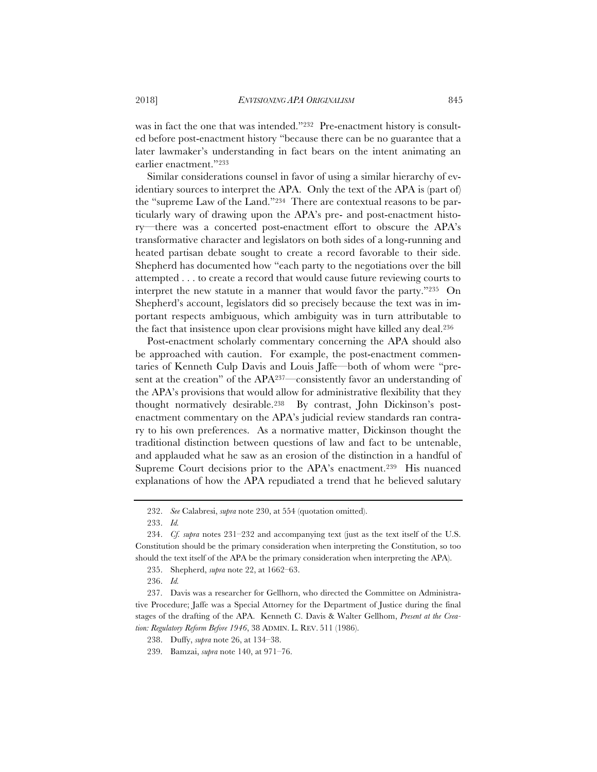was in fact the one that was intended."<sup>232</sup> Pre-enactment history is consulted before post-enactment history "because there can be no guarantee that a later lawmaker's understanding in fact bears on the intent animating an earlier enactment."233

Similar considerations counsel in favor of using a similar hierarchy of evidentiary sources to interpret the APA. Only the text of the APA is (part of) the "supreme Law of the Land."234 There are contextual reasons to be particularly wary of drawing upon the APA's pre- and post-enactment history—there was a concerted post-enactment effort to obscure the APA's transformative character and legislators on both sides of a long-running and heated partisan debate sought to create a record favorable to their side. Shepherd has documented how "each party to the negotiations over the bill attempted . . . to create a record that would cause future reviewing courts to interpret the new statute in a manner that would favor the party."235 On Shepherd's account, legislators did so precisely because the text was in important respects ambiguous, which ambiguity was in turn attributable to the fact that insistence upon clear provisions might have killed any deal.236

Post-enactment scholarly commentary concerning the APA should also be approached with caution. For example, the post-enactment commentaries of Kenneth Culp Davis and Louis Jaffe—both of whom were "present at the creation" of the APA237—consistently favor an understanding of the APA's provisions that would allow for administrative flexibility that they thought normatively desirable.238 By contrast, John Dickinson's postenactment commentary on the APA's judicial review standards ran contrary to his own preferences. As a normative matter, Dickinson thought the traditional distinction between questions of law and fact to be untenable, and applauded what he saw as an erosion of the distinction in a handful of Supreme Court decisions prior to the APA's enactment.239 His nuanced explanations of how the APA repudiated a trend that he believed salutary

233. *Id.*

<sup>232.</sup> *See* Calabresi, *supra* note 230, at 554 (quotation omitted).

<sup>234.</sup> *Cf. supra* notes 231–232 and accompanying text (just as the text itself of the U.S. Constitution should be the primary consideration when interpreting the Constitution, so too should the text itself of the APA be the primary consideration when interpreting the APA).

<sup>235.</sup> Shepherd, *supra* note 22, at 1662–63.

<sup>236.</sup> *Id.*

<sup>237.</sup> Davis was a researcher for Gellhorn, who directed the Committee on Administrative Procedure; Jaffe was a Special Attorney for the Department of Justice during the final stages of the drafting of the APA. Kenneth C. Davis & Walter Gellhom, *Present at the Creation: Regulatory Reform Before 1946*, 38 ADMIN. L. REV. 511 (1986).

<sup>238.</sup> Duffy, *supra* note 26, at 134–38.

<sup>239.</sup> Bamzai, *supra* note 140, at 971–76.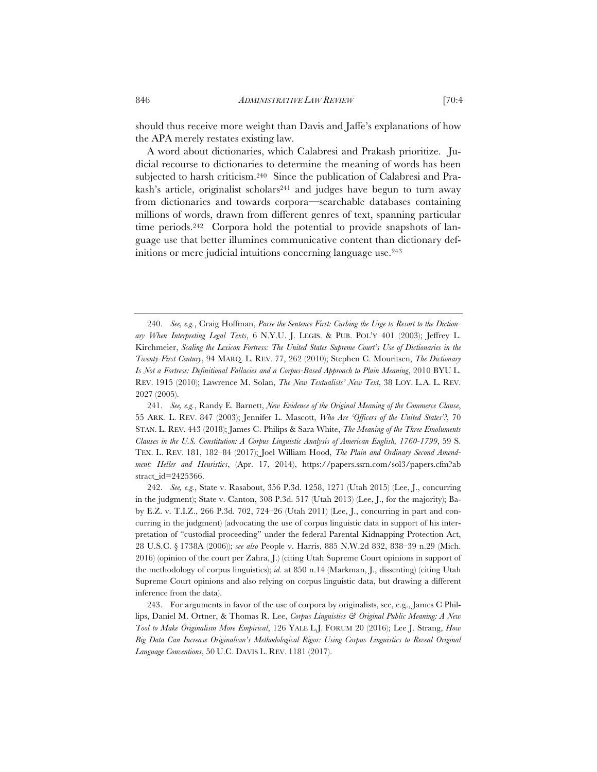should thus receive more weight than Davis and Jaffe's explanations of how the APA merely restates existing law.

A word about dictionaries, which Calabresi and Prakash prioritize. Judicial recourse to dictionaries to determine the meaning of words has been subjected to harsh criticism.<sup>240</sup> Since the publication of Calabresi and Prakash's article, originalist scholars<sup>241</sup> and judges have begun to turn away from dictionaries and towards corpora—searchable databases containing millions of words, drawn from different genres of text, spanning particular time periods.<sup>242</sup> Corpora hold the potential to provide snapshots of language use that better illumines communicative content than dictionary definitions or mere judicial intuitions concerning language use.<sup>243</sup>

<sup>240.</sup> *See, e.g.*, Craig Hoffman, *Parse the Sentence First: Curbing the Urge to Resort to the Dictionary When Interpreting Legal Texts*, 6 N.Y.U. J. LEGIS.&PUB. POL'Y 401 (2003); Jeffrey L. Kirchmeier, *Scaling the Lexicon Fortress: The United States Supreme Court's Use of Dictionaries in the Twenty-First Century*, 94 MARQ. L. REV. 77, 262 (2010); Stephen C. Mouritsen, *The Dictionary Is Not a Fortress: Definitional Fallacies and a Corpus-Based Approach to Plain Meaning*, 2010 BYU L. REV. 1915 (2010); Lawrence M. Solan, *The New Textualists' New Text*, 38 LOY. L.A. L. REV. 2027 (2005).

<sup>241.</sup> *See, e.g.*, Randy E. Barnett, *New Evidence of the Original Meaning of the Commerce Clause*, 55 ARK. L. REV. 847 (2003); Jennifer L. Mascott, *Who Are 'Officers of the United States'?*, 70 STAN. L. REV. 443 (2018); James C. Philips & Sara White, *The Meaning of the Three Emoluments Clauses in the U.S. Constitution: A Corpus Linguistic Analysis of American English, 1760-1799*, 59 S. TEX. L. REV. 181, 182–84 (2017); Joel William Hood, *The Plain and Ordinary Second Amendment: Heller and Heuristics*, (Apr. 17, 2014), https://papers.ssrn.com/sol3/papers.cfm?ab stract\_id=2425366.

<sup>242.</sup> *See, e.g.*, State v. Rasabout, 356 P.3d. 1258, 1271 (Utah 2015) (Lee, J., concurring in the judgment); State v. Canton, 308 P.3d. 517 (Utah 2013) (Lee, J., for the majority); Baby E.Z. v. T.I.Z., 266 P.3d. 702, 724–26 (Utah 2011) (Lee, J., concurring in part and concurring in the judgment) (advocating the use of corpus linguistic data in support of his interpretation of "custodial proceeding" under the federal Parental Kidnapping Protection Act, 28 U.S.C. § 1738A (2006)); *see also* People v. Harris, 885 N.W.2d 832, 838–39 n.29 (Mich. 2016) (opinion of the court per Zahra, J.) (citing Utah Supreme Court opinions in support of the methodology of corpus linguistics); *id.* at 850 n.14 (Markman, J., dissenting) (citing Utah Supreme Court opinions and also relying on corpus linguistic data, but drawing a different inference from the data).

<sup>243.</sup> For arguments in favor of the use of corpora by originalists, see, e.g., James C Phillips, Daniel M. Ortner, & Thomas R. Lee, *Corpus Linguistics & Original Public Meaning: A New Tool to Make Originalism More Empirical*, 126 YALE L.J. FORUM 20 (2016); Lee J. Strang, *How Big Data Can Increase Originalism's Methodological Rigor: Using Corpus Linguistics to Reveal Original Language Conventions*, 50 U.C. DAVIS L. REV. 1181 (2017).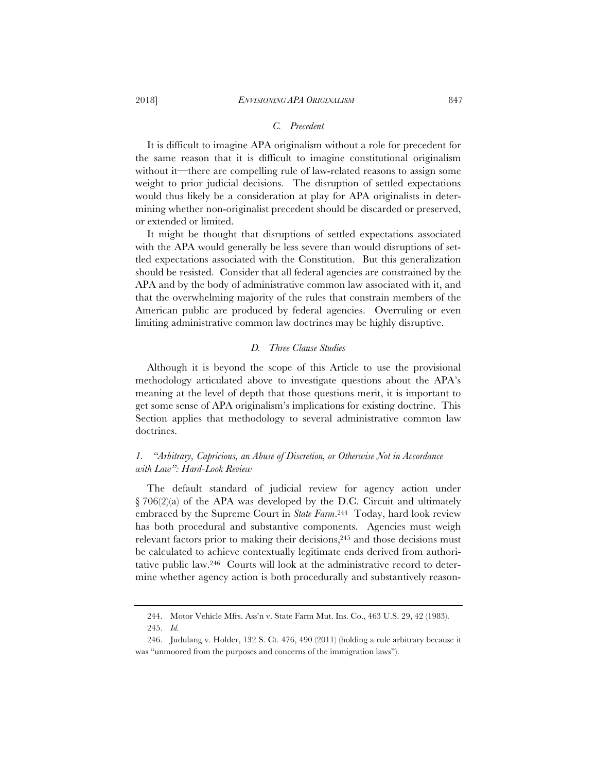### *C. Precedent*

It is difficult to imagine APA originalism without a role for precedent for the same reason that it is difficult to imagine constitutional originalism without it—there are compelling rule of law-related reasons to assign some weight to prior judicial decisions. The disruption of settled expectations would thus likely be a consideration at play for APA originalists in determining whether non-originalist precedent should be discarded or preserved, or extended or limited.

It might be thought that disruptions of settled expectations associated with the APA would generally be less severe than would disruptions of settled expectations associated with the Constitution. But this generalization should be resisted. Consider that all federal agencies are constrained by the APA and by the body of administrative common law associated with it, and that the overwhelming majority of the rules that constrain members of the American public are produced by federal agencies. Overruling or even limiting administrative common law doctrines may be highly disruptive.

## *D. Three Clause Studies*

Although it is beyond the scope of this Article to use the provisional methodology articulated above to investigate questions about the APA's meaning at the level of depth that those questions merit, it is important to get some sense of APA originalism's implications for existing doctrine. This Section applies that methodology to several administrative common law doctrines.

# *1. "Arbitrary, Capricious, an Abuse of Discretion, or Otherwise Not in Accordance with Law": Hard-Look Review*

The default standard of judicial review for agency action under  $\S 706(2)(a)$  of the APA was developed by the D.C. Circuit and ultimately embraced by the Supreme Court in *State Farm*.244 Today, hard look review has both procedural and substantive components. Agencies must weigh relevant factors prior to making their decisions,<sup>245</sup> and those decisions must be calculated to achieve contextually legitimate ends derived from authoritative public law.246 Courts will look at the administrative record to determine whether agency action is both procedurally and substantively reason-

<sup>244.</sup> Motor Vehicle Mfrs. Ass'n v. State Farm Mut. Ins. Co., 463 U.S. 29, 42 (1983).

<sup>245.</sup> *Id.*

<sup>246.</sup> Judulang v. Holder, 132 S. Ct. 476, 490 (2011) (holding a rule arbitrary because it was "unmoored from the purposes and concerns of the immigration laws").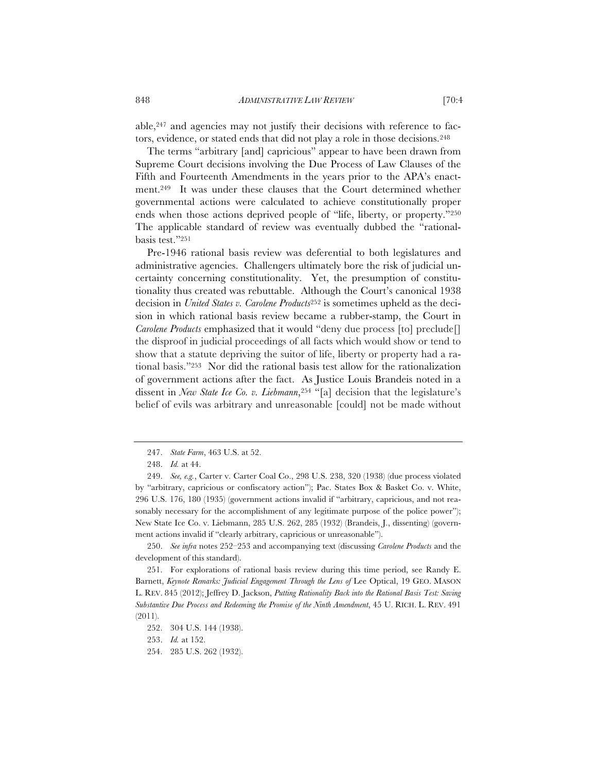able, $247$  and agencies may not justify their decisions with reference to factors, evidence, or stated ends that did not play a role in those decisions.248

The terms "arbitrary [and] capricious" appear to have been drawn from Supreme Court decisions involving the Due Process of Law Clauses of the Fifth and Fourteenth Amendments in the years prior to the APA's enactment.249 It was under these clauses that the Court determined whether governmental actions were calculated to achieve constitutionally proper ends when those actions deprived people of "life, liberty, or property."250 The applicable standard of review was eventually dubbed the "rationalbasis test."251

Pre-1946 rational basis review was deferential to both legislatures and administrative agencies. Challengers ultimately bore the risk of judicial uncertainty concerning constitutionality. Yet, the presumption of constitutionality thus created was rebuttable. Although the Court's canonical 1938 decision in *United States v. Carolene Products*<sup>252</sup> is sometimes upheld as the decision in which rational basis review became a rubber-stamp, the Court in *Carolene Products* emphasized that it would "deny due process [to] preclude[] the disproof in judicial proceedings of all facts which would show or tend to show that a statute depriving the suitor of life, liberty or property had a rational basis."253 Nor did the rational basis test allow for the rationalization of government actions after the fact. As Justice Louis Brandeis noted in a dissent in *New State Ice Co. v. Liebmann*,<sup>254</sup> "[a] decision that the legislature's belief of evils was arbitrary and unreasonable [could] not be made without

250. *See infra* notes 252–253 and accompanying text (discussing *Carolene Products* and the development of this standard).

<sup>247.</sup> *State Farm*, 463 U.S. at 52.

<sup>248.</sup> *Id.* at 44.

<sup>249.</sup> *See, e.g.*, Carter v. Carter Coal Co., 298 U.S. 238, 320 (1938) (due process violated by "arbitrary, capricious or confiscatory action"); Pac. States Box & Basket Co. v. White, 296 U.S. 176, 180 (1935) (government actions invalid if "arbitrary, capricious, and not reasonably necessary for the accomplishment of any legitimate purpose of the police power"); New State Ice Co. v. Liebmann, 285 U.S. 262, 285 (1932) (Brandeis, J., dissenting) (government actions invalid if "clearly arbitrary, capricious or unreasonable").

<sup>251.</sup> For explorations of rational basis review during this time period, see Randy E. Barnett, *Keynote Remarks: Judicial Engagement Through the Lens of* Lee Optical, 19 GEO. MASON L. REV. 845 (2012); Jeffrey D. Jackson, *Putting Rationality Back into the Rational Basis Test: Saving Substantive Due Process and Redeeming the Promise of the Ninth Amendment*, 45 U. RICH. L. REV. 491 (2011).

<sup>252. 304</sup> U.S. 144 (1938).

<sup>253.</sup> *Id.* at 152.

<sup>254. 285</sup> U.S. 262 (1932).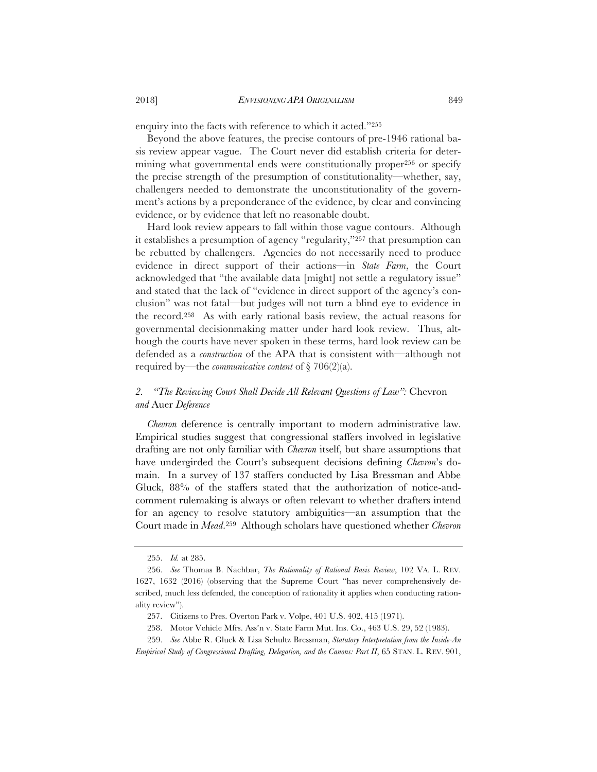enquiry into the facts with reference to which it acted."255

Beyond the above features, the precise contours of pre-1946 rational basis review appear vague. The Court never did establish criteria for determining what governmental ends were constitutionally proper256 or specify the precise strength of the presumption of constitutionality—whether, say, challengers needed to demonstrate the unconstitutionality of the government's actions by a preponderance of the evidence, by clear and convincing evidence, or by evidence that left no reasonable doubt.

Hard look review appears to fall within those vague contours. Although it establishes a presumption of agency "regularity,"257 that presumption can be rebutted by challengers. Agencies do not necessarily need to produce evidence in direct support of their actions—in *State Farm*, the Court acknowledged that "the available data [might] not settle a regulatory issue" and stated that the lack of "evidence in direct support of the agency's conclusion" was not fatal—but judges will not turn a blind eye to evidence in the record.258 As with early rational basis review, the actual reasons for governmental decisionmaking matter under hard look review. Thus, although the courts have never spoken in these terms, hard look review can be defended as a *construction* of the APA that is consistent with—although not required by—the *communicative content* of § 706(2)(a).

# *2. "The Reviewing Court Shall Decide All Relevant Questions of Law":* Chevron *and* Auer *Deference*

*Chevron* deference is centrally important to modern administrative law. Empirical studies suggest that congressional staffers involved in legislative drafting are not only familiar with *Chevron* itself, but share assumptions that have undergirded the Court's subsequent decisions defining *Chevron*'s domain. In a survey of 137 staffers conducted by Lisa Bressman and Abbe Gluck, 88% of the staffers stated that the authorization of notice-andcomment rulemaking is always or often relevant to whether drafters intend for an agency to resolve statutory ambiguities—an assumption that the Court made in *Mead*.259 Although scholars have questioned whether *Chevron*

<sup>255.</sup> *Id.* at 285.

<sup>256.</sup> *See* Thomas B. Nachbar, *The Rationality of Rational Basis Review*, 102 VA. L. REV. 1627, 1632 (2016) (observing that the Supreme Court "has never comprehensively described, much less defended, the conception of rationality it applies when conducting rationality review").

<sup>257.</sup> Citizens to Pres. Overton Park v. Volpe, 401 U.S. 402, 415 (1971).

<sup>258.</sup> Motor Vehicle Mfrs. Ass'n v. State Farm Mut. Ins. Co., 463 U.S. 29, 52 (1983).

<sup>259.</sup> *See* Abbe R. Gluck & Lisa Schultz Bressman, *Statutory Interpretation from the Inside-An Empirical Study of Congressional Drafting, Delegation, and the Canons: Part II*, 65 STAN. L. REV. 901,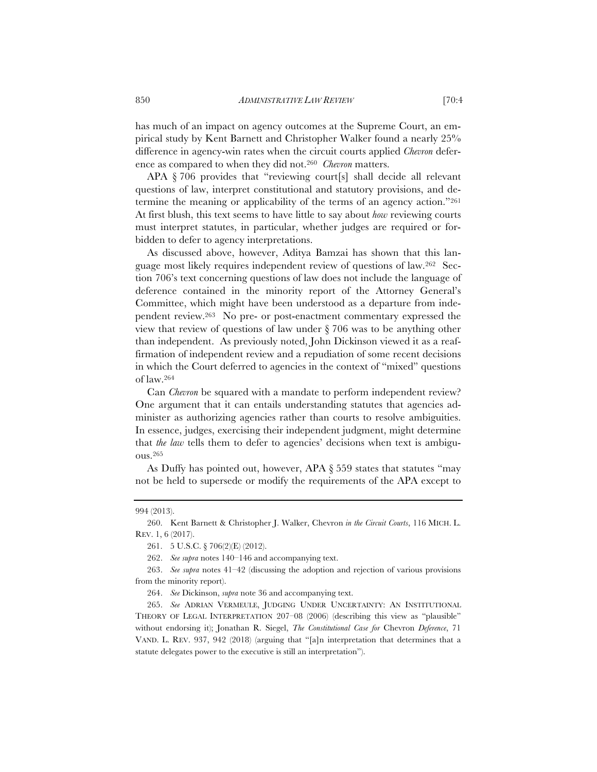has much of an impact on agency outcomes at the Supreme Court, an empirical study by Kent Barnett and Christopher Walker found a nearly 25% difference in agency-win rates when the circuit courts applied *Chevron* deference as compared to when they did not.260 *Chevron* matters.

APA § 706 provides that "reviewing court[s] shall decide all relevant questions of law, interpret constitutional and statutory provisions, and determine the meaning or applicability of the terms of an agency action."261 At first blush, this text seems to have little to say about *how* reviewing courts must interpret statutes, in particular, whether judges are required or forbidden to defer to agency interpretations.

As discussed above, however, Aditya Bamzai has shown that this language most likely requires independent review of questions of law.262 Section 706's text concerning questions of law does not include the language of deference contained in the minority report of the Attorney General's Committee, which might have been understood as a departure from independent review.263 No pre- or post-enactment commentary expressed the view that review of questions of law under § 706 was to be anything other than independent. As previously noted, John Dickinson viewed it as a reaffirmation of independent review and a repudiation of some recent decisions in which the Court deferred to agencies in the context of "mixed" questions of law.264

Can *Chevron* be squared with a mandate to perform independent review? One argument that it can entails understanding statutes that agencies administer as authorizing agencies rather than courts to resolve ambiguities. In essence, judges, exercising their independent judgment, might determine that *the law* tells them to defer to agencies' decisions when text is ambiguous.265

As Duffy has pointed out, however, APA § 559 states that statutes "may not be held to supersede or modify the requirements of the APA except to

<sup>994 (2013).</sup>

<sup>260.</sup> Kent Barnett & Christopher J. Walker, Chevron *in the Circuit Courts*, 116 MICH. L. REV. 1, 6 (2017).

<sup>261. 5</sup> U.S.C. § 706(2)(E) (2012).

<sup>262.</sup> *See supra* notes 140–146 and accompanying text.

<sup>263.</sup> *See supra* notes 41–42 (discussing the adoption and rejection of various provisions from the minority report).

<sup>264.</sup> *See* Dickinson, *supra* note 36 and accompanying text.

<sup>265.</sup> *See* ADRIAN VERMEULE, JUDGING UNDER UNCERTAINTY: AN INSTITUTIONAL THEORY OF LEGAL INTERPRETATION 207–08 (2006) (describing this view as "plausible" without endorsing it); Jonathan R. Siegel, *The Constitutional Case for* Chevron *Deference*, 71 VAND. L. REV. 937, 942 (2018) (arguing that "[a]n interpretation that determines that a statute delegates power to the executive is still an interpretation").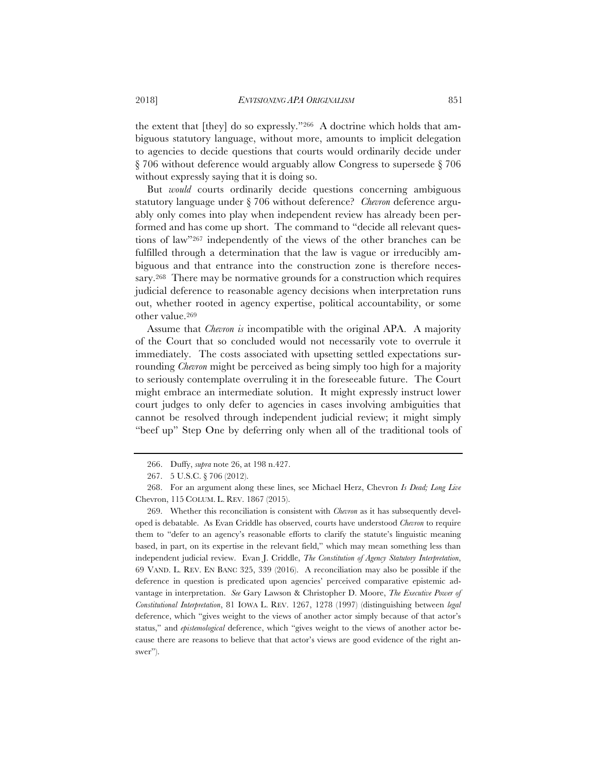the extent that [they] do so expressly."<sup>266</sup> A doctrine which holds that ambiguous statutory language, without more, amounts to implicit delegation to agencies to decide questions that courts would ordinarily decide under § 706 without deference would arguably allow Congress to supersede § 706 without expressly saying that it is doing so.

But *would* courts ordinarily decide questions concerning ambiguous statutory language under § 706 without deference? *Chevron* deference arguably only comes into play when independent review has already been performed and has come up short. The command to "decide all relevant questions of law"267 independently of the views of the other branches can be fulfilled through a determination that the law is vague or irreducibly ambiguous and that entrance into the construction zone is therefore necessary.268 There may be normative grounds for a construction which requires judicial deference to reasonable agency decisions when interpretation runs out, whether rooted in agency expertise, political accountability, or some other value.269

Assume that *Chevron is* incompatible with the original APA. A majority of the Court that so concluded would not necessarily vote to overrule it immediately. The costs associated with upsetting settled expectations surrounding *Chevron* might be perceived as being simply too high for a majority to seriously contemplate overruling it in the foreseeable future. The Court might embrace an intermediate solution. It might expressly instruct lower court judges to only defer to agencies in cases involving ambiguities that cannot be resolved through independent judicial review; it might simply "beef up" Step One by deferring only when all of the traditional tools of

269. Whether this reconciliation is consistent with *Chevron* as it has subsequently developed is debatable. As Evan Criddle has observed, courts have understood *Chevron* to require them to "defer to an agency's reasonable efforts to clarify the statute's linguistic meaning based, in part, on its expertise in the relevant field," which may mean something less than independent judicial review. Evan J. Criddle, *The Constitution of Agency Statutory Interpretation*, 69 VAND. L. REV. EN BANC 325, 339 (2016). A reconciliation may also be possible if the deference in question is predicated upon agencies' perceived comparative epistemic advantage in interpretation. *See* Gary Lawson & Christopher D. Moore, *The Executive Power of Constitutional Interpretation*, 81 IOWA L. REV. 1267, 1278 (1997) (distinguishing between *legal* deference, which "gives weight to the views of another actor simply because of that actor's status," and *epistemological* deference, which "gives weight to the views of another actor because there are reasons to believe that that actor's views are good evidence of the right answer").

<sup>266.</sup> Duffy, *supra* note 26, at 198 n.427.

<sup>267. 5</sup> U.S.C. § 706 (2012).

<sup>268.</sup> For an argument along these lines, see Michael Herz, Chevron *Is Dead; Long Live* Chevron, 115 COLUM. L. REV. 1867 (2015).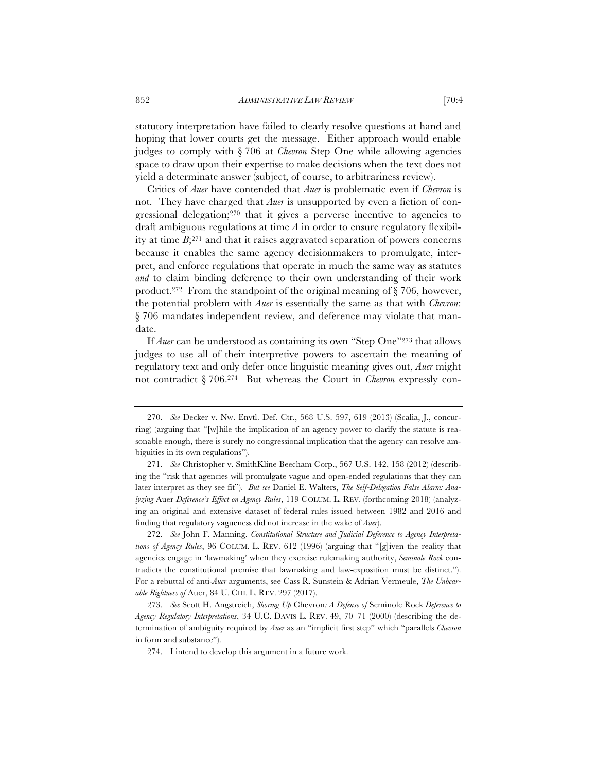statutory interpretation have failed to clearly resolve questions at hand and hoping that lower courts get the message. Either approach would enable judges to comply with § 706 at *Chevron* Step One while allowing agencies space to draw upon their expertise to make decisions when the text does not yield a determinate answer (subject, of course, to arbitrariness review).

Critics of *Auer* have contended that *Auer* is problematic even if *Chevron* is not. They have charged that *Auer* is unsupported by even a fiction of congressional delegation;270 that it gives a perverse incentive to agencies to draft ambiguous regulations at time *A* in order to ensure regulatory flexibility at time *B*;271 and that it raises aggravated separation of powers concerns because it enables the same agency decisionmakers to promulgate, interpret, and enforce regulations that operate in much the same way as statutes *and* to claim binding deference to their own understanding of their work product.<sup>272</sup> From the standpoint of the original meaning of  $\S$  706, however, the potential problem with *Auer* is essentially the same as that with *Chevron*: § 706 mandates independent review, and deference may violate that mandate.

If *Auer* can be understood as containing its own "Step One"<sup>273</sup> that allows judges to use all of their interpretive powers to ascertain the meaning of regulatory text and only defer once linguistic meaning gives out, *Auer* might not contradict § 706.274 But whereas the Court in *Chevron* expressly con-

272. *See* John F. Manning, *Constitutional Structure and Judicial Deference to Agency Interpretations of Agency Rules*, 96 COLUM. L. REV. 612 (1996) (arguing that "[g]iven the reality that agencies engage in 'lawmaking' when they exercise rulemaking authority, *Seminole Rock* contradicts the constitutional premise that lawmaking and law-exposition must be distinct."). For a rebuttal of anti-*Auer* arguments, see Cass R. Sunstein & Adrian Vermeule, *The Unbearable Rightness of* Auer, 84 U. CHI. L. REV. 297 (2017).

273. *See* Scott H. Angstreich, *Shoring Up* Chevron*: A Defense of* Seminole Rock *Deference to Agency Regulatory Interpretations*, 34 U.C. DAVIS L. REV. 49, 70–71 (2000) (describing the determination of ambiguity required by *Auer* as an "implicit first step" which "parallels *Chevron* in form and substance").

274. I intend to develop this argument in a future work.

<sup>270.</sup> *See* Decker v. Nw. Envtl. Def. Ctr., 568 U.S. 597, 619 (2013) (Scalia, J., concurring) (arguing that "[w]hile the implication of an agency power to clarify the statute is reasonable enough, there is surely no congressional implication that the agency can resolve ambiguities in its own regulations").

<sup>271.</sup> *See* Christopher v. SmithKline Beecham Corp., 567 U.S. 142, 158 (2012) (describing the "risk that agencies will promulgate vague and open-ended regulations that they can later interpret as they see fit"). *But see* Daniel E. Walters, *The Self-Delegation False Alarm: Analyzing* Auer *Deference's Effect on Agency Rules*, 119 COLUM. L. REV. (forthcoming 2018) (analyzing an original and extensive dataset of federal rules issued between 1982 and 2016 and finding that regulatory vagueness did not increase in the wake of *Auer*).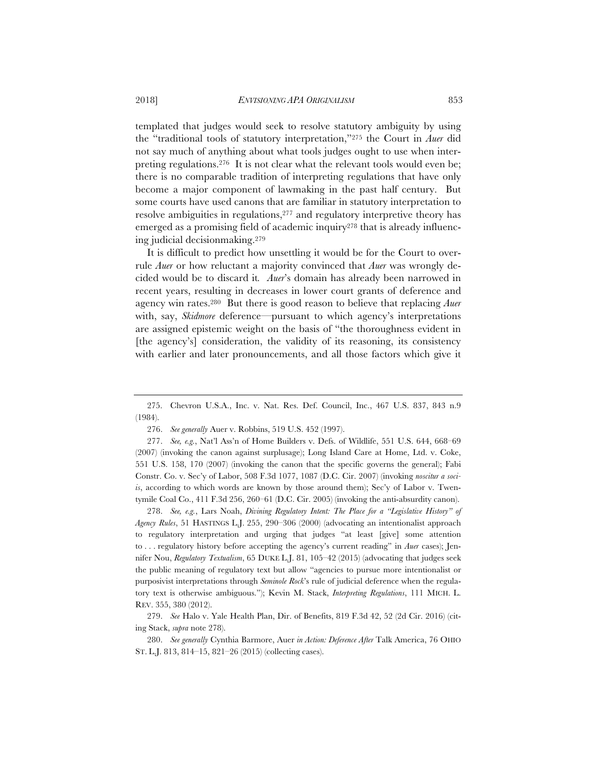templated that judges would seek to resolve statutory ambiguity by using the "traditional tools of statutory interpretation,"275 the Court in *Auer* did not say much of anything about what tools judges ought to use when interpreting regulations.276 It is not clear what the relevant tools would even be; there is no comparable tradition of interpreting regulations that have only become a major component of lawmaking in the past half century. But some courts have used canons that are familiar in statutory interpretation to resolve ambiguities in regulations,<sup>277</sup> and regulatory interpretive theory has emerged as a promising field of academic inquiry<sup>278</sup> that is already influencing judicial decisionmaking.279

It is difficult to predict how unsettling it would be for the Court to overrule *Auer* or how reluctant a majority convinced that *Auer* was wrongly decided would be to discard it*. Auer*'s domain has already been narrowed in recent years, resulting in decreases in lower court grants of deference and agency win rates.280 But there is good reason to believe that replacing *Auer*  with, say, *Skidmore* deference—pursuant to which agency's interpretations are assigned epistemic weight on the basis of "the thoroughness evident in [the agency's] consideration, the validity of its reasoning, its consistency with earlier and later pronouncements, and all those factors which give it

278. *See, e.g.*, Lars Noah, *Divining Regulatory Intent: The Place for a "Legislative History" of Agency Rules*, 51 HASTINGS L.J. 255, 290–306 (2000) (advocating an intentionalist approach to regulatory interpretation and urging that judges "at least [give] some attention to . . . regulatory history before accepting the agency's current reading" in *Auer* cases); Jennifer Nou, *Regulatory Textualism*, 65 DUKE L.J. 81, 105–42 (2015) (advocating that judges seek the public meaning of regulatory text but allow "agencies to pursue more intentionalist or purposivist interpretations through *Seminole Rock*'s rule of judicial deference when the regulatory text is otherwise ambiguous."); Kevin M. Stack, *Interpreting Regulations*, 111 MICH. L. REV. 355, 380 (2012).

279. *See* Halo v. Yale Health Plan, Dir. of Benefits, 819 F.3d 42, 52 (2d Cir. 2016) (citing Stack, *supra* note 278).

280. *See generally* Cynthia Barmore, Auer *in Action: Deference After* Talk America, 76 OHIO ST. L.J. 813, 814–15, 821–26 (2015) (collecting cases).

<sup>275.</sup> Chevron U.S.A., Inc. v. Nat. Res. Def. Council, Inc., 467 U.S. 837, 843 n.9 (1984).

<sup>276.</sup> *See generally* Auer v. Robbins, 519 U.S. 452 (1997).

<sup>277.</sup> *See, e.g.*, Nat'l Ass'n of Home Builders v. Defs. of Wildlife, 551 U.S. 644, 668–69 (2007) (invoking the canon against surplusage); Long Island Care at Home, Ltd. v. Coke, 551 U.S. 158, 170 (2007) (invoking the canon that the specific governs the general); Fabi Constr. Co. v. Sec'y of Labor, 508 F.3d 1077, 1087 (D.C. Cir. 2007) (invoking *noscitur a sociis*, according to which words are known by those around them); Sec'y of Labor v. Twentymile Coal Co., 411 F.3d 256, 260–61 (D.C. Cir. 2005) (invoking the anti-absurdity canon).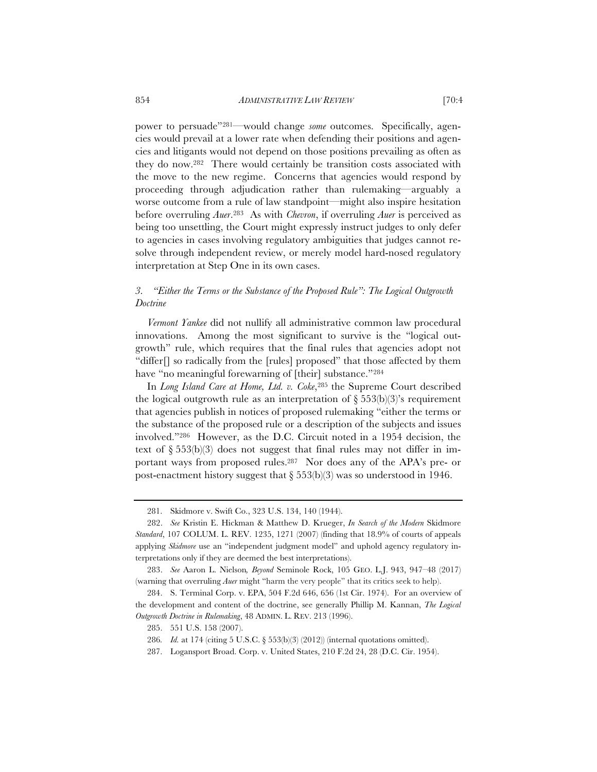power to persuade"281—would change *some* outcomes. Specifically, agencies would prevail at a lower rate when defending their positions and agencies and litigants would not depend on those positions prevailing as often as they do now.282 There would certainly be transition costs associated with the move to the new regime. Concerns that agencies would respond by proceeding through adjudication rather than rulemaking—arguably a worse outcome from a rule of law standpoint—might also inspire hesitation before overruling *Auer*.283 As with *Chevron*, if overruling *Auer* is perceived as being too unsettling, the Court might expressly instruct judges to only defer to agencies in cases involving regulatory ambiguities that judges cannot resolve through independent review, or merely model hard-nosed regulatory interpretation at Step One in its own cases.

## *3. "Either the Terms or the Substance of the Proposed Rule": The Logical Outgrowth Doctrine*

*Vermont Yankee* did not nullify all administrative common law procedural innovations. Among the most significant to survive is the "logical outgrowth" rule, which requires that the final rules that agencies adopt not "differ[] so radically from the [rules] proposed" that those affected by them have "no meaningful forewarning of [their] substance."284

In *Long Island Care at Home, Ltd. v. Coke*,285 the Supreme Court described the logical outgrowth rule as an interpretation of  $\S 553(b)(3)$ 's requirement that agencies publish in notices of proposed rulemaking "either the terms or the substance of the proposed rule or a description of the subjects and issues involved."286 However, as the D.C. Circuit noted in a 1954 decision, the text of  $\S 553(b)(3)$  does not suggest that final rules may not differ in important ways from proposed rules.287 Nor does any of the APA's pre- or post-enactment history suggest that  $\S 553(b)(3)$  was so understood in 1946.

<sup>281.</sup> Skidmore v. Swift Co., 323 U.S. 134, 140 (1944).

<sup>282.</sup> *See* Kristin E. Hickman & Matthew D. Krueger, *In Search of the Modern* Skidmore *Standard*, 107 COLUM. L. REV. 1235, 1271 (2007) (finding that 18.9% of courts of appeals applying *Skidmore* use an "independent judgment model" and uphold agency regulatory interpretations only if they are deemed the best interpretations).

<sup>283.</sup> *See* Aaron L. Nielson*, Beyond* Seminole Rock, 105 GEO. L.J. 943, 947–48 (2017) (warning that overruling *Auer* might "harm the very people" that its critics seek to help).

<sup>284.</sup> S. Terminal Corp. v. EPA, 504 F.2d 646, 656 (1st Cir. 1974). For an overview of the development and content of the doctrine, see generally Phillip M. Kannan, *The Logical Outgrowth Doctrine in Rulemaking*, 48 ADMIN. L. REV. 213 (1996).

<sup>285. 551</sup> U.S. 158 (2007).

<sup>286</sup>*. Id.* at 174 (citing 5 U.S.C. § 553(b)(3) (2012)) (internal quotations omitted).

<sup>287.</sup> Logansport Broad. Corp. v. United States, 210 F.2d 24, 28 (D.C. Cir. 1954).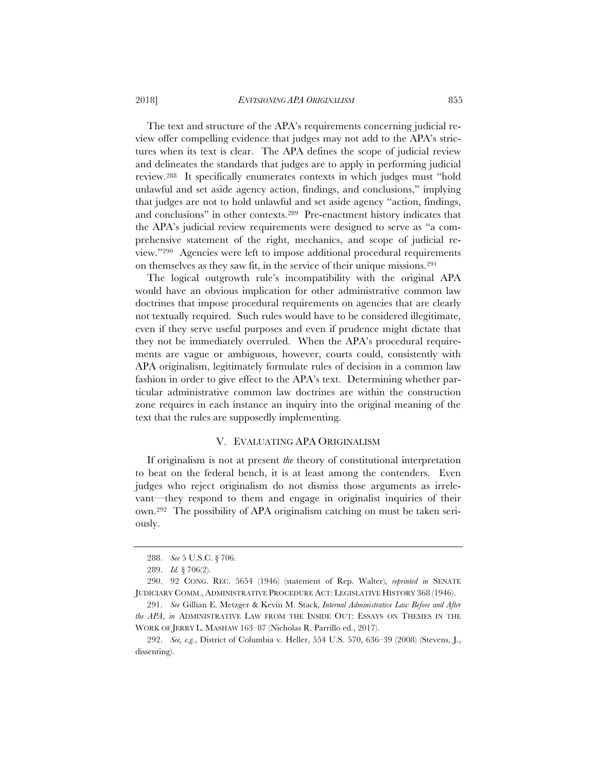The text and structure of the APA's requirements concerning judicial review offer compelling evidence that judges may not add to the APA's strictures when its text is clear. The APA defines the scope of judicial review and delineates the standards that judges are to apply in performing judicial review.288 It specifically enumerates contexts in which judges must "hold unlawful and set aside agency action, findings, and conclusions," implying that judges are not to hold unlawful and set aside agency "action, findings, and conclusions" in other contexts.289 Pre-enactment history indicates that the APA's judicial review requirements were designed to serve as "a comprehensive statement of the right, mechanics, and scope of judicial review."290 Agencies were left to impose additional procedural requirements on themselves as they saw fit, in the service of their unique missions.291

The logical outgrowth rule's incompatibility with the original APA would have an obvious implication for other administrative common law doctrines that impose procedural requirements on agencies that are clearly not textually required. Such rules would have to be considered illegitimate, even if they serve useful purposes and even if prudence might dictate that they not be immediately overruled. When the APA's procedural requirements are vague or ambiguous, however, courts could, consistently with APA originalism, legitimately formulate rules of decision in a common law fashion in order to give effect to the APA's text. Determining whether particular administrative common law doctrines are within the construction zone requires in each instance an inquiry into the original meaning of the text that the rules are supposedly implementing.

## V. EVALUATING APA ORIGINALISM

If originalism is not at present *the* theory of constitutional interpretation to beat on the federal bench, it is at least among the contenders. Even judges who reject originalism do not dismiss those arguments as irrelevant—they respond to them and engage in originalist inquiries of their own.292 The possibility of APA originalism catching on must be taken seriously.

<sup>288.</sup> *See* 5 U.S.C. § 706.

<sup>289.</sup> *Id.* § 706(2).

<sup>290. 92</sup> CONG. REC. 5654 (1946) (statement of Rep. Walter), *reprinted in* SENATE JUDICIARY COMM., ADMINISTRATIVE PROCEDURE ACT: LEGISLATIVE HISTORY 368 (1946).

<sup>291.</sup> *See* Gillian E. Metzger & Kevin M. Stack, *Internal Administrative Law Before and After the APA*, *in* ADMINISTRATIVE LAW FROM THE INSIDE OUT: ESSAYS ON THEMES IN THE WORK OF JERRY L. MASHAW 163–87 (Nicholas R. Parrillo ed., 2017).

<sup>292.</sup> *See, e.g.*, District of Columbia v. Heller, 554 U.S. 570, 636–39 (2008) (Stevens, J., dissenting).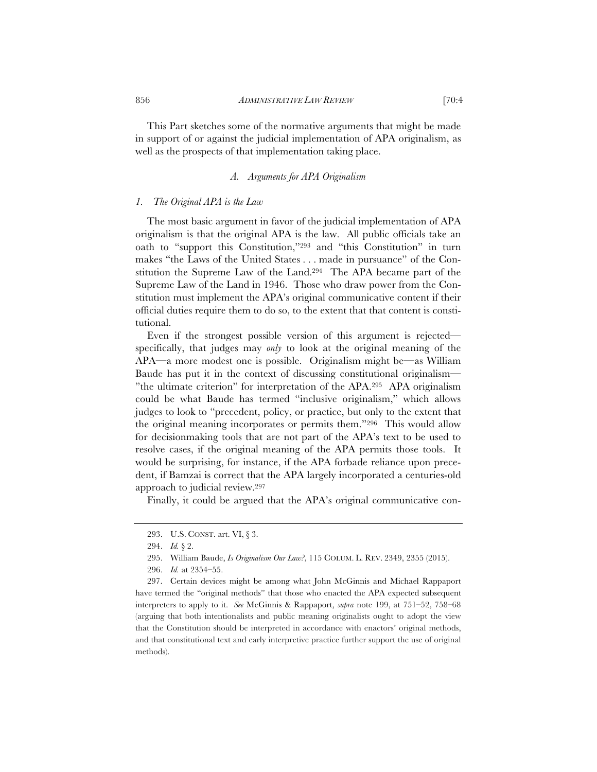This Part sketches some of the normative arguments that might be made in support of or against the judicial implementation of APA originalism, as well as the prospects of that implementation taking place.

## *A. Arguments for APA Originalism*

## *1. The Original APA is the Law*

The most basic argument in favor of the judicial implementation of APA originalism is that the original APA is the law. All public officials take an oath to "support this Constitution,"293 and "this Constitution" in turn makes "the Laws of the United States . . . made in pursuance" of the Constitution the Supreme Law of the Land.294 The APA became part of the Supreme Law of the Land in 1946. Those who draw power from the Constitution must implement the APA's original communicative content if their official duties require them to do so, to the extent that that content is constitutional.

Even if the strongest possible version of this argument is rejected specifically, that judges may *only* to look at the original meaning of the APA—a more modest one is possible. Originalism might be—as William Baude has put it in the context of discussing constitutional originalism— "the ultimate criterion" for interpretation of the APA.295 APA originalism could be what Baude has termed "inclusive originalism," which allows judges to look to "precedent, policy, or practice, but only to the extent that the original meaning incorporates or permits them."296 This would allow for decisionmaking tools that are not part of the APA's text to be used to resolve cases, if the original meaning of the APA permits those tools. It would be surprising, for instance, if the APA forbade reliance upon precedent, if Bamzai is correct that the APA largely incorporated a centuries-old approach to judicial review.297

Finally, it could be argued that the APA's original communicative con-

<sup>293.</sup> U.S. CONST. art. VI, § 3.

<sup>294.</sup> *Id.* § 2.

<sup>295.</sup> William Baude, *Is Originalism Our Law?*, 115 COLUM. L. REV. 2349, 2355 (2015).

<sup>296.</sup> *Id.* at 2354–55.

<sup>297.</sup> Certain devices might be among what John McGinnis and Michael Rappaport have termed the "original methods" that those who enacted the APA expected subsequent interpreters to apply to it. *See* McGinnis & Rappaport, *supra* note 199, at 751–52, 758–68 (arguing that both intentionalists and public meaning originalists ought to adopt the view that the Constitution should be interpreted in accordance with enactors' original methods, and that constitutional text and early interpretive practice further support the use of original methods).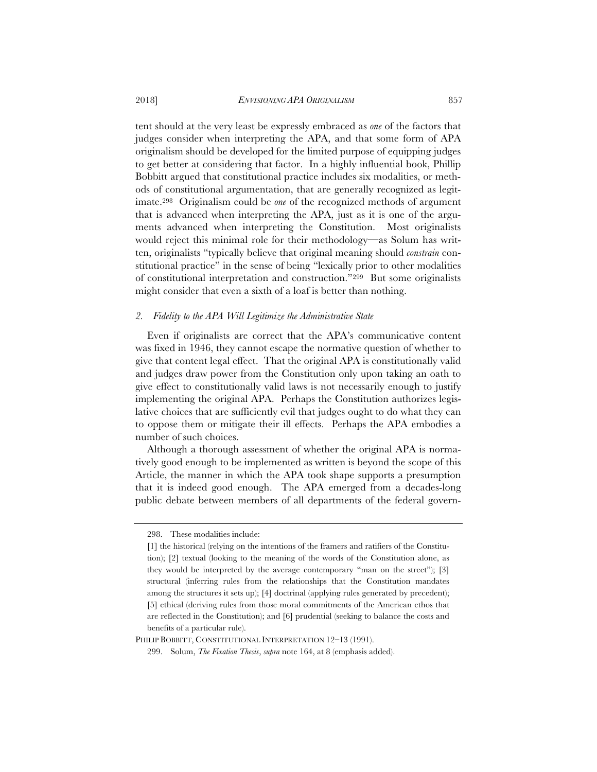tent should at the very least be expressly embraced as *one* of the factors that judges consider when interpreting the APA, and that some form of APA originalism should be developed for the limited purpose of equipping judges to get better at considering that factor. In a highly influential book, Phillip Bobbitt argued that constitutional practice includes six modalities, or methods of constitutional argumentation, that are generally recognized as legitimate.298 Originalism could be *one* of the recognized methods of argument that is advanced when interpreting the APA, just as it is one of the arguments advanced when interpreting the Constitution. Most originalists would reject this minimal role for their methodology—as Solum has written, originalists "typically believe that original meaning should *constrain* constitutional practice" in the sense of being "lexically prior to other modalities of constitutional interpretation and construction."299 But some originalists might consider that even a sixth of a loaf is better than nothing.

### *2. Fidelity to the APA Will Legitimize the Administrative State*

Even if originalists are correct that the APA's communicative content was fixed in 1946, they cannot escape the normative question of whether to give that content legal effect. That the original APA is constitutionally valid and judges draw power from the Constitution only upon taking an oath to give effect to constitutionally valid laws is not necessarily enough to justify implementing the original APA. Perhaps the Constitution authorizes legislative choices that are sufficiently evil that judges ought to do what they can to oppose them or mitigate their ill effects. Perhaps the APA embodies a number of such choices.

Although a thorough assessment of whether the original APA is normatively good enough to be implemented as written is beyond the scope of this Article, the manner in which the APA took shape supports a presumption that it is indeed good enough. The APA emerged from a decades-long public debate between members of all departments of the federal govern-

<sup>298.</sup> These modalities include:

<sup>[1]</sup> the historical (relying on the intentions of the framers and ratifiers of the Constitution); [2] textual (looking to the meaning of the words of the Constitution alone, as they would be interpreted by the average contemporary "man on the street"); [3] structural (inferring rules from the relationships that the Constitution mandates among the structures it sets up); [4] doctrinal (applying rules generated by precedent); [5] ethical (deriving rules from those moral commitments of the American ethos that are reflected in the Constitution); and [6] prudential (seeking to balance the costs and benefits of a particular rule).

PHILIP BOBBITT, CONSTITUTIONAL INTERPRETATION 12-13 (1991).

<sup>299.</sup> Solum, *The Fixation Thesis*, *supra* note 164, at 8 (emphasis added).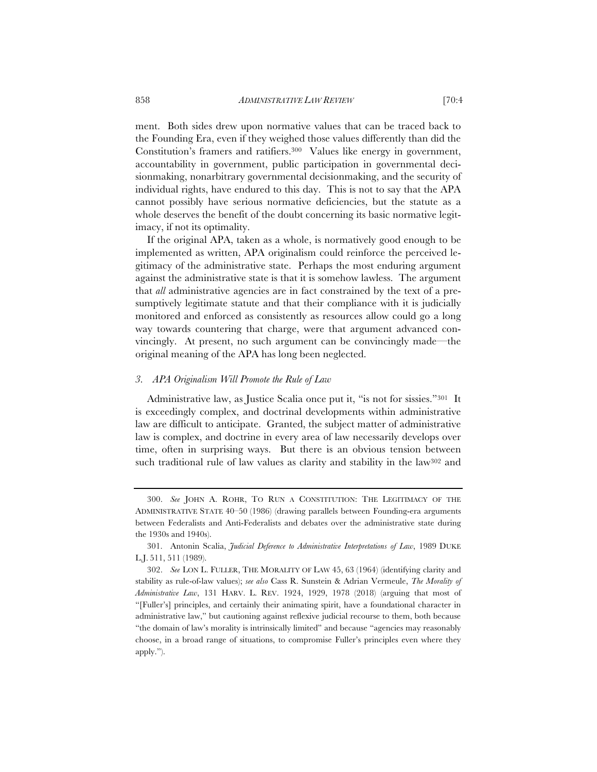ment. Both sides drew upon normative values that can be traced back to the Founding Era, even if they weighed those values differently than did the Constitution's framers and ratifiers.300 Values like energy in government, accountability in government, public participation in governmental decisionmaking, nonarbitrary governmental decisionmaking, and the security of individual rights, have endured to this day. This is not to say that the APA cannot possibly have serious normative deficiencies, but the statute as a whole deserves the benefit of the doubt concerning its basic normative legitimacy, if not its optimality.

If the original APA, taken as a whole, is normatively good enough to be implemented as written, APA originalism could reinforce the perceived legitimacy of the administrative state. Perhaps the most enduring argument against the administrative state is that it is somehow lawless. The argument that *all* administrative agencies are in fact constrained by the text of a presumptively legitimate statute and that their compliance with it is judicially monitored and enforced as consistently as resources allow could go a long way towards countering that charge, were that argument advanced convincingly. At present, no such argument can be convincingly made—the original meaning of the APA has long been neglected.

## *3. APA Originalism Will Promote the Rule of Law*

Administrative law, as Justice Scalia once put it, "is not for sissies."301 It is exceedingly complex, and doctrinal developments within administrative law are difficult to anticipate. Granted, the subject matter of administrative law is complex, and doctrine in every area of law necessarily develops over time, often in surprising ways. But there is an obvious tension between such traditional rule of law values as clarity and stability in the law302 and

<sup>300.</sup> *See* JOHN A. ROHR, TO RUN A CONSTITUTION: THE LEGITIMACY OF THE ADMINISTRATIVE STATE 40–50 (1986) (drawing parallels between Founding-era arguments between Federalists and Anti-Federalists and debates over the administrative state during the 1930s and 1940s).

<sup>301.</sup> Antonin Scalia, *Judicial Deference to Administrative Interpretations of Law*, 1989 DUKE L.J. 511, 511 (1989).

<sup>302.</sup> *See* LON L. FULLER, THE MORALITY OF LAW 45, 63 (1964) (identifying clarity and stability as rule-of-law values); *see also* Cass R. Sunstein & Adrian Vermeule, *The Morality of Administrative Law*, 131 HARV. L. REV. 1924, 1929, 1978 (2018) (arguing that most of "[Fuller's] principles, and certainly their animating spirit, have a foundational character in administrative law," but cautioning against reflexive judicial recourse to them, both because "the domain of law's morality is intrinsically limited" and because "agencies may reasonably choose, in a broad range of situations, to compromise Fuller's principles even where they apply.").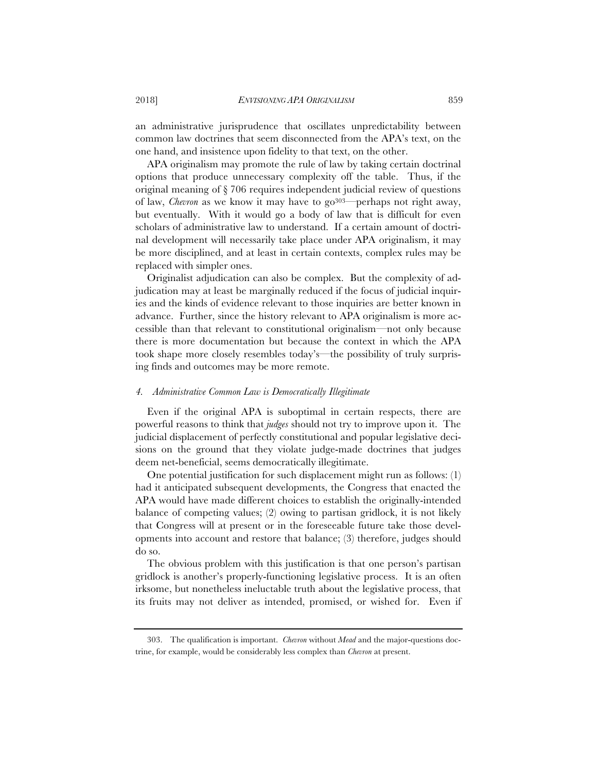an administrative jurisprudence that oscillates unpredictability between common law doctrines that seem disconnected from the APA's text, on the one hand, and insistence upon fidelity to that text, on the other.

APA originalism may promote the rule of law by taking certain doctrinal options that produce unnecessary complexity off the table. Thus, if the original meaning of § 706 requires independent judicial review of questions of law, *Chevron* as we know it may have to go<sup>303</sup>—perhaps not right away, but eventually. With it would go a body of law that is difficult for even scholars of administrative law to understand. If a certain amount of doctrinal development will necessarily take place under APA originalism, it may be more disciplined, and at least in certain contexts, complex rules may be replaced with simpler ones.

Originalist adjudication can also be complex. But the complexity of adjudication may at least be marginally reduced if the focus of judicial inquiries and the kinds of evidence relevant to those inquiries are better known in advance. Further, since the history relevant to APA originalism is more accessible than that relevant to constitutional originalism—not only because there is more documentation but because the context in which the APA took shape more closely resembles today's—the possibility of truly surprising finds and outcomes may be more remote.

#### *4. Administrative Common Law is Democratically Illegitimate*

Even if the original APA is suboptimal in certain respects, there are powerful reasons to think that *judges* should not try to improve upon it. The judicial displacement of perfectly constitutional and popular legislative decisions on the ground that they violate judge-made doctrines that judges deem net-beneficial, seems democratically illegitimate.

One potential justification for such displacement might run as follows: (1) had it anticipated subsequent developments, the Congress that enacted the APA would have made different choices to establish the originally-intended balance of competing values; (2) owing to partisan gridlock, it is not likely that Congress will at present or in the foreseeable future take those developments into account and restore that balance; (3) therefore, judges should do so.

The obvious problem with this justification is that one person's partisan gridlock is another's properly-functioning legislative process. It is an often irksome, but nonetheless ineluctable truth about the legislative process, that its fruits may not deliver as intended, promised, or wished for. Even if

<sup>303.</sup> The qualification is important. *Chevron* without *Mead* and the major-questions doctrine, for example, would be considerably less complex than *Chevron* at present.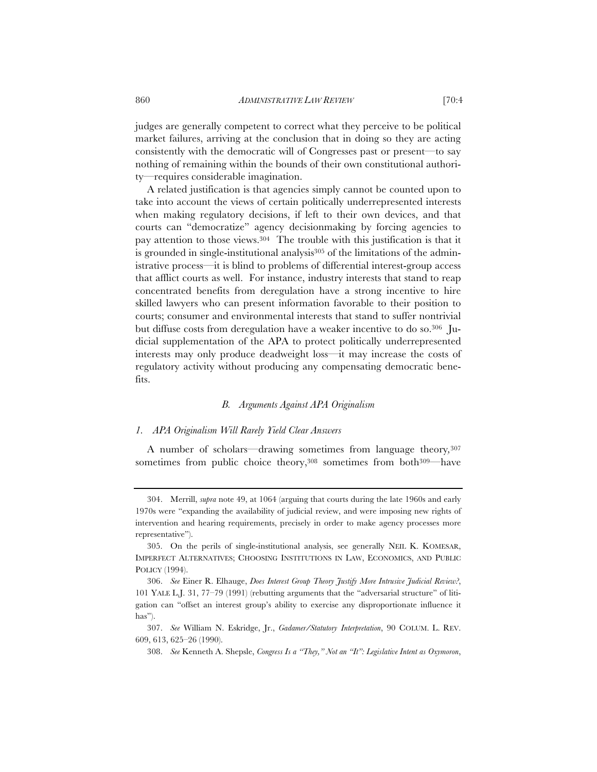judges are generally competent to correct what they perceive to be political market failures, arriving at the conclusion that in doing so they are acting consistently with the democratic will of Congresses past or present—to say nothing of remaining within the bounds of their own constitutional authority—requires considerable imagination.

A related justification is that agencies simply cannot be counted upon to take into account the views of certain politically underrepresented interests when making regulatory decisions, if left to their own devices, and that courts can "democratize" agency decisionmaking by forcing agencies to pay attention to those views.304 The trouble with this justification is that it is grounded in single-institutional analysis<sup>305</sup> of the limitations of the administrative process—it is blind to problems of differential interest-group access that afflict courts as well. For instance, industry interests that stand to reap concentrated benefits from deregulation have a strong incentive to hire skilled lawyers who can present information favorable to their position to courts; consumer and environmental interests that stand to suffer nontrivial but diffuse costs from deregulation have a weaker incentive to do so.306 Judicial supplementation of the APA to protect politically underrepresented interests may only produce deadweight loss—it may increase the costs of regulatory activity without producing any compensating democratic benefits.

## *B. Arguments Against APA Originalism*

#### *1. APA Originalism Will Rarely Yield Clear Answers*

A number of scholars—drawing sometimes from language theory*,*<sup>307</sup> sometimes from public choice theory,<sup>308</sup> sometimes from both<sup>309—have</sup>

<sup>304.</sup> Merrill, *supra* note 49, at 1064 (arguing that courts during the late 1960s and early 1970s were "expanding the availability of judicial review, and were imposing new rights of intervention and hearing requirements, precisely in order to make agency processes more representative").

<sup>305.</sup> On the perils of single-institutional analysis, see generally NEIL K. KOMESAR, IMPERFECT ALTERNATIVES; CHOOSING INSTITUTIONS IN LAW, ECONOMICS, AND PUBLIC POLICY (1994).

<sup>306.</sup> *See* Einer R. Elhauge, *Does Interest Group Theory Justify More Intrusive Judicial Review?*, 101 YALE L.J. 31, 77–79 (1991) (rebutting arguments that the "adversarial structure" of litigation can "offset an interest group's ability to exercise any disproportionate influence it has").

<sup>307.</sup> *See* William N. Eskridge, Jr., *Gadamer/Statutory Interpretation*, 90 COLUM. L. REV. 609, 613, 625–26 (1990).

<sup>308.</sup> *See* Kenneth A. Shepsle, *Congress Is a "They," Not an "It": Legislative Intent as Oxymoron*,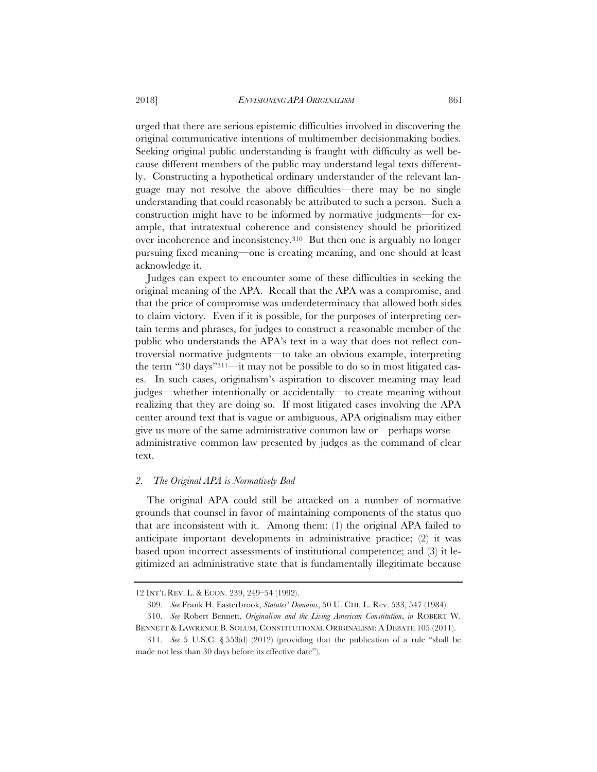urged that there are serious epistemic difficulties involved in discovering the original communicative intentions of multimember decisionmaking bodies. Seeking original public understanding is fraught with difficulty as well because different members of the public may understand legal texts differently. Constructing a hypothetical ordinary understander of the relevant language may not resolve the above difficulties—there may be no single understanding that could reasonably be attributed to such a person. Such a construction might have to be informed by normative judgments—for example, that intratextual coherence and consistency should be prioritized over incoherence and inconsistency.310 But then one is arguably no longer pursuing fixed meaning—one is creating meaning, and one should at least acknowledge it.

Judges can expect to encounter some of these difficulties in seeking the original meaning of the APA. Recall that the APA was a compromise, and that the price of compromise was underdeterminacy that allowed both sides to claim victory. Even if it is possible, for the purposes of interpreting certain terms and phrases, for judges to construct a reasonable member of the public who understands the APA's text in a way that does not reflect controversial normative judgments—to take an obvious example, interpreting the term "30 days"311—it may not be possible to do so in most litigated cases. In such cases, originalism's aspiration to discover meaning may lead judges—whether intentionally or accidentally—to create meaning without realizing that they are doing so. If most litigated cases involving the APA center around text that is vague or ambiguous, APA originalism may either give us more of the same administrative common law or—perhaps worse administrative common law presented by judges as the command of clear text.

## *2. The Original APA is Normatively Bad*

The original APA could still be attacked on a number of normative grounds that counsel in favor of maintaining components of the status quo that are inconsistent with it. Among them: (1) the original APA failed to anticipate important developments in administrative practice; (2) it was based upon incorrect assessments of institutional competence; and (3) it legitimized an administrative state that is fundamentally illegitimate because

<sup>12</sup> INT'L REV. L. & ECON. 239, 249–54 (1992).

<sup>309.</sup> *See* Frank H. Easterbrook, *Statutes' Domains*, 50 U. CHI. L. Rev. 533, 547 (1984).

<sup>310.</sup> *See* Robert Bennett, *Originalism and the Living American Constitution*, *in* ROBERT W. BENNETT & LAWRENCE B. SOLUM, CONSTITUTIONAL ORIGINALISM: A DEBATE 105 (2011).

<sup>311.</sup> *See* 5 U.S.C. § 553(d) (2012) (providing that the publication of a rule "shall be made not less than 30 days before its effective date").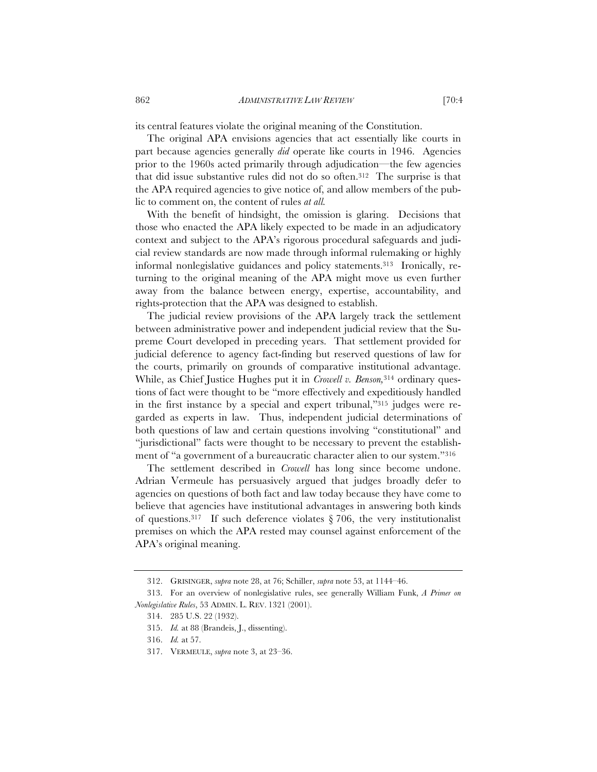its central features violate the original meaning of the Constitution.

The original APA envisions agencies that act essentially like courts in part because agencies generally *did* operate like courts in 1946. Agencies prior to the 1960s acted primarily through adjudication—the few agencies that did issue substantive rules did not do so often.312 The surprise is that the APA required agencies to give notice of, and allow members of the public to comment on, the content of rules *at all.* 

With the benefit of hindsight, the omission is glaring. Decisions that those who enacted the APA likely expected to be made in an adjudicatory context and subject to the APA's rigorous procedural safeguards and judicial review standards are now made through informal rulemaking or highly informal nonlegislative guidances and policy statements.313 Ironically, returning to the original meaning of the APA might move us even further away from the balance between energy, expertise, accountability, and rights-protection that the APA was designed to establish.

The judicial review provisions of the APA largely track the settlement between administrative power and independent judicial review that the Supreme Court developed in preceding years. That settlement provided for judicial deference to agency fact-finding but reserved questions of law for the courts, primarily on grounds of comparative institutional advantage. While, as Chief Justice Hughes put it in *Crowell v. Benson,*314 ordinary questions of fact were thought to be "more effectively and expeditiously handled in the first instance by a special and expert tribunal,"315 judges were regarded as experts in law. Thus, independent judicial determinations of both questions of law and certain questions involving "constitutional" and "jurisdictional" facts were thought to be necessary to prevent the establishment of "a government of a bureaucratic character alien to our system."316

The settlement described in *Crowell* has long since become undone. Adrian Vermeule has persuasively argued that judges broadly defer to agencies on questions of both fact and law today because they have come to believe that agencies have institutional advantages in answering both kinds of questions.<sup>317</sup> If such deference violates  $\S 706$ , the very institutionalist premises on which the APA rested may counsel against enforcement of the APA's original meaning.

<sup>312.</sup> GRISINGER, *supra* note 28, at 76; Schiller, *supra* note 53, at 1144–46.

<sup>313.</sup> For an overview of nonlegislative rules, see generally William Funk, *A Primer on Nonlegislative Rules*, 53 ADMIN. L. REV. 1321 (2001).

<sup>314. 285</sup> U.S. 22 (1932).

<sup>315.</sup> *Id.* at 88 (Brandeis, J., dissenting).

<sup>316.</sup> *Id.* at 57.

<sup>317.</sup> VERMEULE, *supra* note 3, at 23–36.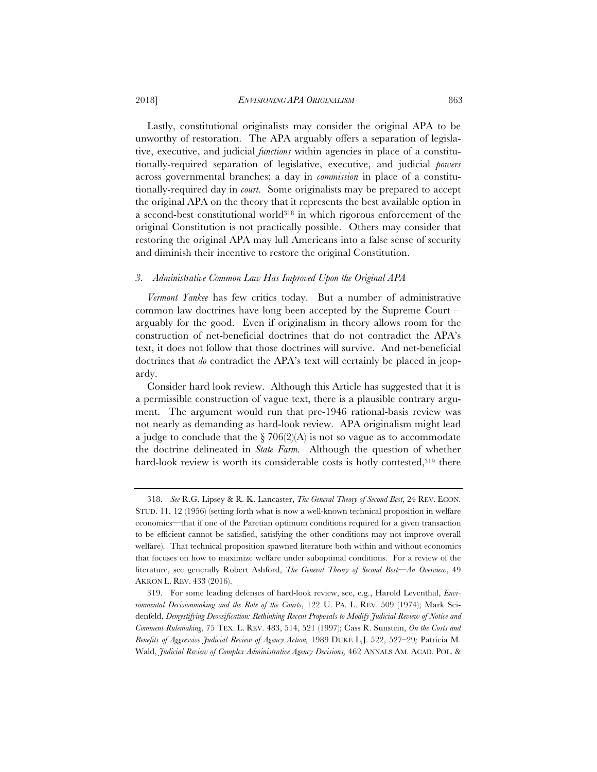## 2018] *ENVISIONING APA ORIGINALISM* 863

Lastly, constitutional originalists may consider the original APA to be unworthy of restoration. The APA arguably offers a separation of legislative, executive, and judicial *functions* within agencies in place of a constitutionally-required separation of legislative, executive, and judicial *powers* across governmental branches; a day in *commission* in place of a constitutionally-required day in *court*. Some originalists may be prepared to accept the original APA on the theory that it represents the best available option in a second-best constitutional world318 in which rigorous enforcement of the original Constitution is not practically possible. Others may consider that restoring the original APA may lull Americans into a false sense of security and diminish their incentive to restore the original Constitution.

## *3. Administrative Common Law Has Improved Upon the Original APA*

*Vermont Yankee* has few critics today. But a number of administrative common law doctrines have long been accepted by the Supreme Court arguably for the good. Even if originalism in theory allows room for the construction of net-beneficial doctrines that do not contradict the APA's text, it does not follow that those doctrines will survive. And net-beneficial doctrines that *do* contradict the APA's text will certainly be placed in jeopardy.

Consider hard look review. Although this Article has suggested that it is a permissible construction of vague text, there is a plausible contrary argument. The argument would run that pre-1946 rational-basis review was not nearly as demanding as hard-look review. APA originalism might lead a judge to conclude that the  $\S 706(2)(A)$  is not so vague as to accommodate the doctrine delineated in *State Farm.* Although the question of whether hard-look review is worth its considerable costs is hotly contested,<sup>319</sup> there

<sup>318.</sup> *See* R.G. Lipsey & R. K. Lancaster, *The General Theory of Second Best*, 24 REV. ECON. STUD. 11, 12 (1956) (setting forth what is now a well-known technical proposition in welfare economics—that if one of the Paretian optimum conditions required for a given transaction to be efficient cannot be satisfied, satisfying the other conditions may not improve overall welfare). That technical proposition spawned literature both within and without economics that focuses on how to maximize welfare under suboptimal conditions. For a review of the literature, see generally Robert Ashford, *The General Theory of Second Best—An Overview*, 49 AKRON L. REV. 433 (2016).

<sup>319.</sup> For some leading defenses of hard-look review, see, e.g., Harold Leventhal, *Environmental Decisionmaking and the Role of the Courts*, 122 U. PA. L. REV. 509 (1974); Mark Seidenfeld, *Demystifying Deossification: Rethinking Recent Proposals to Modify Judicial Review of Notice and Comment Rulemaking*, 75 TEX. L. REV. 483, 514, 521 (1997); Cass R. Sunstein, *On the Costs and Benefits of Aggressive Judicial Review of Agency Action,* 1989 DUKE L.J. 522, 527–29*;* Patricia M. Wald, *Judicial Review of Complex Administrative Agency Decisions,* 462 ANNALS AM. ACAD. POL. &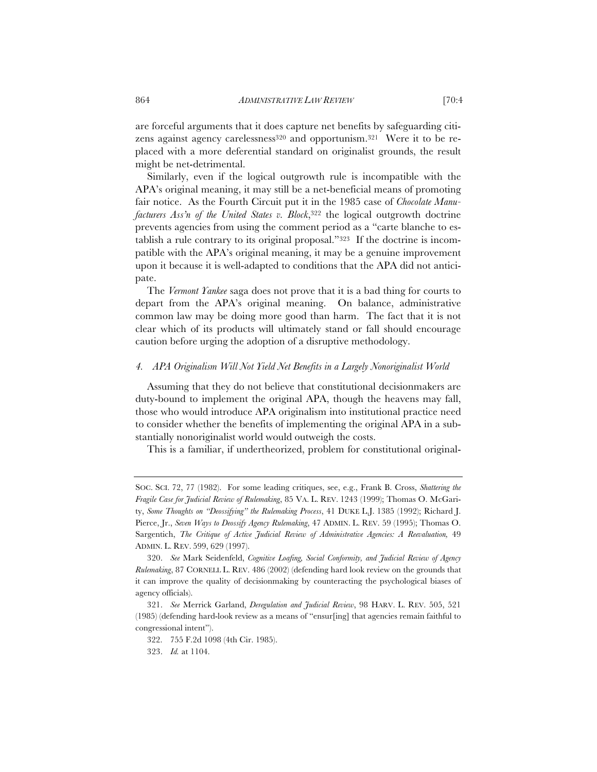are forceful arguments that it does capture net benefits by safeguarding citizens against agency carelessness<sup>320</sup> and opportunism.<sup>321</sup> Were it to be replaced with a more deferential standard on originalist grounds, the result might be net-detrimental.

Similarly, even if the logical outgrowth rule is incompatible with the APA's original meaning, it may still be a net-beneficial means of promoting fair notice. As the Fourth Circuit put it in the 1985 case of *Chocolate Manufacturers Ass'n of the United States v. Block*, 322 the logical outgrowth doctrine prevents agencies from using the comment period as a "carte blanche to establish a rule contrary to its original proposal."323 If the doctrine is incompatible with the APA's original meaning, it may be a genuine improvement upon it because it is well-adapted to conditions that the APA did not anticipate.

The *Vermont Yankee* saga does not prove that it is a bad thing for courts to depart from the APA's original meaning. On balance, administrative common law may be doing more good than harm. The fact that it is not clear which of its products will ultimately stand or fall should encourage caution before urging the adoption of a disruptive methodology.

## *4. APA Originalism Will Not Yield Net Benefits in a Largely Nonoriginalist World*

Assuming that they do not believe that constitutional decisionmakers are duty-bound to implement the original APA, though the heavens may fall, those who would introduce APA originalism into institutional practice need to consider whether the benefits of implementing the original APA in a substantially nonoriginalist world would outweigh the costs.

This is a familiar, if undertheorized, problem for constitutional original-

SOC. SCI. 72, 77 (1982). For some leading critiques, see, e.g., Frank B. Cross, *Shattering the Fragile Case for Judicial Review of Rulemaking*, 85 VA. L. REV. 1243 (1999); Thomas O. McGarity, *Some Thoughts on "Deossifying" the Rulemaking Process*, 41 DUKE L.J. 1385 (1992); Richard J. Pierce, Jr., *Seven Ways to Deossify Agency Rulemaking*, 47 ADMIN. L. REV. 59 (1995); Thomas O. Sargentich, *The Critique of Active Judicial Review of Administrative Agencies: A Reevaluation,* 49 ADMIN. L. REV. 599, 629 (1997).

<sup>320.</sup> *See* Mark Seidenfeld, *Cognitive Loafing, Social Conformity, and Judicial Review of Agency Rulemaking*, 87 CORNELL L. REV. 486 (2002) (defending hard look review on the grounds that it can improve the quality of decisionmaking by counteracting the psychological biases of agency officials).

<sup>321.</sup> *See* Merrick Garland, *Deregulation and Judicial Review*, 98 HARV. L. REV. 505, 521 (1985) (defending hard-look review as a means of "ensur[ing] that agencies remain faithful to congressional intent").

<sup>322. 755</sup> F.2d 1098 (4th Cir. 1985).

<sup>323.</sup> *Id.* at 1104.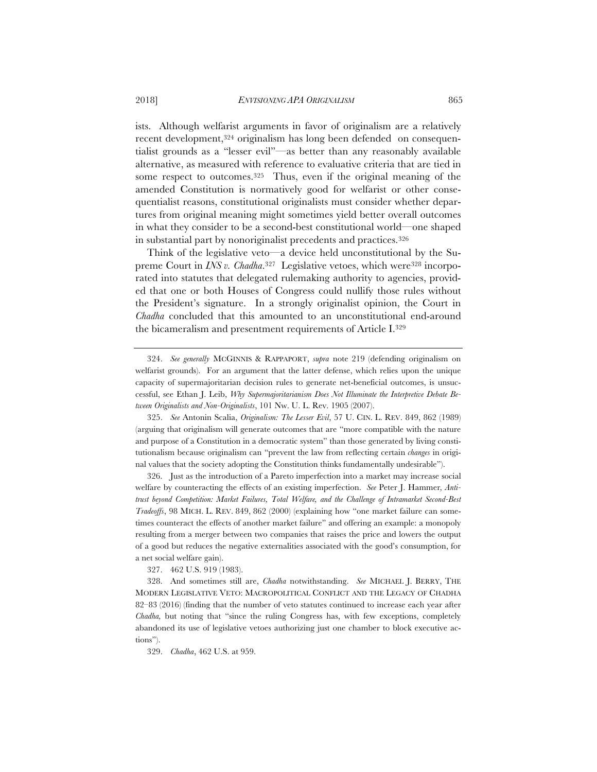ists. Although welfarist arguments in favor of originalism are a relatively recent development,<sup>324</sup> originalism has long been defended on consequentialist grounds as a "lesser evil"—as better than any reasonably available alternative, as measured with reference to evaluative criteria that are tied in some respect to outcomes.<sup>325</sup> Thus, even if the original meaning of the amended Constitution is normatively good for welfarist or other consequentialist reasons, constitutional originalists must consider whether departures from original meaning might sometimes yield better overall outcomes in what they consider to be a second-best constitutional world—one shaped in substantial part by nonoriginalist precedents and practices.326

Think of the legislative veto—a device held unconstitutional by the Supreme Court in *INS v. Chadha*.<sup>327</sup> Legislative vetoes, which were<sup>328</sup> incorporated into statutes that delegated rulemaking authority to agencies, provided that one or both Houses of Congress could nullify those rules without the President's signature. In a strongly originalist opinion, the Court in *Chadha* concluded that this amounted to an unconstitutional end-around the bicameralism and presentment requirements of Article I.329

325. *See* Antonin Scalia, *Originalism: The Lesser Evil*, 57 U. CIN. L. REV. 849, 862 (1989) (arguing that originalism will generate outcomes that are "more compatible with the nature and purpose of a Constitution in a democratic system" than those generated by living constitutionalism because originalism can "prevent the law from reflecting certain *changes* in original values that the society adopting the Constitution thinks fundamentally undesirable").

326. Just as the introduction of a Pareto imperfection into a market may increase social welfare by counteracting the effects of an existing imperfection. *See* Peter J. Hammer*, Antitrust beyond Competition: Market Failures, Total Welfare, and the Challenge of Intramarket Second-Best Tradeoffs*, 98 MICH. L. REV. 849, 862 (2000) (explaining how "one market failure can sometimes counteract the effects of another market failure" and offering an example: a monopoly resulting from a merger between two companies that raises the price and lowers the output of a good but reduces the negative externalities associated with the good's consumption, for a net social welfare gain).

327. 462 U.S. 919 (1983).

328. And sometimes still are, *Chadha* notwithstanding. *See* MICHAEL J. BERRY, THE MODERN LEGISLATIVE VETO: MACROPOLITICAL CONFLICT AND THE LEGACY OF CHADHA 82–83 (2016) (finding that the number of veto statutes continued to increase each year after *Chadha,* but noting that "since the ruling Congress has, with few exceptions, completely abandoned its use of legislative vetoes authorizing just one chamber to block executive actions").

329. *Chadha*, 462 U.S. at 959.

<sup>324.</sup> *See generally* MCGINNIS & RAPPAPORT, *supra* note 219 (defending originalism on welfarist grounds). For an argument that the latter defense, which relies upon the unique capacity of supermajoritarian decision rules to generate net-beneficial outcomes, is unsuccessful, see Ethan J. Leib, *Why Supermajoritarianism Does Not Illuminate the Interpretive Debate Between Originalists and Non-Originalists*, 101 Nw. U. L. Rev. 1905 (2007).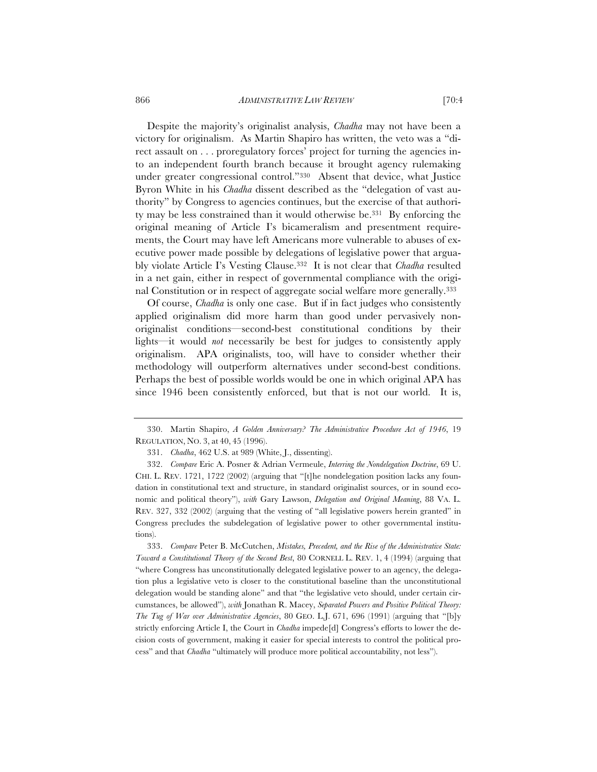866 *ADMINISTRATIVE LAW REVIEW* [70:4

Despite the majority's originalist analysis, *Chadha* may not have been a victory for originalism. As Martin Shapiro has written, the veto was a "direct assault on . . . proregulatory forces' project for turning the agencies into an independent fourth branch because it brought agency rulemaking under greater congressional control."330 Absent that device, what Justice Byron White in his *Chadha* dissent described as the "delegation of vast authority" by Congress to agencies continues, but the exercise of that authority may be less constrained than it would otherwise be.331 By enforcing the original meaning of Article I's bicameralism and presentment requirements, the Court may have left Americans more vulnerable to abuses of executive power made possible by delegations of legislative power that arguably violate Article I's Vesting Clause.332 It is not clear that *Chadha* resulted in a net gain, either in respect of governmental compliance with the original Constitution or in respect of aggregate social welfare more generally.333

Of course, *Chadha* is only one case. But if in fact judges who consistently applied originalism did more harm than good under pervasively nonoriginalist conditions—second-best constitutional conditions by their lights—it would *not* necessarily be best for judges to consistently apply originalism. APA originalists, too, will have to consider whether their methodology will outperform alternatives under second-best conditions. Perhaps the best of possible worlds would be one in which original APA has since 1946 been consistently enforced, but that is not our world. It is,

<sup>330.</sup> Martin Shapiro, *A Golden Anniversary? The Administrative Procedure Act of 1946*, 19 REGULATION, NO. 3, at 40, 45 (1996).

<sup>331.</sup> *Chadha*, 462 U.S. at 989 (White, J., dissenting).

<sup>332.</sup> *Compare* Eric A. Posner & Adrian Vermeule, *Interring the Nondelegation Doctrine*, 69 U. CHI. L. REV. 1721, 1722 (2002) (arguing that "[t]he nondelegation position lacks any foundation in constitutional text and structure, in standard originalist sources, or in sound economic and political theory"), *with* Gary Lawson, *Delegation and Original Meaning*, 88 VA. L. REV. 327, 332 (2002) (arguing that the vesting of "all legislative powers herein granted" in Congress precludes the subdelegation of legislative power to other governmental institutions).

<sup>333.</sup> *Compare* Peter B. McCutchen, *Mistakes, Precedent, and the Rise of the Administrative State: Toward a Constitutional Theory of the Second Best*, 80 CORNELL L. REV. 1, 4 (1994) (arguing that "where Congress has unconstitutionally delegated legislative power to an agency, the delegation plus a legislative veto is closer to the constitutional baseline than the unconstitutional delegation would be standing alone" and that "the legislative veto should, under certain circumstances, be allowed"), *with* Jonathan R. Macey, *Separated Powers and Positive Political Theory: The Tug of War over Administrative Agencies*, 80 GEO. L.J. 671, 696 (1991) (arguing that "[b]y strictly enforcing Article I, the Court in *Chadha* impede[d] Congress's efforts to lower the decision costs of government, making it easier for special interests to control the political process" and that *Chadha* "ultimately will produce more political accountability, not less").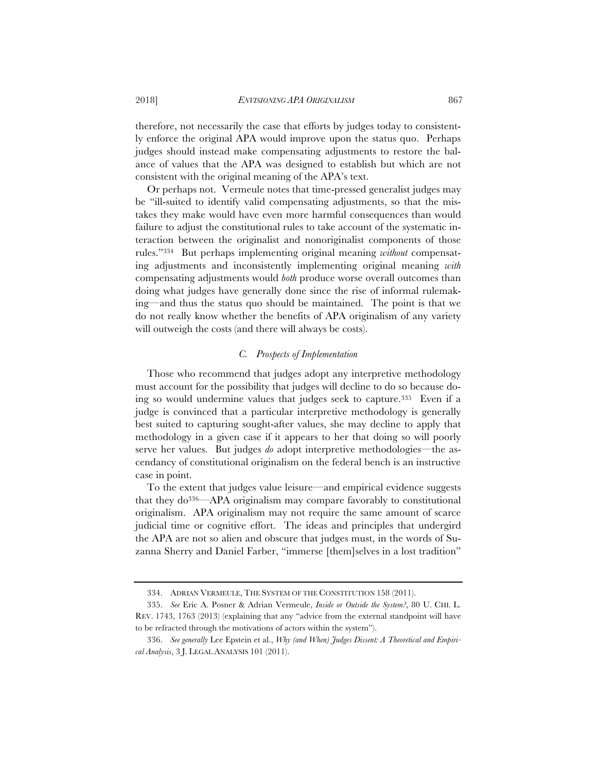therefore, not necessarily the case that efforts by judges today to consistently enforce the original APA would improve upon the status quo. Perhaps judges should instead make compensating adjustments to restore the balance of values that the APA was designed to establish but which are not consistent with the original meaning of the APA's text.

Or perhaps not. Vermeule notes that time-pressed generalist judges may be "ill-suited to identify valid compensating adjustments, so that the mistakes they make would have even more harmful consequences than would failure to adjust the constitutional rules to take account of the systematic interaction between the originalist and nonoriginalist components of those rules."334 But perhaps implementing original meaning *without* compensating adjustments and inconsistently implementing original meaning *with*  compensating adjustments would *both* produce worse overall outcomes than doing what judges have generally done since the rise of informal rulemaking—and thus the status quo should be maintained. The point is that we do not really know whether the benefits of APA originalism of any variety will outweigh the costs (and there will always be costs).

# *C. Prospects of Implementation*

Those who recommend that judges adopt any interpretive methodology must account for the possibility that judges will decline to do so because doing so would undermine values that judges seek to capture.335 Even if a judge is convinced that a particular interpretive methodology is generally best suited to capturing sought-after values, she may decline to apply that methodology in a given case if it appears to her that doing so will poorly serve her values. But judges *do* adopt interpretive methodologies—the ascendancy of constitutional originalism on the federal bench is an instructive case in point.

To the extent that judges value leisure—and empirical evidence suggests that they do336—APA originalism may compare favorably to constitutional originalism. APA originalism may not require the same amount of scarce judicial time or cognitive effort. The ideas and principles that undergird the APA are not so alien and obscure that judges must, in the words of Suzanna Sherry and Daniel Farber, "immerse [them]selves in a lost tradition"

<sup>334.</sup> ADRIAN VERMEULE, THE SYSTEM OF THE CONSTITUTION 158 (2011).

<sup>335.</sup> *See* Eric A. Posner & Adrian Vermeule, *Inside or Outside the System?*, 80 U. CHI. L. REV. 1743, 1763 (2013) (explaining that any "advice from the external standpoint will have to be refracted through the motivations of actors within the system").

<sup>336.</sup> *See generally* Lee Epstein et al., *Why (and When) Judges Dissent: A Theoretical and Empirical Analysis*, 3 J. LEGAL ANALYSIS 101 (2011).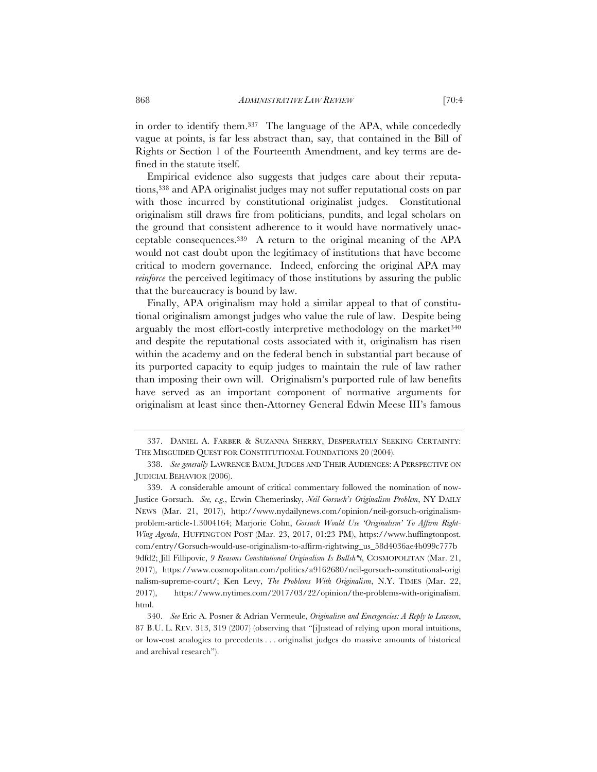in order to identify them.337 The language of the APA, while concededly vague at points, is far less abstract than, say, that contained in the Bill of Rights or Section 1 of the Fourteenth Amendment, and key terms are defined in the statute itself.

Empirical evidence also suggests that judges care about their reputations,338 and APA originalist judges may not suffer reputational costs on par with those incurred by constitutional originalist judges. Constitutional originalism still draws fire from politicians, pundits, and legal scholars on the ground that consistent adherence to it would have normatively unacceptable consequences.339 A return to the original meaning of the APA would not cast doubt upon the legitimacy of institutions that have become critical to modern governance. Indeed, enforcing the original APA may *reinforce* the perceived legitimacy of those institutions by assuring the public that the bureaucracy is bound by law.

Finally, APA originalism may hold a similar appeal to that of constitutional originalism amongst judges who value the rule of law. Despite being arguably the most effort-costly interpretive methodology on the market $340$ and despite the reputational costs associated with it, originalism has risen within the academy and on the federal bench in substantial part because of its purported capacity to equip judges to maintain the rule of law rather than imposing their own will. Originalism's purported rule of law benefits have served as an important component of normative arguments for originalism at least since then-Attorney General Edwin Meese III's famous

<sup>337.</sup> DANIEL A. FARBER & SUZANNA SHERRY, DESPERATELY SEEKING CERTAINTY: THE MISGUIDED QUEST FOR CONSTITUTIONAL FOUNDATIONS 20 (2004).

<sup>338.</sup> *See generally* LAWRENCE BAUM, JUDGES AND THEIR AUDIENCES:APERSPECTIVE ON JUDICIAL BEHAVIOR (2006).

<sup>339.</sup> A considerable amount of critical commentary followed the nomination of now-Justice Gorsuch. *See, e.g.*, Erwin Chemerinsky, *Neil Gorsuch's Originalism Problem*, NY DAILY NEWS (Mar. 21, 2017), http://www.nydailynews.com/opinion/neil-gorsuch-originalismproblem-article-1.3004164; Marjorie Cohn, *Gorsuch Would Use 'Originalism' To Affirm Right-Wing Agenda*, HUFFINGTON POST (Mar. 23, 2017, 01:23 PM), https://www.huffingtonpost. com/entry/Gorsuch-would-use-originalism-to-affirm-rightwing\_us\_58d4036ae4b099c777b 9dfd2; Jill Fillipovic, *9 Reasons Constitutional Originalism Is Bullsh\*t*, COSMOPOLITAN (Mar. 21, 2017), https://www.cosmopolitan.com/politics/a9162680/neil-gorsuch-constitutional-origi nalism-supreme-court/; Ken Levy, *The Problems With Originalism*, N.Y. TIMES (Mar. 22, 2017), https://www.nytimes.com/2017/03/22/opinion/the-problems-with-originalism. html.

<sup>340.</sup> *See* Eric A. Posner & Adrian Vermeule, *Originalism and Emergencies: A Reply to Lawson*, 87 B.U. L. REV. 313, 319 (2007) (observing that "[i]nstead of relying upon moral intuitions, or low-cost analogies to precedents . . . originalist judges do massive amounts of historical and archival research").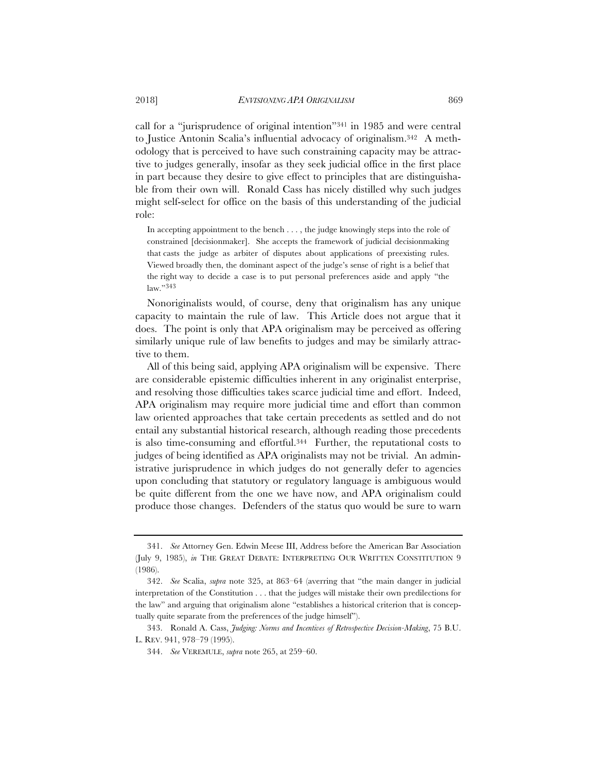call for a "jurisprudence of original intention"341 in 1985 and were central to Justice Antonin Scalia's influential advocacy of originalism.342 A methodology that is perceived to have such constraining capacity may be attractive to judges generally, insofar as they seek judicial office in the first place in part because they desire to give effect to principles that are distinguishable from their own will. Ronald Cass has nicely distilled why such judges might self-select for office on the basis of this understanding of the judicial role:

In accepting appointment to the bench . . . , the judge knowingly steps into the role of constrained [decisionmaker]. She accepts the framework of judicial decisionmaking that casts the judge as arbiter of disputes about applications of preexisting rules. Viewed broadly then, the dominant aspect of the judge's sense of right is a belief that the right way to decide a case is to put personal preferences aside and apply "the law."343

Nonoriginalists would, of course, deny that originalism has any unique capacity to maintain the rule of law. This Article does not argue that it does. The point is only that APA originalism may be perceived as offering similarly unique rule of law benefits to judges and may be similarly attractive to them.

All of this being said, applying APA originalism will be expensive. There are considerable epistemic difficulties inherent in any originalist enterprise, and resolving those difficulties takes scarce judicial time and effort. Indeed, APA originalism may require more judicial time and effort than common law oriented approaches that take certain precedents as settled and do not entail any substantial historical research, although reading those precedents is also time-consuming and effortful.344 Further, the reputational costs to judges of being identified as APA originalists may not be trivial. An administrative jurisprudence in which judges do not generally defer to agencies upon concluding that statutory or regulatory language is ambiguous would be quite different from the one we have now, and APA originalism could produce those changes. Defenders of the status quo would be sure to warn

<sup>341.</sup> *See* Attorney Gen. Edwin Meese III, Address before the American Bar Association (July 9, 1985), *in* THE GREAT DEBATE: INTERPRETING OUR WRITTEN CONSTITUTION 9 (1986).

<sup>342.</sup> *See* Scalia, *supra* note 325, at 863–64 (averring that "the main danger in judicial interpretation of the Constitution . . . that the judges will mistake their own predilections for the law" and arguing that originalism alone "establishes a historical criterion that is conceptually quite separate from the preferences of the judge himself").

<sup>343.</sup> Ronald A. Cass, *Judging: Norms and Incentives of Retrospective Decision-Making*, 75 B.U. L. REV. 941, 978–79 (1995).

<sup>344.</sup> *See* VEREMULE, *supra* note 265, at 259–60.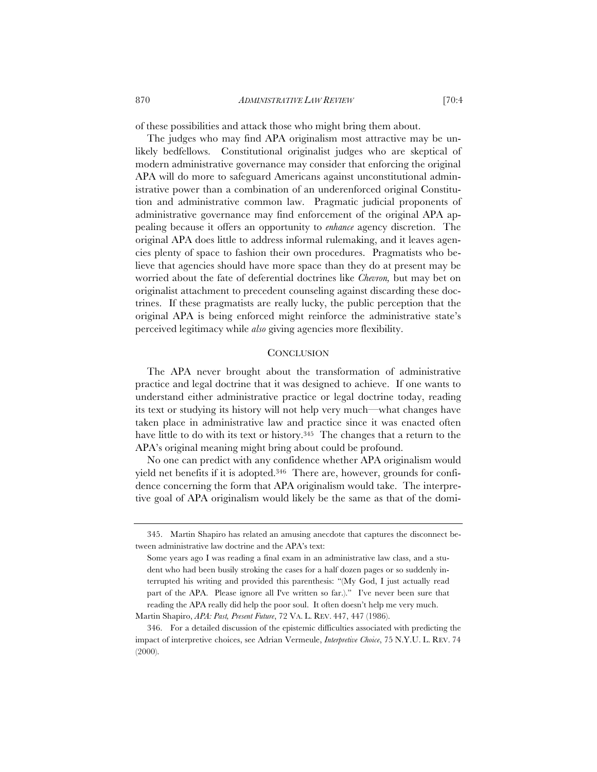of these possibilities and attack those who might bring them about.

The judges who may find APA originalism most attractive may be unlikely bedfellows. Constitutional originalist judges who are skeptical of modern administrative governance may consider that enforcing the original APA will do more to safeguard Americans against unconstitutional administrative power than a combination of an underenforced original Constitution and administrative common law. Pragmatic judicial proponents of administrative governance may find enforcement of the original APA appealing because it offers an opportunity to *enhance* agency discretion. The original APA does little to address informal rulemaking, and it leaves agencies plenty of space to fashion their own procedures. Pragmatists who believe that agencies should have more space than they do at present may be worried about the fate of deferential doctrines like *Chevron,* but may bet on originalist attachment to precedent counseling against discarding these doctrines. If these pragmatists are really lucky, the public perception that the original APA is being enforced might reinforce the administrative state's perceived legitimacy while *also* giving agencies more flexibility.

### **CONCLUSION**

The APA never brought about the transformation of administrative practice and legal doctrine that it was designed to achieve. If one wants to understand either administrative practice or legal doctrine today, reading its text or studying its history will not help very much—what changes have taken place in administrative law and practice since it was enacted often have little to do with its text or history.<sup>345</sup> The changes that a return to the APA's original meaning might bring about could be profound.

No one can predict with any confidence whether APA originalism would yield net benefits if it is adopted.346 There are, however, grounds for confidence concerning the form that APA originalism would take. The interpretive goal of APA originalism would likely be the same as that of the domi-

<sup>345.</sup> Martin Shapiro has related an amusing anecdote that captures the disconnect between administrative law doctrine and the APA's text:

Some years ago I was reading a final exam in an administrative law class, and a student who had been busily stroking the cases for a half dozen pages or so suddenly interrupted his writing and provided this parenthesis: "(My God, I just actually read part of the APA. Please ignore all I've written so far.)." I've never been sure that reading the APA really did help the poor soul. It often doesn't help me very much. Martin Shapiro, *APA: Past, Present Future*, 72 VA. L. REV. 447, 447 (1986).

<sup>346.</sup> For a detailed discussion of the epistemic difficulties associated with predicting the impact of interpretive choices, see Adrian Vermeule, *Interpretive Choice*, 75 N.Y.U. L. REV. 74 (2000).